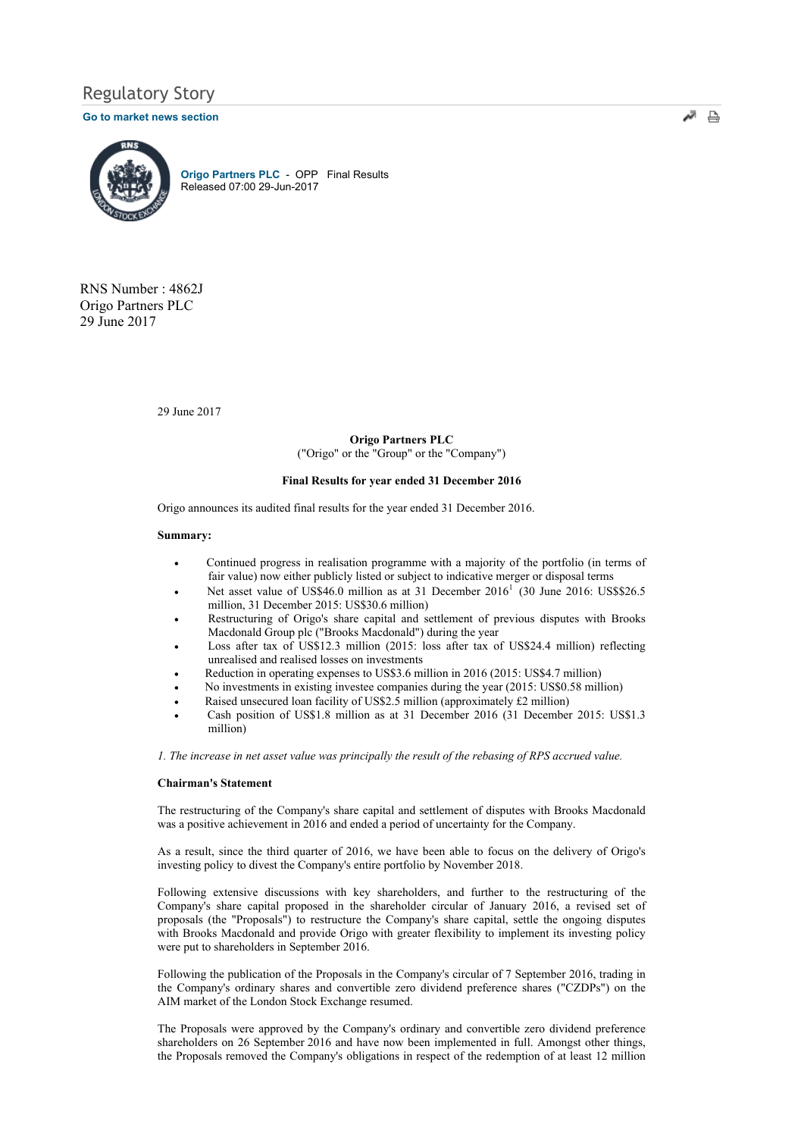# Regulatory Story

### Go to market news section



Origo Partners PLC - OPP Final Results Released 07:00 29-Jun-2017

RNS Number : 4862J Origo Partners PLC 29 June 2017

29 June 2017

### Origo Partners PLC

("Origo" or the "Group" or the "Company")

### Final Results for year ended 31 December 2016

Origo announces its audited final results for the year ended 31 December 2016.

### Summary:

- · Continued progress in realisation programme with a majority of the portfolio (in terms of fair value) now either publicly listed or subject to indicative merger or disposal terms
- Net asset value of US\$46.0 million as at 31 December  $2016<sup>1</sup>$  (30 June 2016: US\$\$26.5 million, 31 December 2015: US\$30.6 million)
- Restructuring of Origo's share capital and settlement of previous disputes with Brooks Macdonald Group plc ("Brooks Macdonald") during the year
- Loss after tax of US\$12.3 million (2015: loss after tax of US\$24.4 million) reflecting unrealised and realised losses on investments
- Reduction in operating expenses to US\$3.6 million in 2016 (2015: US\$4.7 million)
- No investments in existing investee companies during the year (2015: US\$0.58 million)
- Raised unsecured loan facility of US\$2.5 million (approximately £2 million)
- Cash position of US\$1.8 million as at 31 December 2016 (31 December 2015: US\$1.3 million)

1. The increase in net asset value was principally the result of the rebasing of RPS accrued value.

#### Chairman's Statement

The restructuring of the Company's share capital and settlement of disputes with Brooks Macdonald was a positive achievement in 2016 and ended a period of uncertainty for the Company.

As a result, since the third quarter of 2016, we have been able to focus on the delivery of Origo's investing policy to divest the Company's entire portfolio by November 2018.

Following extensive discussions with key shareholders, and further to the restructuring of the Company's share capital proposed in the shareholder circular of January 2016, a revised set of proposals (the "Proposals") to restructure the Company's share capital, settle the ongoing disputes with Brooks Macdonald and provide Origo with greater flexibility to implement its investing policy were put to shareholders in September 2016.

Following the publication of the Proposals in the Company's circular of 7 September 2016, trading in the Company's ordinary shares and convertible zero dividend preference shares ("CZDPs") on the AIM market of the London Stock Exchange resumed.

The Proposals were approved by the Company's ordinary and convertible zero dividend preference shareholders on 26 September 2016 and have now been implemented in full. Amongst other things, the Proposals removed the Company's obligations in respect of the redemption of at least 12 million

أتهم 흠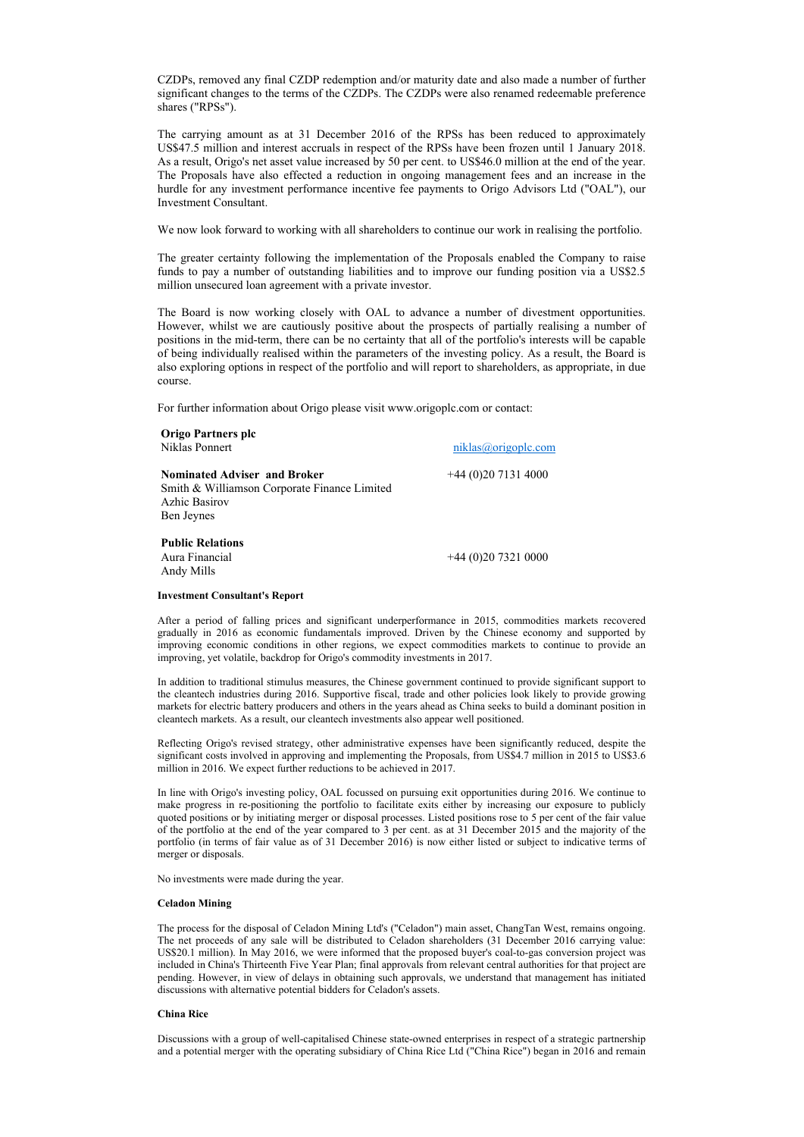CZDPs, removed any final CZDP redemption and/or maturity date and also made a number of further significant changes to the terms of the CZDPs. The CZDPs were also renamed redeemable preference shares ("RPSs").

The carrying amount as at 31 December 2016 of the RPSs has been reduced to approximately US\$47.5 million and interest accruals in respect of the RPSs have been frozen until 1 January 2018. As a result, Origo's net asset value increased by 50 per cent. to US\$46.0 million at the end of the year. The Proposals have also effected a reduction in ongoing management fees and an increase in the hurdle for any investment performance incentive fee payments to Origo Advisors Ltd ("OAL"), our Investment Consultant.

We now look forward to working with all shareholders to continue our work in realising the portfolio.

The greater certainty following the implementation of the Proposals enabled the Company to raise funds to pay a number of outstanding liabilities and to improve our funding position via a US\$2.5 million unsecured loan agreement with a private investor.

The Board is now working closely with OAL to advance a number of divestment opportunities. However, whilst we are cautiously positive about the prospects of partially realising a number of positions in the mid-term, there can be no certainty that all of the portfolio's interests will be capable of being individually realised within the parameters of the investing policy. As a result, the Board is also exploring options in respect of the portfolio and will report to shareholders, as appropriate, in due course.

For further information about Origo please visit www.origoplc.com or contact:

| Origo Partners plc<br>Niklas Ponnert                                                                               | niklas@origople.com |
|--------------------------------------------------------------------------------------------------------------------|---------------------|
| <b>Nominated Adviser and Broker</b><br>Smith & Williamson Corporate Finance Limited<br>Azhic Basirov<br>Ben Jeynes | $+44(0)2071314000$  |
| <b>Public Relations</b><br>Aura Financial<br>Andy Mills                                                            | $+44(0)2073210000$  |

#### Investment Consultant's Report

After a period of falling prices and significant underperformance in 2015, commodities markets recovered gradually in 2016 as economic fundamentals improved. Driven by the Chinese economy and supported by improving economic conditions in other regions, we expect commodities markets to continue to provide an improving, yet volatile, backdrop for Origo's commodity investments in 2017.

In addition to traditional stimulus measures, the Chinese government continued to provide significant support to the cleantech industries during 2016. Supportive fiscal, trade and other policies look likely to provide growing markets for electric battery producers and others in the years ahead as China seeks to build a dominant position in cleantech markets. As a result, our cleantech investments also appear well positioned.

Reflecting Origo's revised strategy, other administrative expenses have been significantly reduced, despite the significant costs involved in approving and implementing the Proposals, from US\$4.7 million in 2015 to US\$3.6 million in 2016. We expect further reductions to be achieved in 2017.

In line with Origo's investing policy, OAL focussed on pursuing exit opportunities during 2016. We continue to make progress in re-positioning the portfolio to facilitate exits either by increasing our exposure to publicly quoted positions or by initiating merger or disposal processes. Listed positions rose to 5 per cent of the fair value of the portfolio at the end of the year compared to 3 per cent. as at 31 December 2015 and the majority of the portfolio (in terms of fair value as of 31 December 2016) is now either listed or subject to indicative terms of merger or disposals.

No investments were made during the year.

#### Celadon Mining

The process for the disposal of Celadon Mining Ltd's ("Celadon") main asset, ChangTan West, remains ongoing. The net proceeds of any sale will be distributed to Celadon shareholders (31 December 2016 carrying value: US\$20.1 million). In May 2016, we were informed that the proposed buyer's coal-to-gas conversion project was included in China's Thirteenth Five Year Plan; final approvals from relevant central authorities for that project are pending. However, in view of delays in obtaining such approvals, we understand that management has initiated discussions with alternative potential bidders for Celadon's assets.

#### China Rice

Discussions with a group of well-capitalised Chinese state-owned enterprises in respect of a strategic partnership and a potential merger with the operating subsidiary of China Rice Ltd ("China Rice") began in 2016 and remain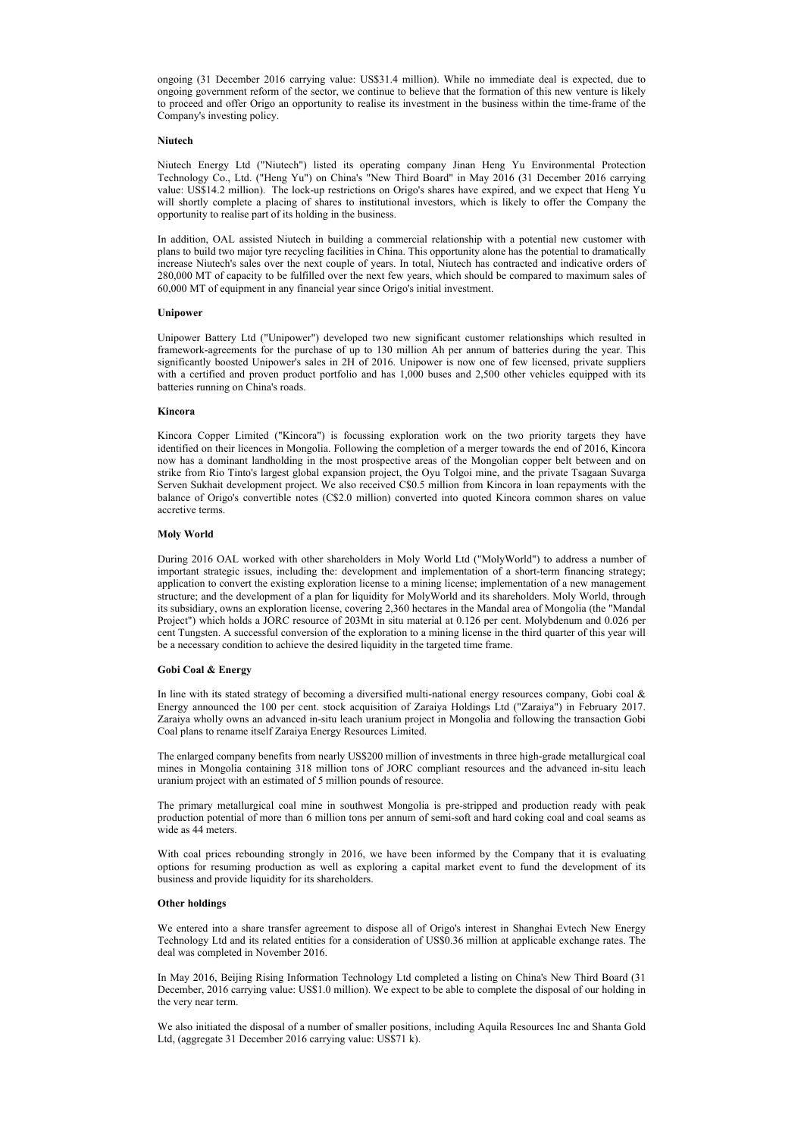ongoing (31 December 2016 carrying value: US\$31.4 million). While no immediate deal is expected, due to ongoing government reform of the sector, we continue to believe that the formation of this new venture is likely to proceed and offer Origo an opportunity to realise its investment in the business within the time-frame of the Company's investing policy.

#### Niutech

Niutech Energy Ltd ("Niutech") listed its operating company Jinan Heng Yu Environmental Protection Technology Co., Ltd. ("Heng Yu") on China's "New Third Board" in May 2016 (31 December 2016 carrying value: US\$14.2 million). The lock-up restrictions on Origo's shares have expired, and we expect that Heng Yu will shortly complete a placing of shares to institutional investors, which is likely to offer the Company the opportunity to realise part of its holding in the business.

In addition, OAL assisted Niutech in building a commercial relationship with a potential new customer with plans to build two major tyre recycling facilities in China. This opportunity alone has the potential to dramatically increase Niutech's sales over the next couple of years. In total, Niutech has contracted and indicative orders of 280,000 MT of capacity to be fulfilled over the next few years, which should be compared to maximum sales of 60,000 MT of equipment in any financial year since Origo's initial investment.

#### Unipower

Unipower Battery Ltd ("Unipower") developed two new significant customer relationships which resulted in framework-agreements for the purchase of up to 130 million Ah per annum of batteries during the year. This significantly boosted Unipower's sales in 2H of 2016. Unipower is now one of few licensed, private suppliers with a certified and proven product portfolio and has 1,000 buses and 2,500 other vehicles equipped with its batteries running on China's roads.

#### Kincora

Kincora Copper Limited ("Kincora") is focussing exploration work on the two priority targets they have identified on their licences in Mongolia. Following the completion of a merger towards the end of 2016, Kincora now has a dominant landholding in the most prospective areas of the Mongolian copper belt between and on strike from Rio Tinto's largest global expansion project, the Oyu Tolgoi mine, and the private Tsagaan Suvarga Serven Sukhait development project. We also received C\$0.5 million from Kincora in loan repayments with the balance of Origo's convertible notes (C\$2.0 million) converted into quoted Kincora common shares on value accretive terms.

#### Moly World

During 2016 OAL worked with other shareholders in Moly World Ltd ("MolyWorld") to address a number of important strategic issues, including the: development and implementation of a short-term financing strategy; application to convert the existing exploration license to a mining license; implementation of a new management structure; and the development of a plan for liquidity for MolyWorld and its shareholders. Moly World, through its subsidiary, owns an exploration license, covering 2,360 hectares in the Mandal area of Mongolia (the "Mandal Project") which holds a JORC resource of 203Mt in situ material at 0.126 per cent. Molybdenum and 0.026 per cent Tungsten. A successful conversion of the exploration to a mining license in the third quarter of this year will be a necessary condition to achieve the desired liquidity in the targeted time frame.

#### Gobi Coal & Energy

In line with its stated strategy of becoming a diversified multi-national energy resources company, Gobi coal & Energy announced the 100 per cent. stock acquisition of Zaraiya Holdings Ltd ("Zaraiya") in February 2017. Zaraiya wholly owns an advanced in-situ leach uranium project in Mongolia and following the transaction Gobi Coal plans to rename itself Zaraiya Energy Resources Limited.

The enlarged company benefits from nearly US\$200 million of investments in three high-grade metallurgical coal mines in Mongolia containing 318 million tons of JORC compliant resources and the advanced in-situ leach uranium project with an estimated of 5 million pounds of resource.

The primary metallurgical coal mine in southwest Mongolia is pre-stripped and production ready with peak production potential of more than 6 million tons per annum of semi-soft and hard coking coal and coal seams as wide as 44 meters.

With coal prices rebounding strongly in 2016, we have been informed by the Company that it is evaluating options for resuming production as well as exploring a capital market event to fund the development of its business and provide liquidity for its shareholders.

### Other holdings

We entered into a share transfer agreement to dispose all of Origo's interest in Shanghai Evtech New Energy Technology Ltd and its related entities for a consideration of US\$0.36 million at applicable exchange rates. The deal was completed in November 2016.

In May 2016, Beijing Rising Information Technology Ltd completed a listing on China's New Third Board (31 December, 2016 carrying value: US\$1.0 million). We expect to be able to complete the disposal of our holding in the very near term.

We also initiated the disposal of a number of smaller positions, including Aquila Resources Inc and Shanta Gold Ltd, (aggregate 31 December 2016 carrying value: US\$71 k).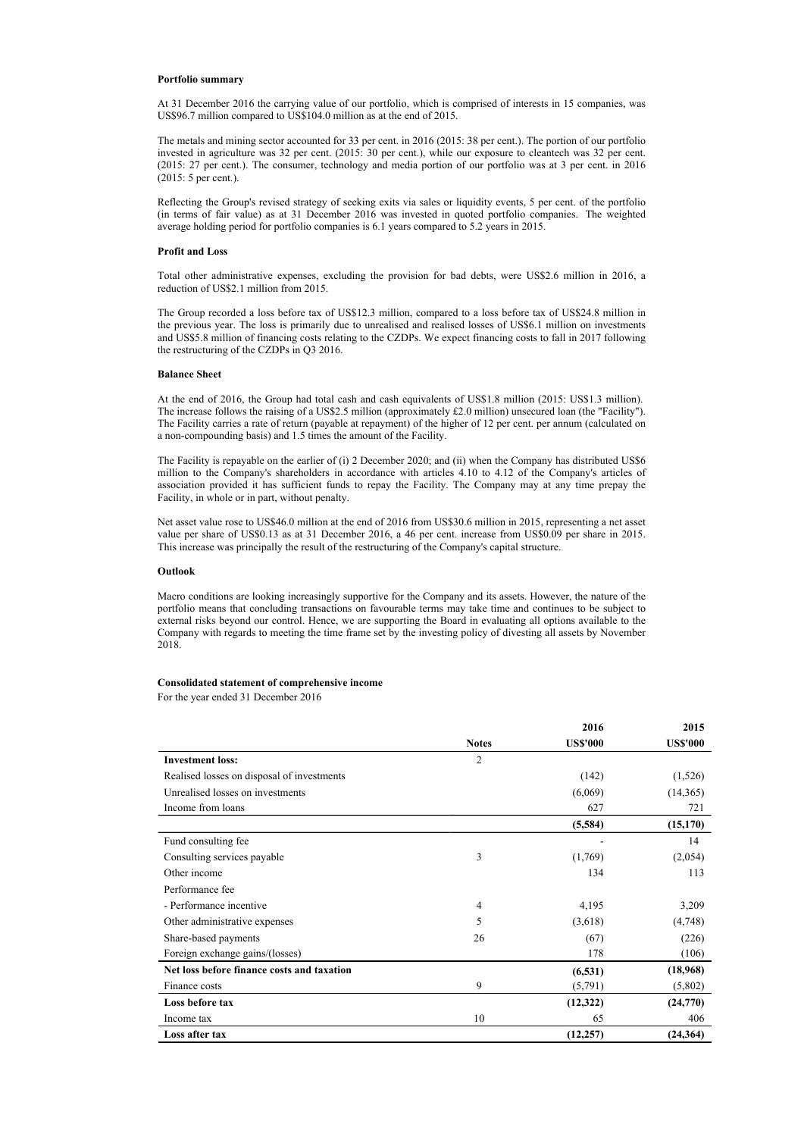#### Portfolio summary

At 31 December 2016 the carrying value of our portfolio, which is comprised of interests in 15 companies, was US\$96.7 million compared to US\$104.0 million as at the end of 2015.

The metals and mining sector accounted for 33 per cent. in 2016 (2015: 38 per cent.). The portion of our portfolio invested in agriculture was 32 per cent. (2015: 30 per cent.), while our exposure to cleantech was 32 per cent. (2015: 27 per cent.). The consumer, technology and media portion of our portfolio was at 3 per cent. in 2016 (2015: 5 per cent.).

Reflecting the Group's revised strategy of seeking exits via sales or liquidity events, 5 per cent. of the portfolio (in terms of fair value) as at 31 December 2016 was invested in quoted portfolio companies. The weighted average holding period for portfolio companies is 6.1 years compared to 5.2 years in 2015.

#### Profit and Loss

Total other administrative expenses, excluding the provision for bad debts, were US\$2.6 million in 2016, a reduction of US\$2.1 million from 2015.

The Group recorded a loss before tax of US\$12.3 million, compared to a loss before tax of US\$24.8 million in the previous year. The loss is primarily due to unrealised and realised losses of US\$6.1 million on investments and US\$5.8 million of financing costs relating to the CZDPs. We expect financing costs to fall in 2017 following the restructuring of the CZDPs in Q3 2016.

#### Balance Sheet

At the end of 2016, the Group had total cash and cash equivalents of US\$1.8 million (2015: US\$1.3 million). The increase follows the raising of a US\$2.5 million (approximately £2.0 million) unsecured loan (the "Facility"). The Facility carries a rate of return (payable at repayment) of the higher of 12 per cent. per annum (calculated on a non-compounding basis) and 1.5 times the amount of the Facility.

The Facility is repayable on the earlier of (i) 2 December 2020; and (ii) when the Company has distributed US\$6 million to the Company's shareholders in accordance with articles 4.10 to 4.12 of the Company's articles of association provided it has sufficient funds to repay the Facility. The Company may at any time prepay the Facility, in whole or in part, without penalty.

Net asset value rose to US\$46.0 million at the end of 2016 from US\$30.6 million in 2015, representing a net asset value per share of US\$0.13 as at 31 December 2016, a 46 per cent. increase from US\$0.09 per share in 2015. This increase was principally the result of the restructuring of the Company's capital structure.

#### Outlook

Macro conditions are looking increasingly supportive for the Company and its assets. However, the nature of the portfolio means that concluding transactions on favourable terms may take time and continues to be subject to external risks beyond our control. Hence, we are supporting the Board in evaluating all options available to the Company with regards to meeting the time frame set by the investing policy of divesting all assets by November 2018.

#### Consolidated statement of comprehensive income

For the year ended 31 December 2016

|                                            |                | 2016            | 2015            |
|--------------------------------------------|----------------|-----------------|-----------------|
|                                            | <b>Notes</b>   | <b>US\$'000</b> | <b>US\$'000</b> |
| <b>Investment loss:</b>                    | $\overline{c}$ |                 |                 |
| Realised losses on disposal of investments |                | (142)           | (1,526)         |
| Unrealised losses on investments           |                | (6,069)         | (14,365)        |
| Income from loans                          |                | 627             | 721             |
|                                            |                | (5,584)         | (15, 170)       |
| Fund consulting fee                        |                |                 | 14              |
| Consulting services payable                | 3              | (1,769)         | (2,054)         |
| Other income                               |                | 134             | 113             |
| Performance fee                            |                |                 |                 |
| - Performance incentive                    | 4              | 4,195           | 3,209           |
| Other administrative expenses              | 5              | (3,618)         | (4,748)         |
| Share-based payments                       | 26             | (67)            | (226)           |
| Foreign exchange gains/(losses)            |                | 178             | (106)           |
| Net loss before finance costs and taxation |                | (6, 531)        | (18,968)        |
| Finance costs                              | 9              | (5,791)         | (5,802)         |
| Loss before tax                            |                | (12,322)        | (24,770)        |
| Income tax                                 | 10             | 65              | 406             |
| Loss after tax                             |                | (12, 257)       | (24, 364)       |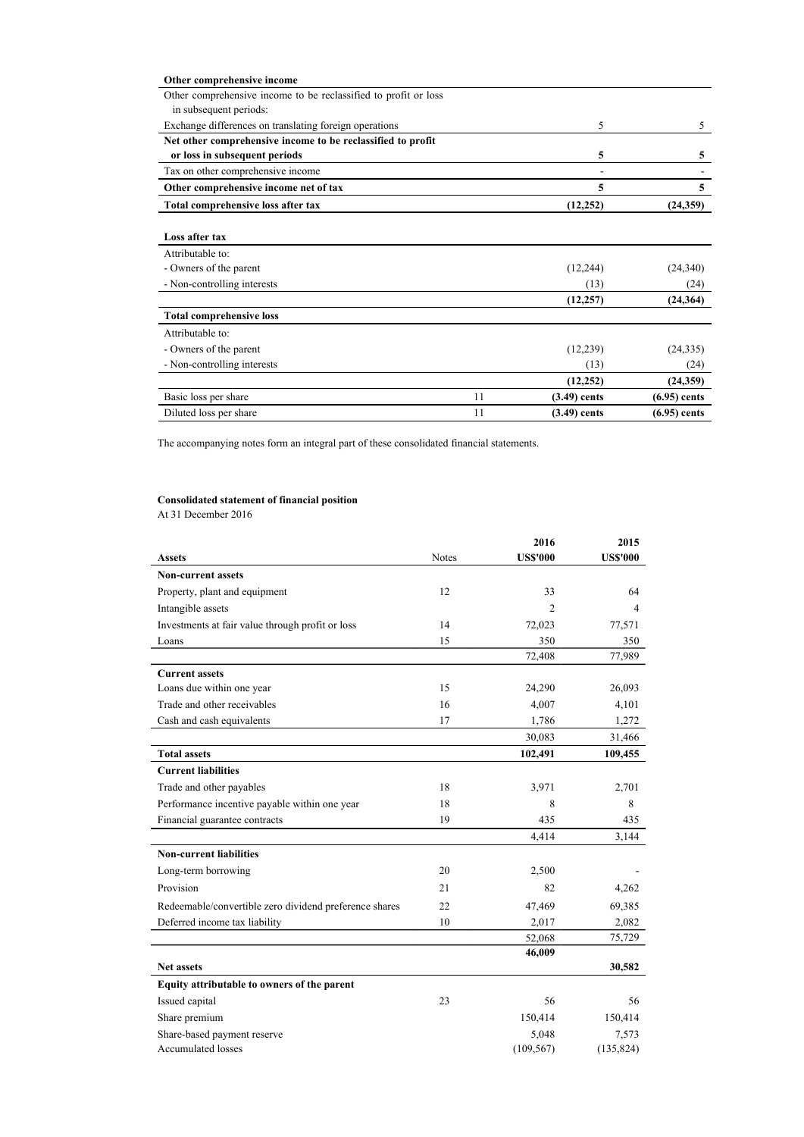| Other comprehensive income                                      |    |                |                |
|-----------------------------------------------------------------|----|----------------|----------------|
| Other comprehensive income to be reclassified to profit or loss |    |                |                |
| in subsequent periods:                                          |    |                |                |
| Exchange differences on translating foreign operations          |    | 5              | 5              |
| Net other comprehensive income to be reclassified to profit     |    |                |                |
| or loss in subsequent periods                                   |    | 5              | 5              |
| Tax on other comprehensive income                               |    | ۰              |                |
| Other comprehensive income net of tax                           |    | 5              | 5              |
| Total comprehensive loss after tax                              |    | (12, 252)      | (24,359)       |
|                                                                 |    |                |                |
| Loss after tax                                                  |    |                |                |
| Attributable to:                                                |    |                |                |
| - Owners of the parent                                          |    | (12, 244)      | (24, 340)      |
| - Non-controlling interests                                     |    | (13)           | (24)           |
|                                                                 |    | (12, 257)      | (24, 364)      |
| <b>Total comprehensive loss</b>                                 |    |                |                |
| Attributable to:                                                |    |                |                |
| - Owners of the parent                                          |    | (12, 239)      | (24, 335)      |
| - Non-controlling interests                                     |    | (13)           | (24)           |
|                                                                 |    | (12, 252)      | (24,359)       |
| Basic loss per share                                            | 11 | $(3.49)$ cents | $(6.95)$ cents |
| Diluted loss per share                                          | 11 | $(3.49)$ cents | $(6.95)$ cents |

The accompanying notes form an integral part of these consolidated financial statements.

# Consolidated statement of financial position

At 31 December 2016

|                                                        |              | 2016            | 2015            |
|--------------------------------------------------------|--------------|-----------------|-----------------|
| <b>Assets</b>                                          | <b>Notes</b> | <b>US\$'000</b> | <b>US\$'000</b> |
| <b>Non-current assets</b>                              |              |                 |                 |
| Property, plant and equipment                          | 12           | 33              | 64              |
| Intangible assets                                      |              | $\overline{2}$  | 4               |
| Investments at fair value through profit or loss       | 14           | 72,023          | 77,571          |
| Loans                                                  | 15           | 350             | 350             |
|                                                        |              | 72,408          | 77,989          |
| <b>Current assets</b>                                  |              |                 |                 |
| Loans due within one year                              | 15           | 24,290          | 26,093          |
| Trade and other receivables                            | 16           | 4,007           | 4,101           |
| Cash and cash equivalents                              | 17           | 1,786           | 1,272           |
|                                                        |              | 30,083          | 31,466          |
| <b>Total assets</b>                                    |              | 102,491         | 109,455         |
| <b>Current liabilities</b>                             |              |                 |                 |
| Trade and other payables                               | 18           | 3,971           | 2,701           |
| Performance incentive payable within one year          | 18           | 8               | 8               |
| Financial guarantee contracts                          | 19           | 435             | 435             |
|                                                        |              | 4,414           | 3,144           |
| <b>Non-current liabilities</b>                         |              |                 |                 |
| Long-term borrowing                                    | 20           | 2,500           |                 |
| Provision                                              | 21           | 82              | 4,262           |
| Redeemable/convertible zero dividend preference shares | 22           | 47,469          | 69,385          |
| Deferred income tax liability                          | 10           | 2.017           | 2,082           |
|                                                        |              | 52,068          | 75,729          |
|                                                        |              | 46,009          |                 |
| <b>Net assets</b>                                      |              |                 | 30,582          |
| Equity attributable to owners of the parent            |              |                 |                 |
| Issued capital                                         | 23           | 56              | 56              |
| Share premium                                          |              | 150,414         | 150,414         |
| Share-based payment reserve                            |              | 5,048           | 7,573           |
| <b>Accumulated losses</b>                              |              | (109, 567)      | (135, 824)      |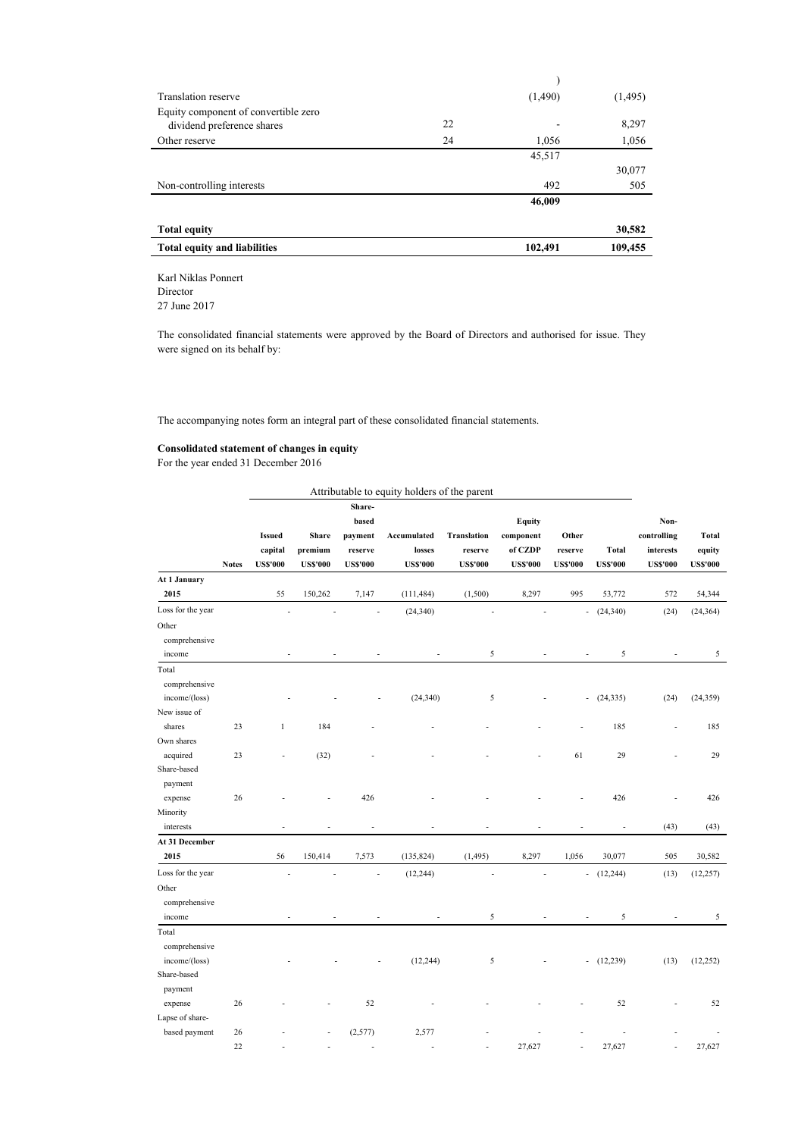|    | (1,490) | (1,495) |
|----|---------|---------|
|    |         |         |
| 22 |         | 8,297   |
| 24 | 1,056   | 1,056   |
|    | 45,517  |         |
|    |         | 30,077  |
|    | 492     | 505     |
|    | 46,009  |         |
|    |         |         |
|    |         | 30,582  |
|    | 102,491 | 109,455 |
|    |         |         |

Karl Niklas Ponnert Director 27 June 2017

The consolidated financial statements were approved by the Board of Directors and authorised for issue. They

were signed on its behalf by:

The accompanying notes form an integral part of these consolidated financial statements.

## Consolidated statement of changes in equity

For the year ended 31 December 2016

|                   |              |                                             |                                            |                                                          | Attributable to equity holders of the parent |                                                  |                                                          |                                     |                                 |                                                     |                                    |
|-------------------|--------------|---------------------------------------------|--------------------------------------------|----------------------------------------------------------|----------------------------------------------|--------------------------------------------------|----------------------------------------------------------|-------------------------------------|---------------------------------|-----------------------------------------------------|------------------------------------|
|                   | <b>Notes</b> | <b>Issued</b><br>capital<br><b>US\$'000</b> | <b>Share</b><br>premium<br><b>US\$'000</b> | Share-<br>based<br>payment<br>reserve<br><b>US\$'000</b> | Accumulated<br>losses<br><b>US\$'000</b>     | <b>Translation</b><br>reserve<br><b>US\$'000</b> | <b>Equity</b><br>component<br>of CZDP<br><b>US\$'000</b> | Other<br>reserve<br><b>US\$'000</b> | <b>Total</b><br><b>US\$'000</b> | Non-<br>controlling<br>interests<br><b>US\$'000</b> | Total<br>equity<br><b>US\$'000</b> |
| At 1 January      |              |                                             |                                            |                                                          |                                              |                                                  |                                                          |                                     |                                 |                                                     |                                    |
| 2015              |              | 55                                          | 150,262                                    | 7,147                                                    | (111, 484)                                   | (1,500)                                          | 8,297                                                    | 995                                 | 53,772                          | 572                                                 | 54,344                             |
| Loss for the year |              |                                             |                                            |                                                          | (24, 340)                                    |                                                  |                                                          | ÷,                                  | (24, 340)                       | (24)                                                | (24, 364)                          |
| Other             |              |                                             |                                            |                                                          |                                              |                                                  |                                                          |                                     |                                 |                                                     |                                    |
| comprehensive     |              |                                             |                                            |                                                          |                                              |                                                  |                                                          |                                     |                                 |                                                     |                                    |
| income            |              | $\overline{a}$                              | L,                                         |                                                          |                                              | 5                                                |                                                          | $\overline{a}$                      | 5                               | $\overline{a}$                                      | 5                                  |
| Total             |              |                                             |                                            |                                                          |                                              |                                                  |                                                          |                                     |                                 |                                                     |                                    |
| comprehensive     |              |                                             |                                            |                                                          |                                              |                                                  |                                                          |                                     |                                 |                                                     |                                    |
| income/(loss)     |              |                                             |                                            |                                                          | (24, 340)                                    | 5                                                |                                                          | $\overline{\phantom{a}}$            | (24, 335)                       | (24)                                                | (24, 359)                          |
| New issue of      |              |                                             |                                            |                                                          |                                              |                                                  |                                                          |                                     |                                 |                                                     |                                    |
| shares            | 23           | 1                                           | 184                                        |                                                          |                                              |                                                  |                                                          |                                     | 185                             |                                                     | 185                                |
| Own shares        |              |                                             |                                            |                                                          |                                              |                                                  |                                                          |                                     |                                 |                                                     |                                    |
| acquired          | 23           |                                             | (32)                                       |                                                          |                                              |                                                  |                                                          | 61                                  | 29                              |                                                     | 29                                 |
| Share-based       |              |                                             |                                            |                                                          |                                              |                                                  |                                                          |                                     |                                 |                                                     |                                    |
| payment           |              |                                             |                                            |                                                          |                                              |                                                  |                                                          |                                     |                                 |                                                     |                                    |
| expense           | 26           |                                             |                                            | 426                                                      |                                              |                                                  |                                                          |                                     | 426                             |                                                     | 426                                |
| Minority          |              |                                             |                                            |                                                          |                                              |                                                  |                                                          |                                     |                                 |                                                     |                                    |
| interests         |              |                                             |                                            |                                                          |                                              |                                                  |                                                          |                                     |                                 | (43)                                                | (43)                               |
| At 31 December    |              |                                             |                                            |                                                          |                                              |                                                  |                                                          |                                     |                                 |                                                     |                                    |
| 2015              |              | 56                                          | 150,414                                    | 7,573                                                    | (135, 824)                                   | (1, 495)                                         | 8,297                                                    | 1,056                               | 30,077                          | 505                                                 | 30,582                             |
| Loss for the year |              |                                             |                                            |                                                          | (12, 244)                                    |                                                  |                                                          | $\overline{\phantom{a}}$            | (12, 244)                       | (13)                                                | (12, 257)                          |
| Other             |              |                                             |                                            |                                                          |                                              |                                                  |                                                          |                                     |                                 |                                                     |                                    |
| comprehensive     |              |                                             |                                            |                                                          |                                              |                                                  |                                                          |                                     |                                 |                                                     |                                    |
| income            |              |                                             |                                            |                                                          |                                              | 5                                                |                                                          |                                     | 5                               |                                                     | 5                                  |
| Total             |              |                                             |                                            |                                                          |                                              |                                                  |                                                          |                                     |                                 |                                                     |                                    |
| comprehensive     |              |                                             |                                            |                                                          |                                              |                                                  |                                                          |                                     |                                 |                                                     |                                    |
| income/(loss)     |              |                                             |                                            |                                                          | (12, 244)                                    | 5                                                |                                                          | $\overline{a}$                      | (12, 239)                       | (13)                                                | (12, 252)                          |
| Share-based       |              |                                             |                                            |                                                          |                                              |                                                  |                                                          |                                     |                                 |                                                     |                                    |
| payment           |              |                                             |                                            |                                                          |                                              |                                                  |                                                          |                                     |                                 |                                                     |                                    |
| expense           | 26           |                                             |                                            | 52                                                       |                                              |                                                  |                                                          |                                     | 52                              |                                                     | 52                                 |
| Lapse of share-   |              |                                             |                                            |                                                          |                                              |                                                  |                                                          |                                     |                                 |                                                     |                                    |
| based payment     | 26           |                                             |                                            | (2,577)                                                  | 2,577                                        |                                                  |                                                          |                                     |                                 |                                                     |                                    |
|                   | 22           |                                             |                                            |                                                          |                                              |                                                  | 27,627                                                   |                                     | 27,627                          |                                                     | 27,627                             |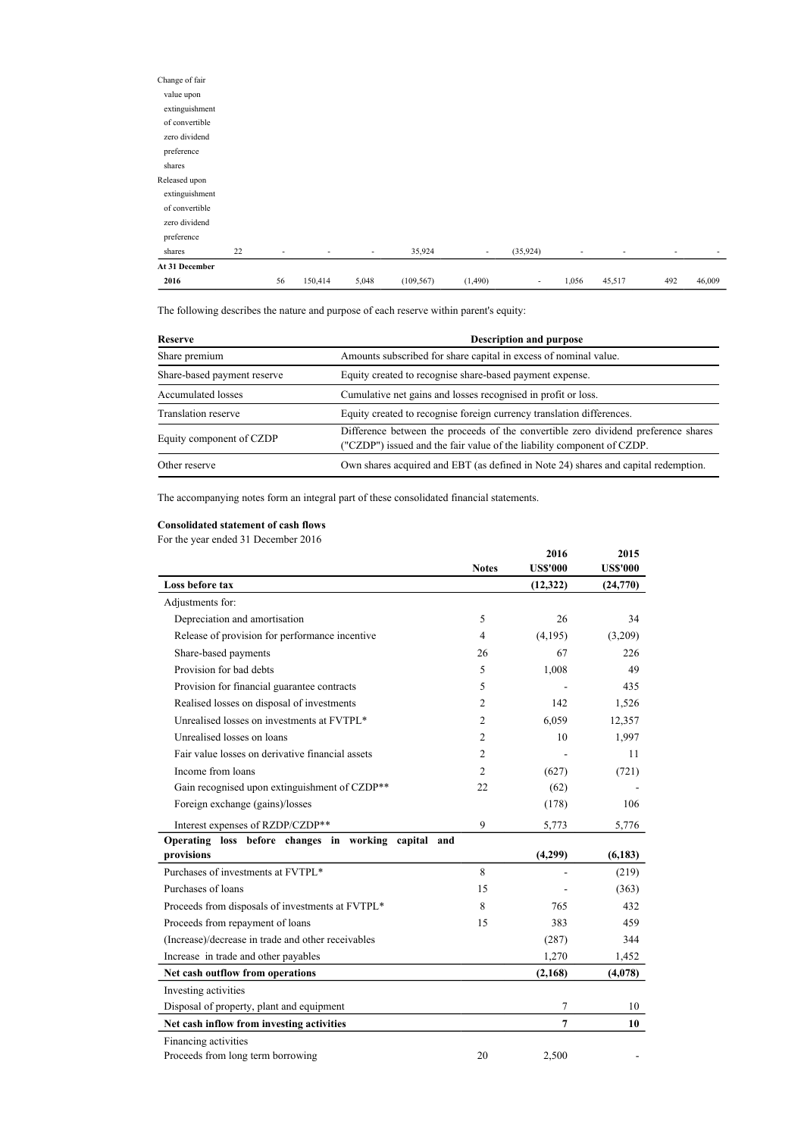| Change of fair |    |                          |                          |        |            |                          |                          |                          |                          |                          |                          |
|----------------|----|--------------------------|--------------------------|--------|------------|--------------------------|--------------------------|--------------------------|--------------------------|--------------------------|--------------------------|
| value upon     |    |                          |                          |        |            |                          |                          |                          |                          |                          |                          |
| extinguishment |    |                          |                          |        |            |                          |                          |                          |                          |                          |                          |
| of convertible |    |                          |                          |        |            |                          |                          |                          |                          |                          |                          |
| zero dividend  |    |                          |                          |        |            |                          |                          |                          |                          |                          |                          |
| preference     |    |                          |                          |        |            |                          |                          |                          |                          |                          |                          |
| shares         |    |                          |                          |        |            |                          |                          |                          |                          |                          |                          |
| Released upon  |    |                          |                          |        |            |                          |                          |                          |                          |                          |                          |
| extinguishment |    |                          |                          |        |            |                          |                          |                          |                          |                          |                          |
| of convertible |    |                          |                          |        |            |                          |                          |                          |                          |                          |                          |
| zero dividend  |    |                          |                          |        |            |                          |                          |                          |                          |                          |                          |
| preference     |    |                          |                          |        |            |                          |                          |                          |                          |                          |                          |
| shares         | 22 | $\overline{\phantom{a}}$ | $\overline{\phantom{0}}$ | $\sim$ | 35,924     | $\overline{\phantom{a}}$ | (35, 924)                | $\overline{\phantom{a}}$ | $\overline{\phantom{a}}$ | $\overline{\phantom{a}}$ | $\overline{\phantom{a}}$ |
| At 31 December |    |                          |                          |        |            |                          |                          |                          |                          |                          |                          |
| 2016           |    | 56                       | 150,414                  | 5,048  | (109, 567) | (1,490)                  | $\overline{\phantom{a}}$ | 1,056                    | 45,517                   | 492                      | 46,009                   |

The following describes the nature and purpose of each reserve within parent's equity:

| Reserve                     | <b>Description and purpose</b>                                                                                                                               |
|-----------------------------|--------------------------------------------------------------------------------------------------------------------------------------------------------------|
| Share premium               | Amounts subscribed for share capital in excess of nominal value.                                                                                             |
| Share-based payment reserve | Equity created to recognise share-based payment expense.                                                                                                     |
| Accumulated losses          | Cumulative net gains and losses recognised in profit or loss.                                                                                                |
| Translation reserve         | Equity created to recognise foreign currency translation differences.                                                                                        |
| Equity component of CZDP    | Difference between the proceeds of the convertible zero dividend preference shares<br>("CZDP") issued and the fair value of the liability component of CZDP. |
| Other reserve               | Own shares acquired and EBT (as defined in Note 24) shares and capital redemption.                                                                           |

The accompanying notes form an integral part of these consolidated financial statements.

## Consolidated statement of cash flows

For the year ended 31 December 2016

|                                                      |                | 2016            | 2015            |
|------------------------------------------------------|----------------|-----------------|-----------------|
|                                                      | <b>Notes</b>   | <b>US\$'000</b> | <b>US\$'000</b> |
| Loss before tax                                      |                | (12, 322)       | (24,770)        |
| Adjustments for:                                     |                |                 |                 |
| Depreciation and amortisation                        | 5              | 26              | 34              |
| Release of provision for performance incentive       | $\overline{4}$ | (4,195)         | (3,209)         |
| Share-based payments                                 | 26             | 67              | 226             |
| Provision for bad debts                              | 5              | 1,008           | 49              |
| Provision for financial guarantee contracts          | 5              |                 | 435             |
| Realised losses on disposal of investments           | 2              | 142             | 1,526           |
| Unrealised losses on investments at FVTPL*           | $\overline{c}$ | 6.059           | 12,357          |
| Unrealised losses on loans                           | $\overline{c}$ | 10              | 1,997           |
| Fair value losses on derivative financial assets     | $\overline{c}$ |                 | 11              |
| Income from loans                                    | $\overline{c}$ | (627)           | (721)           |
| Gain recognised upon extinguishment of CZDP**        | 22             | (62)            |                 |
| Foreign exchange (gains)/losses                      |                | (178)           | 106             |
| Interest expenses of RZDP/CZDP**                     | 9              | 5,773           | 5,776           |
| Operating loss before changes in working capital and |                |                 |                 |
| provisions                                           |                | (4,299)         | (6, 183)        |
| Purchases of investments at FVTPL*                   | 8              |                 | (219)           |
| Purchases of loans                                   | 15             |                 | (363)           |
| Proceeds from disposals of investments at FVTPL*     | 8              | 765             | 432             |
| Proceeds from repayment of loans                     | 15             | 383             | 459             |
| (Increase)/decrease in trade and other receivables   |                | (287)           | 344             |
| Increase in trade and other payables                 |                | 1,270           | 1,452           |
| Net cash outflow from operations                     |                | (2,168)         | (4,078)         |
| Investing activities                                 |                |                 |                 |
| Disposal of property, plant and equipment            |                | 7               | 10              |
| Net cash inflow from investing activities            |                | $\overline{7}$  | 10              |
| Financing activities                                 |                |                 |                 |
| Proceeds from long term borrowing                    | 20             | 2,500           |                 |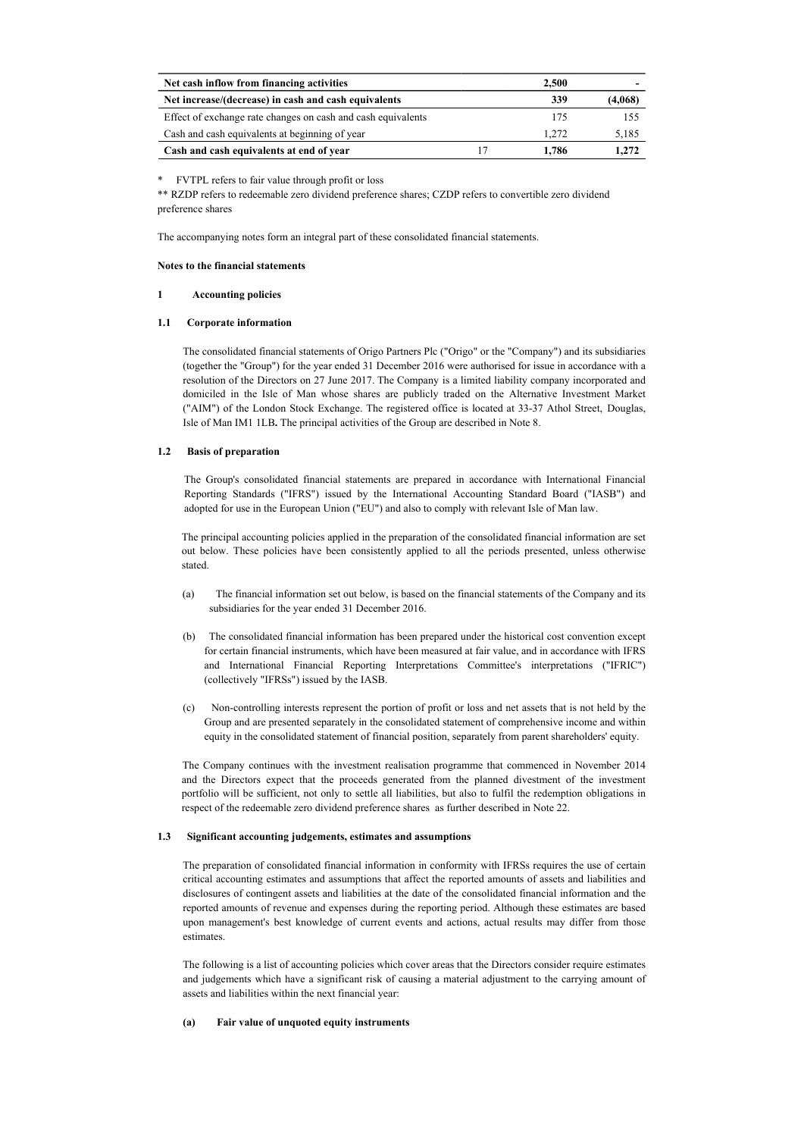| Net cash inflow from financing activities                    | 2.500 |       |         |
|--------------------------------------------------------------|-------|-------|---------|
| Net increase/(decrease) in cash and cash equivalents         |       | 339   | (4,068) |
| Effect of exchange rate changes on cash and cash equivalents |       | 175   | 155     |
| Cash and cash equivalents at beginning of year               |       | 1.272 | 5,185   |
| Cash and cash equivalents at end of year                     |       | 1.786 | 1.272   |

\* FVTPL refers to fair value through profit or loss

\*\* RZDP refers to redeemable zero dividend preference shares; CZDP refers to convertible zero dividend preference shares

The accompanying notes form an integral part of these consolidated financial statements.

#### Notes to the financial statements

#### 1 Accounting policies

### 1.1 Corporate information

The consolidated financial statements of Origo Partners Plc ("Origo" or the "Company") and its subsidiaries (together the "Group") for the year ended 31 December 2016 were authorised for issue in accordance with a resolution of the Directors on 27 June 2017. The Company is a limited liability company incorporated and domiciled in the Isle of Man whose shares are publicly traded on the Alternative Investment Market ("AIM") of the London Stock Exchange. The registered office is located at 33-37 Athol Street, Douglas, Isle of Man IM1 1LB. The principal activities of the Group are described in Note 8.

### 1.2 Basis of preparation

The Group's consolidated financial statements are prepared in accordance with International Financial Reporting Standards ("IFRS") issued by the International Accounting Standard Board ("IASB") and adopted for use in the European Union ("EU") and also to comply with relevant Isle of Man law.

The principal accounting policies applied in the preparation of the consolidated financial information are set out below. These policies have been consistently applied to all the periods presented, unless otherwise stated.

- (a) The financial information set out below, is based on the financial statements of the Company and its subsidiaries for the year ended 31 December 2016.
- (b) The consolidated financial information has been prepared under the historical cost convention except for certain financial instruments, which have been measured at fair value, and in accordance with IFRS and International Financial Reporting Interpretations Committee's interpretations ("IFRIC") (collectively "IFRSs") issued by the IASB.
- (c) Non-controlling interests represent the portion of profit or loss and net assets that is not held by the Group and are presented separately in the consolidated statement of comprehensive income and within equity in the consolidated statement of financial position, separately from parent shareholders' equity.

The Company continues with the investment realisation programme that commenced in November 2014 and the Directors expect that the proceeds generated from the planned divestment of the investment portfolio will be sufficient, not only to settle all liabilities, but also to fulfil the redemption obligations in respect of the redeemable zero dividend preference shares as further described in Note 22.

### 1.3 Significant accounting judgements, estimates and assumptions

The preparation of consolidated financial information in conformity with IFRSs requires the use of certain critical accounting estimates and assumptions that affect the reported amounts of assets and liabilities and disclosures of contingent assets and liabilities at the date of the consolidated financial information and the reported amounts of revenue and expenses during the reporting period. Although these estimates are based upon management's best knowledge of current events and actions, actual results may differ from those estimates.

The following is a list of accounting policies which cover areas that the Directors consider require estimates and judgements which have a significant risk of causing a material adjustment to the carrying amount of assets and liabilities within the next financial year:

#### (a) Fair value of unquoted equity instruments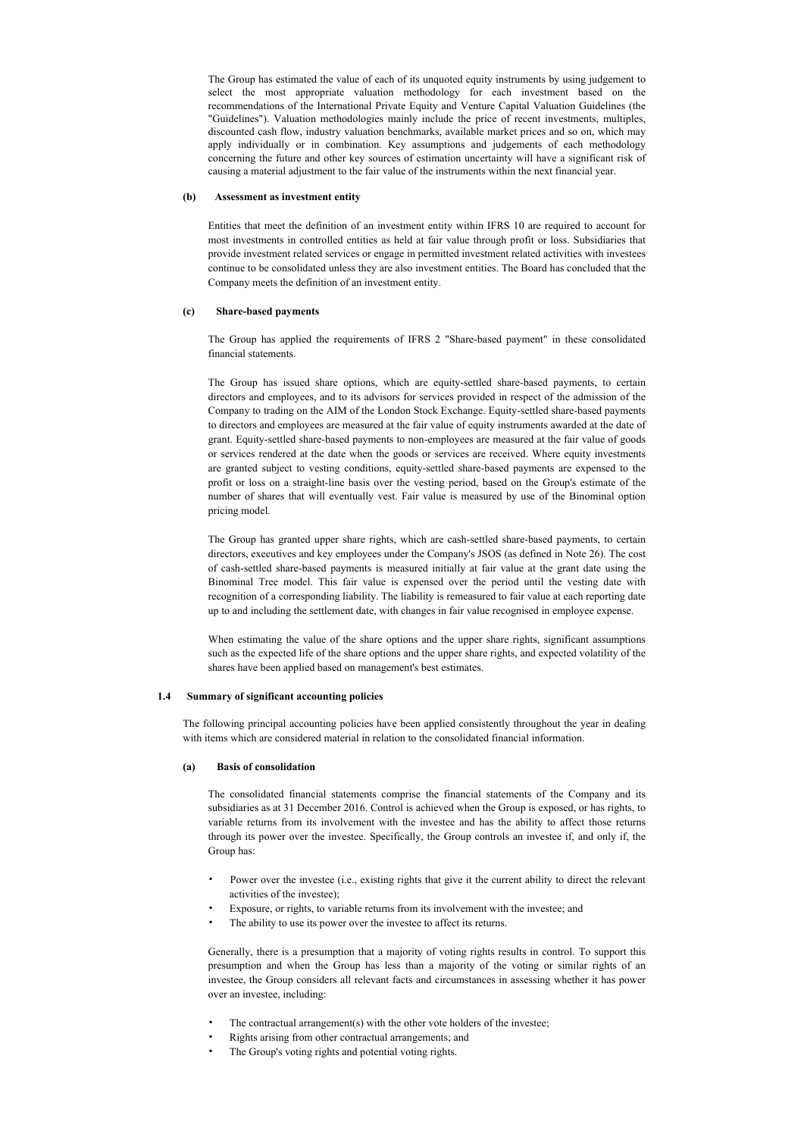The Group has estimated the value of each of its unquoted equity instruments by using judgement to select the most appropriate valuation methodology for each investment based on the recommendations of the International Private Equity and Venture Capital Valuation Guidelines (the "Guidelines"). Valuation methodologies mainly include the price of recent investments, multiples, discounted cash flow, industry valuation benchmarks, available market prices and so on, which may apply individually or in combination. Key assumptions and judgements of each methodology concerning the future and other key sources of estimation uncertainty will have a significant risk of causing a material adjustment to the fair value of the instruments within the next financial year.

### (b) Assessment as investment entity

Entities that meet the definition of an investment entity within IFRS 10 are required to account for most investments in controlled entities as held at fair value through profit or loss. Subsidiaries that provide investment related services or engage in permitted investment related activities with investees continue to be consolidated unless they are also investment entities. The Board has concluded that the Company meets the definition of an investment entity.

### (c) Share-based payments

The Group has applied the requirements of IFRS 2 "Share-based payment" in these consolidated financial statements.

The Group has issued share options, which are equity-settled share-based payments, to certain directors and employees, and to its advisors for services provided in respect of the admission of the Company to trading on the AIM of the London Stock Exchange. Equity-settled share-based payments to directors and employees are measured at the fair value of equity instruments awarded at the date of grant. Equity-settled share-based payments to non-employees are measured at the fair value of goods or services rendered at the date when the goods or services are received. Where equity investments are granted subject to vesting conditions, equity-settled share-based payments are expensed to the profit or loss on a straight-line basis over the vesting period, based on the Group's estimate of the number of shares that will eventually vest. Fair value is measured by use of the Binominal option pricing model.

The Group has granted upper share rights, which are cash-settled share-based payments, to certain directors, executives and key employees under the Company's JSOS (as defined in Note 26). The cost of cash-settled share-based payments is measured initially at fair value at the grant date using the Binominal Tree model. This fair value is expensed over the period until the vesting date with recognition of a corresponding liability. The liability is remeasured to fair value at each reporting date up to and including the settlement date, with changes in fair value recognised in employee expense.

When estimating the value of the share options and the upper share rights, significant assumptions such as the expected life of the share options and the upper share rights, and expected volatility of the shares have been applied based on management's best estimates.

### 1.4 Summary of significant accounting policies

The following principal accounting policies have been applied consistently throughout the year in dealing with items which are considered material in relation to the consolidated financial information.

### (a) Basis of consolidation

The consolidated financial statements comprise the financial statements of the Company and its subsidiaries as at 31 December 2016. Control is achieved when the Group is exposed, or has rights, to variable returns from its involvement with the investee and has the ability to affect those returns through its power over the investee. Specifically, the Group controls an investee if, and only if, the Group has:

- Power over the investee (i.e., existing rights that give it the current ability to direct the relevant activities of the investee);
- Exposure, or rights, to variable returns from its involvement with the investee; and
- The ability to use its power over the investee to affect its returns.

Generally, there is a presumption that a majority of voting rights results in control. To support this presumption and when the Group has less than a majority of the voting or similar rights of an investee, the Group considers all relevant facts and circumstances in assessing whether it has power over an investee, including:

- The contractual arrangement(s) with the other vote holders of the investee;
- Rights arising from other contractual arrangements; and
- The Group's voting rights and potential voting rights.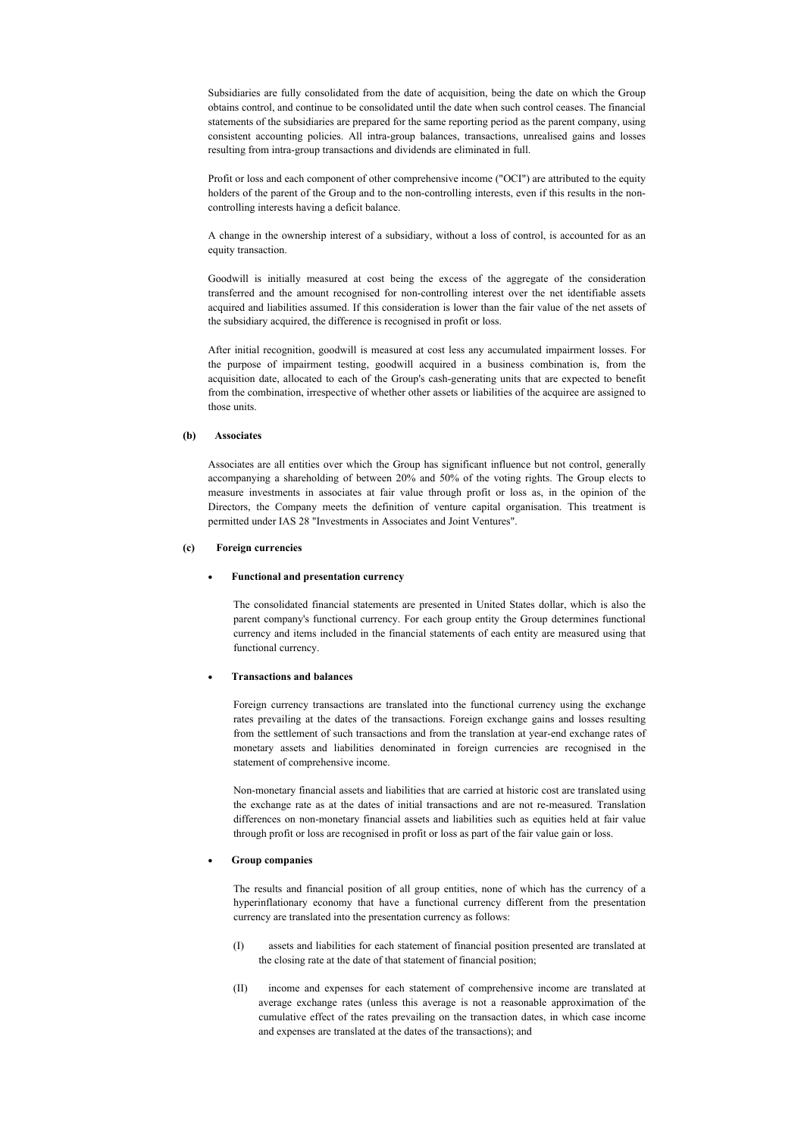Subsidiaries are fully consolidated from the date of acquisition, being the date on which the Group obtains control, and continue to be consolidated until the date when such control ceases. The financial statements of the subsidiaries are prepared for the same reporting period as the parent company, using consistent accounting policies. All intra-group balances, transactions, unrealised gains and losses resulting from intra-group transactions and dividends are eliminated in full.

Profit or loss and each component of other comprehensive income ("OCI") are attributed to the equity holders of the parent of the Group and to the non-controlling interests, even if this results in the noncontrolling interests having a deficit balance.

A change in the ownership interest of a subsidiary, without a loss of control, is accounted for as an equity transaction.

Goodwill is initially measured at cost being the excess of the aggregate of the consideration transferred and the amount recognised for non-controlling interest over the net identifiable assets acquired and liabilities assumed. If this consideration is lower than the fair value of the net assets of the subsidiary acquired, the difference is recognised in profit or loss.

After initial recognition, goodwill is measured at cost less any accumulated impairment losses. For the purpose of impairment testing, goodwill acquired in a business combination is, from the acquisition date, allocated to each of the Group's cash-generating units that are expected to benefit from the combination, irrespective of whether other assets or liabilities of the acquiree are assigned to those units.

### (b) Associates

Associates are all entities over which the Group has significant influence but not control, generally accompanying a shareholding of between 20% and 50% of the voting rights. The Group elects to measure investments in associates at fair value through profit or loss as, in the opinion of the Directors, the Company meets the definition of venture capital organisation. This treatment is permitted under IAS 28 "Investments in Associates and Joint Ventures".

#### (c) Foreign currencies

#### · Functional and presentation currency

The consolidated financial statements are presented in United States dollar, which is also the parent company's functional currency. For each group entity the Group determines functional currency and items included in the financial statements of each entity are measured using that functional currency.

### · Transactions and balances

Foreign currency transactions are translated into the functional currency using the exchange rates prevailing at the dates of the transactions. Foreign exchange gains and losses resulting from the settlement of such transactions and from the translation at year-end exchange rates of monetary assets and liabilities denominated in foreign currencies are recognised in the statement of comprehensive income.

Non-monetary financial assets and liabilities that are carried at historic cost are translated using the exchange rate as at the dates of initial transactions and are not re-measured. Translation differences on non-monetary financial assets and liabilities such as equities held at fair value through profit or loss are recognised in profit or loss as part of the fair value gain or loss.

#### Group companies

The results and financial position of all group entities, none of which has the currency of a hyperinflationary economy that have a functional currency different from the presentation currency are translated into the presentation currency as follows:

- (I) assets and liabilities for each statement of financial position presented are translated at the closing rate at the date of that statement of financial position;
- (II) income and expenses for each statement of comprehensive income are translated at average exchange rates (unless this average is not a reasonable approximation of the cumulative effect of the rates prevailing on the transaction dates, in which case income and expenses are translated at the dates of the transactions); and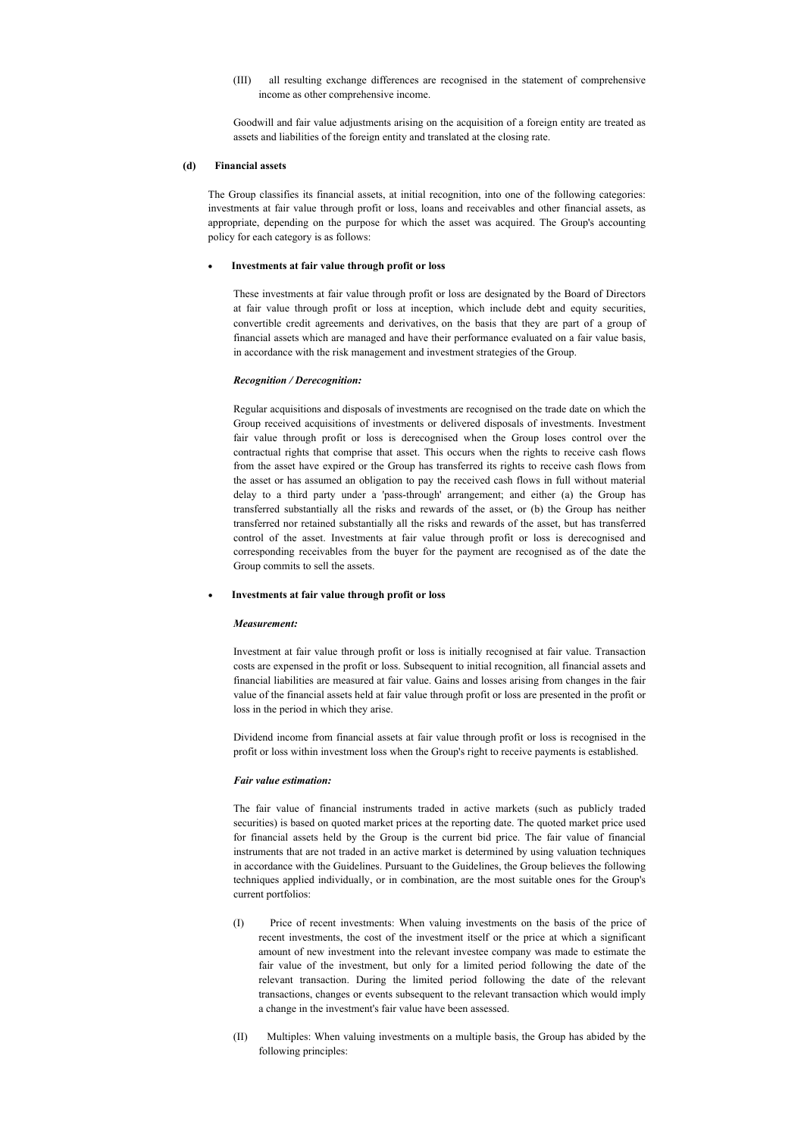(III) all resulting exchange differences are recognised in the statement of comprehensive income as other comprehensive income.

Goodwill and fair value adjustments arising on the acquisition of a foreign entity are treated as assets and liabilities of the foreign entity and translated at the closing rate.

### (d) Financial assets

The Group classifies its financial assets, at initial recognition, into one of the following categories: investments at fair value through profit or loss, loans and receivables and other financial assets, as appropriate, depending on the purpose for which the asset was acquired. The Group's accounting policy for each category is as follows:

#### Investments at fair value through profit or loss

These investments at fair value through profit or loss are designated by the Board of Directors at fair value through profit or loss at inception, which include debt and equity securities, convertible credit agreements and derivatives, on the basis that they are part of a group of financial assets which are managed and have their performance evaluated on a fair value basis, in accordance with the risk management and investment strategies of the Group.

#### Recognition / Derecognition:

Regular acquisitions and disposals of investments are recognised on the trade date on which the Group received acquisitions of investments or delivered disposals of investments. Investment fair value through profit or loss is derecognised when the Group loses control over the contractual rights that comprise that asset. This occurs when the rights to receive cash flows from the asset have expired or the Group has transferred its rights to receive cash flows from the asset or has assumed an obligation to pay the received cash flows in full without material delay to a third party under a 'pass-through' arrangement; and either (a) the Group has transferred substantially all the risks and rewards of the asset, or (b) the Group has neither transferred nor retained substantially all the risks and rewards of the asset, but has transferred control of the asset. Investments at fair value through profit or loss is derecognised and corresponding receivables from the buyer for the payment are recognised as of the date the Group commits to sell the assets.

### Investments at fair value through profit or loss

#### Measurement:

Investment at fair value through profit or loss is initially recognised at fair value. Transaction costs are expensed in the profit or loss. Subsequent to initial recognition, all financial assets and financial liabilities are measured at fair value. Gains and losses arising from changes in the fair value of the financial assets held at fair value through profit or loss are presented in the profit or loss in the period in which they arise.

Dividend income from financial assets at fair value through profit or loss is recognised in the profit or loss within investment loss when the Group's right to receive payments is established.

#### Fair value estimation:

The fair value of financial instruments traded in active markets (such as publicly traded securities) is based on quoted market prices at the reporting date. The quoted market price used for financial assets held by the Group is the current bid price. The fair value of financial instruments that are not traded in an active market is determined by using valuation techniques in accordance with the Guidelines. Pursuant to the Guidelines, the Group believes the following techniques applied individually, or in combination, are the most suitable ones for the Group's current portfolios:

- (I) Price of recent investments: When valuing investments on the basis of the price of recent investments, the cost of the investment itself or the price at which a significant amount of new investment into the relevant investee company was made to estimate the fair value of the investment, but only for a limited period following the date of the relevant transaction. During the limited period following the date of the relevant transactions, changes or events subsequent to the relevant transaction which would imply a change in the investment's fair value have been assessed.
- (II) Multiples: When valuing investments on a multiple basis, the Group has abided by the following principles: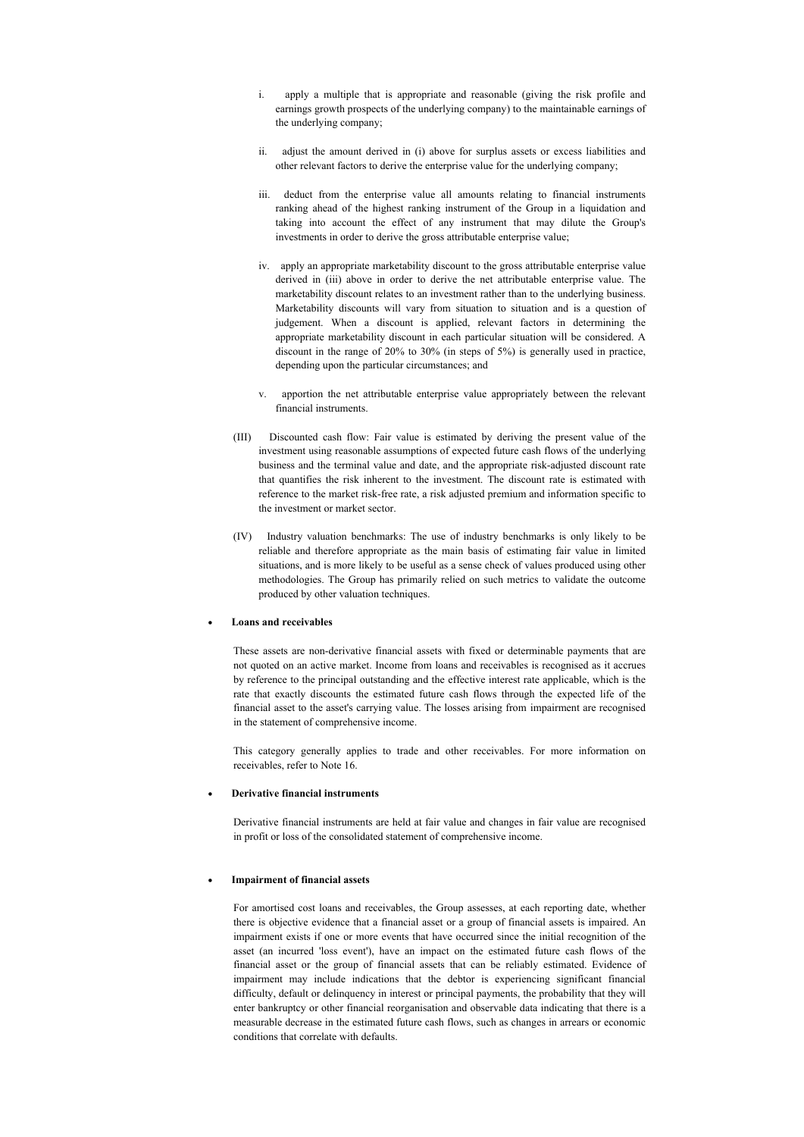- apply a multiple that is appropriate and reasonable (giving the risk profile and earnings growth prospects of the underlying company) to the maintainable earnings of the underlying company;
- ii. adjust the amount derived in (i) above for surplus assets or excess liabilities and other relevant factors to derive the enterprise value for the underlying company;
- iii. deduct from the enterprise value all amounts relating to financial instruments ranking ahead of the highest ranking instrument of the Group in a liquidation and taking into account the effect of any instrument that may dilute the Group's investments in order to derive the gross attributable enterprise value;
- iv. apply an appropriate marketability discount to the gross attributable enterprise value derived in (iii) above in order to derive the net attributable enterprise value. The marketability discount relates to an investment rather than to the underlying business. Marketability discounts will vary from situation to situation and is a question of judgement. When a discount is applied, relevant factors in determining the appropriate marketability discount in each particular situation will be considered. A discount in the range of 20% to 30% (in steps of 5%) is generally used in practice, depending upon the particular circumstances; and
- v. apportion the net attributable enterprise value appropriately between the relevant financial instruments.
- (III) Discounted cash flow: Fair value is estimated by deriving the present value of the investment using reasonable assumptions of expected future cash flows of the underlying business and the terminal value and date, and the appropriate risk-adjusted discount rate that quantifies the risk inherent to the investment. The discount rate is estimated with reference to the market risk-free rate, a risk adjusted premium and information specific to the investment or market sector.
- (IV) Industry valuation benchmarks: The use of industry benchmarks is only likely to be reliable and therefore appropriate as the main basis of estimating fair value in limited situations, and is more likely to be useful as a sense check of values produced using other methodologies. The Group has primarily relied on such metrics to validate the outcome produced by other valuation techniques.

#### Loans and receivables

These assets are non-derivative financial assets with fixed or determinable payments that are not quoted on an active market. Income from loans and receivables is recognised as it accrues by reference to the principal outstanding and the effective interest rate applicable, which is the rate that exactly discounts the estimated future cash flows through the expected life of the financial asset to the asset's carrying value. The losses arising from impairment are recognised in the statement of comprehensive income.

This category generally applies to trade and other receivables. For more information on receivables, refer to Note 16.

### Derivative financial instruments

Derivative financial instruments are held at fair value and changes in fair value are recognised in profit or loss of the consolidated statement of comprehensive income.

### · Impairment of financial assets

For amortised cost loans and receivables, the Group assesses, at each reporting date, whether there is objective evidence that a financial asset or a group of financial assets is impaired. An impairment exists if one or more events that have occurred since the initial recognition of the asset (an incurred 'loss event'), have an impact on the estimated future cash flows of the financial asset or the group of financial assets that can be reliably estimated. Evidence of impairment may include indications that the debtor is experiencing significant financial difficulty, default or delinquency in interest or principal payments, the probability that they will enter bankruptcy or other financial reorganisation and observable data indicating that there is a measurable decrease in the estimated future cash flows, such as changes in arrears or economic conditions that correlate with defaults.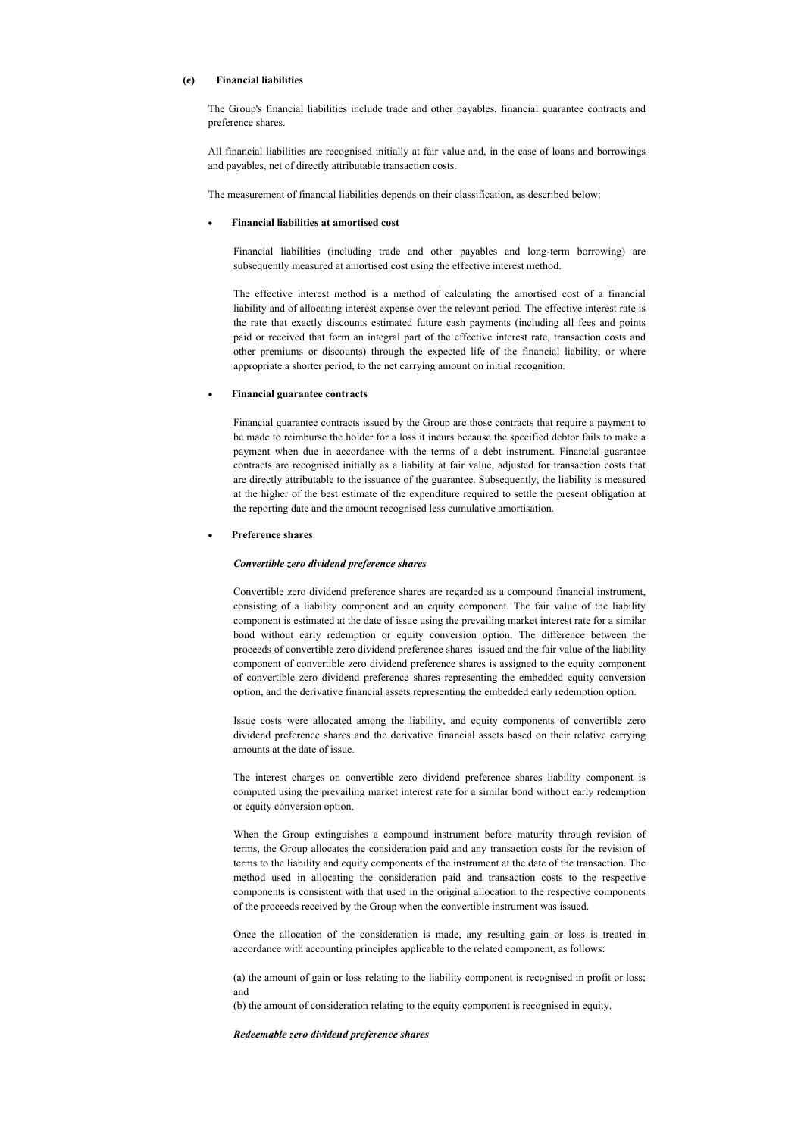### (e) Financial liabilities

The Group's financial liabilities include trade and other payables, financial guarantee contracts and preference shares.

All financial liabilities are recognised initially at fair value and, in the case of loans and borrowings and payables, net of directly attributable transaction costs.

The measurement of financial liabilities depends on their classification, as described below:

#### Financial liabilities at amortised cost

Financial liabilities (including trade and other payables and long-term borrowing) are subsequently measured at amortised cost using the effective interest method.

The effective interest method is a method of calculating the amortised cost of a financial liability and of allocating interest expense over the relevant period. The effective interest rate is the rate that exactly discounts estimated future cash payments (including all fees and points paid or received that form an integral part of the effective interest rate, transaction costs and other premiums or discounts) through the expected life of the financial liability, or where appropriate a shorter period, to the net carrying amount on initial recognition.

#### · Financial guarantee contracts

Financial guarantee contracts issued by the Group are those contracts that require a payment to be made to reimburse the holder for a loss it incurs because the specified debtor fails to make a payment when due in accordance with the terms of a debt instrument. Financial guarantee contracts are recognised initially as a liability at fair value, adjusted for transaction costs that are directly attributable to the issuance of the guarantee. Subsequently, the liability is measured at the higher of the best estimate of the expenditure required to settle the present obligation at the reporting date and the amount recognised less cumulative amortisation.

#### Preference shares

#### Convertible zero dividend preference shares

Convertible zero dividend preference shares are regarded as a compound financial instrument, consisting of a liability component and an equity component. The fair value of the liability component is estimated at the date of issue using the prevailing market interest rate for a similar bond without early redemption or equity conversion option. The difference between the proceeds of convertible zero dividend preference shares issued and the fair value of the liability component of convertible zero dividend preference shares is assigned to the equity component of convertible zero dividend preference shares representing the embedded equity conversion option, and the derivative financial assets representing the embedded early redemption option.

Issue costs were allocated among the liability, and equity components of convertible zero dividend preference shares and the derivative financial assets based on their relative carrying amounts at the date of issue.

The interest charges on convertible zero dividend preference shares liability component is computed using the prevailing market interest rate for a similar bond without early redemption or equity conversion option.

When the Group extinguishes a compound instrument before maturity through revision of terms, the Group allocates the consideration paid and any transaction costs for the revision of terms to the liability and equity components of the instrument at the date of the transaction. The method used in allocating the consideration paid and transaction costs to the respective components is consistent with that used in the original allocation to the respective components of the proceeds received by the Group when the convertible instrument was issued.

Once the allocation of the consideration is made, any resulting gain or loss is treated in accordance with accounting principles applicable to the related component, as follows:

(a) the amount of gain or loss relating to the liability component is recognised in profit or loss; and

(b) the amount of consideration relating to the equity component is recognised in equity.

Redeemable zero dividend preference shares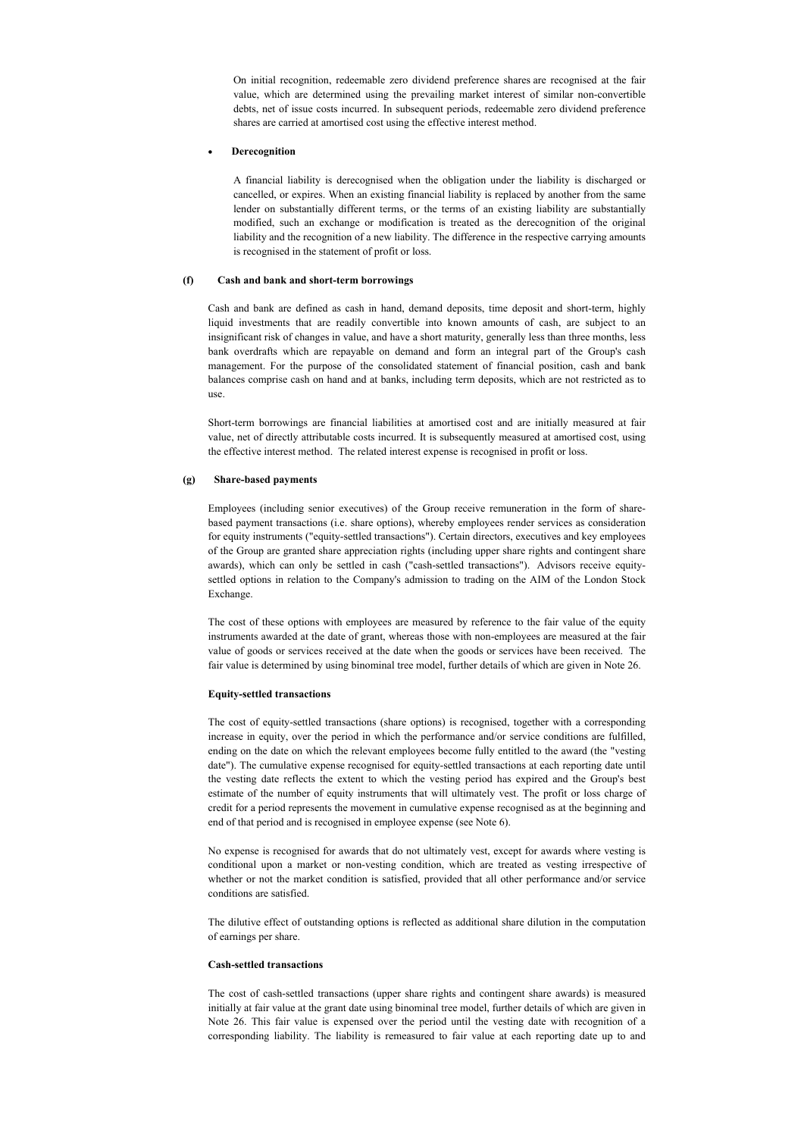On initial recognition, redeemable zero dividend preference shares are recognised at the fair value, which are determined using the prevailing market interest of similar non-convertible debts, net of issue costs incurred. In subsequent periods, redeemable zero dividend preference shares are carried at amortised cost using the effective interest method.

#### **Derecognition**

A financial liability is derecognised when the obligation under the liability is discharged or cancelled, or expires. When an existing financial liability is replaced by another from the same lender on substantially different terms, or the terms of an existing liability are substantially modified, such an exchange or modification is treated as the derecognition of the original liability and the recognition of a new liability. The difference in the respective carrying amounts is recognised in the statement of profit or loss.

#### (f) Cash and bank and short-term borrowings

Cash and bank are defined as cash in hand, demand deposits, time deposit and short-term, highly liquid investments that are readily convertible into known amounts of cash, are subject to an insignificant risk of changes in value, and have a short maturity, generally less than three months, less bank overdrafts which are repayable on demand and form an integral part of the Group's cash management. For the purpose of the consolidated statement of financial position, cash and bank balances comprise cash on hand and at banks, including term deposits, which are not restricted as to use.

Short-term borrowings are financial liabilities at amortised cost and are initially measured at fair value, net of directly attributable costs incurred. It is subsequently measured at amortised cost, using the effective interest method. The related interest expense is recognised in profit or loss.

#### (g) Share-based payments

Employees (including senior executives) of the Group receive remuneration in the form of sharebased payment transactions (i.e. share options), whereby employees render services as consideration for equity instruments ("equity-settled transactions"). Certain directors, executives and key employees of the Group are granted share appreciation rights (including upper share rights and contingent share awards), which can only be settled in cash ("cash-settled transactions"). Advisors receive equitysettled options in relation to the Company's admission to trading on the AIM of the London Stock Exchange.

The cost of these options with employees are measured by reference to the fair value of the equity instruments awarded at the date of grant, whereas those with non-employees are measured at the fair value of goods or services received at the date when the goods or services have been received. The fair value is determined by using binominal tree model, further details of which are given in Note 26.

### Equity-settled transactions

The cost of equity-settled transactions (share options) is recognised, together with a corresponding increase in equity, over the period in which the performance and/or service conditions are fulfilled, ending on the date on which the relevant employees become fully entitled to the award (the "vesting date"). The cumulative expense recognised for equity-settled transactions at each reporting date until the vesting date reflects the extent to which the vesting period has expired and the Group's best estimate of the number of equity instruments that will ultimately vest. The profit or loss charge of credit for a period represents the movement in cumulative expense recognised as at the beginning and end of that period and is recognised in employee expense (see Note 6).

No expense is recognised for awards that do not ultimately vest, except for awards where vesting is conditional upon a market or non-vesting condition, which are treated as vesting irrespective of whether or not the market condition is satisfied, provided that all other performance and/or service conditions are satisfied.

The dilutive effect of outstanding options is reflected as additional share dilution in the computation of earnings per share.

#### Cash-settled transactions

The cost of cash-settled transactions (upper share rights and contingent share awards) is measured initially at fair value at the grant date using binominal tree model, further details of which are given in Note 26. This fair value is expensed over the period until the vesting date with recognition of a corresponding liability. The liability is remeasured to fair value at each reporting date up to and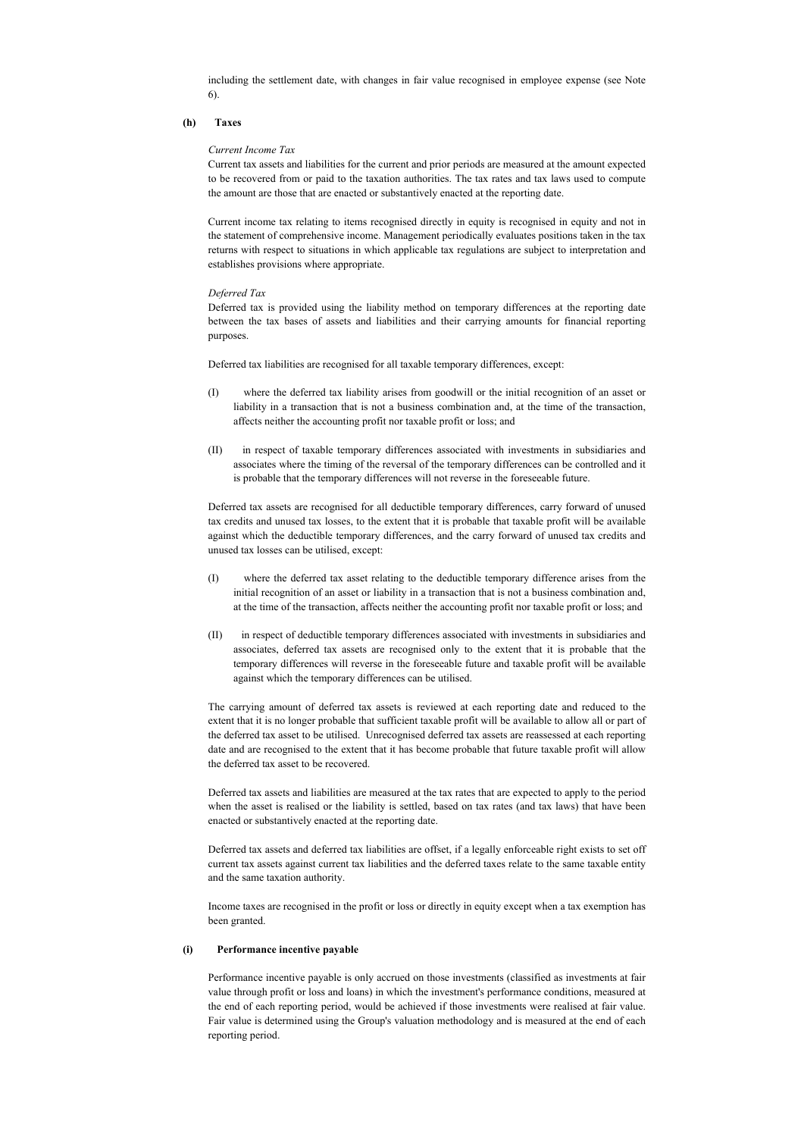including the settlement date, with changes in fair value recognised in employee expense (see Note 6).

### (h) Taxes

#### Current Income Tax

Current tax assets and liabilities for the current and prior periods are measured at the amount expected to be recovered from or paid to the taxation authorities. The tax rates and tax laws used to compute the amount are those that are enacted or substantively enacted at the reporting date.

Current income tax relating to items recognised directly in equity is recognised in equity and not in the statement of comprehensive income. Management periodically evaluates positions taken in the tax returns with respect to situations in which applicable tax regulations are subject to interpretation and establishes provisions where appropriate.

#### Deferred Tax

Deferred tax is provided using the liability method on temporary differences at the reporting date between the tax bases of assets and liabilities and their carrying amounts for financial reporting purposes.

Deferred tax liabilities are recognised for all taxable temporary differences, except:

- (I) where the deferred tax liability arises from goodwill or the initial recognition of an asset or liability in a transaction that is not a business combination and, at the time of the transaction, affects neither the accounting profit nor taxable profit or loss; and
- (II) in respect of taxable temporary differences associated with investments in subsidiaries and associates where the timing of the reversal of the temporary differences can be controlled and it is probable that the temporary differences will not reverse in the foreseeable future.

Deferred tax assets are recognised for all deductible temporary differences, carry forward of unused tax credits and unused tax losses, to the extent that it is probable that taxable profit will be available against which the deductible temporary differences, and the carry forward of unused tax credits and unused tax losses can be utilised, except:

- (I) where the deferred tax asset relating to the deductible temporary difference arises from the initial recognition of an asset or liability in a transaction that is not a business combination and, at the time of the transaction, affects neither the accounting profit nor taxable profit or loss; and
- (II) in respect of deductible temporary differences associated with investments in subsidiaries and associates, deferred tax assets are recognised only to the extent that it is probable that the temporary differences will reverse in the foreseeable future and taxable profit will be available against which the temporary differences can be utilised.

The carrying amount of deferred tax assets is reviewed at each reporting date and reduced to the extent that it is no longer probable that sufficient taxable profit will be available to allow all or part of the deferred tax asset to be utilised. Unrecognised deferred tax assets are reassessed at each reporting date and are recognised to the extent that it has become probable that future taxable profit will allow the deferred tax asset to be recovered.

Deferred tax assets and liabilities are measured at the tax rates that are expected to apply to the period when the asset is realised or the liability is settled, based on tax rates (and tax laws) that have been enacted or substantively enacted at the reporting date.

Deferred tax assets and deferred tax liabilities are offset, if a legally enforceable right exists to set off current tax assets against current tax liabilities and the deferred taxes relate to the same taxable entity and the same taxation authority.

Income taxes are recognised in the profit or loss or directly in equity except when a tax exemption has been granted.

#### (i) Performance incentive payable

Performance incentive payable is only accrued on those investments (classified as investments at fair value through profit or loss and loans) in which the investment's performance conditions, measured at the end of each reporting period, would be achieved if those investments were realised at fair value. Fair value is determined using the Group's valuation methodology and is measured at the end of each reporting period.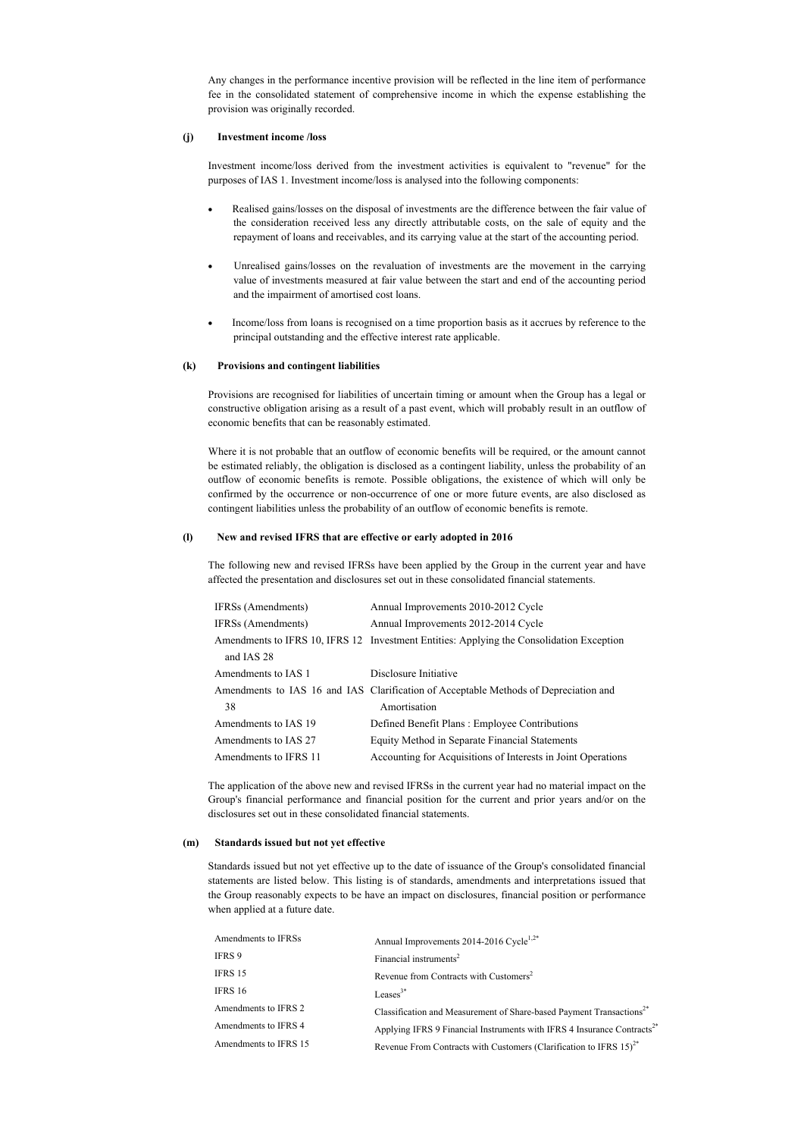Any changes in the performance incentive provision will be reflected in the line item of performance fee in the consolidated statement of comprehensive income in which the expense establishing the provision was originally recorded.

### (j) Investment income /loss

Investment income/loss derived from the investment activities is equivalent to "revenue" for the purposes of IAS 1. Investment income/loss is analysed into the following components:

- Realised gains/losses on the disposal of investments are the difference between the fair value of the consideration received less any directly attributable costs, on the sale of equity and the repayment of loans and receivables, and its carrying value at the start of the accounting period.
- · Unrealised gains/losses on the revaluation of investments are the movement in the carrying value of investments measured at fair value between the start and end of the accounting period and the impairment of amortised cost loans.
- Income/loss from loans is recognised on a time proportion basis as it accrues by reference to the principal outstanding and the effective interest rate applicable.

#### (k) Provisions and contingent liabilities

Provisions are recognised for liabilities of uncertain timing or amount when the Group has a legal or constructive obligation arising as a result of a past event, which will probably result in an outflow of economic benefits that can be reasonably estimated.

Where it is not probable that an outflow of economic benefits will be required, or the amount cannot be estimated reliably, the obligation is disclosed as a contingent liability, unless the probability of an outflow of economic benefits is remote. Possible obligations, the existence of which will only be confirmed by the occurrence or non-occurrence of one or more future events, are also disclosed as contingent liabilities unless the probability of an outflow of economic benefits is remote.

#### (l) New and revised IFRS that are effective or early adopted in 2016

The following new and revised IFRSs have been applied by the Group in the current year and have affected the presentation and disclosures set out in these consolidated financial statements.

| IFRSs (Amendments)    | Annual Improvements 2010-2012 Cycle                                                      |
|-----------------------|------------------------------------------------------------------------------------------|
| IFRSs (Amendments)    | Annual Improvements 2012-2014 Cycle                                                      |
|                       | Amendments to IFRS 10, IFRS 12 Investment Entities: Applying the Consolidation Exception |
| and IAS 28            |                                                                                          |
| Amendments to IAS 1   | Disclosure Initiative                                                                    |
|                       | Amendments to IAS 16 and IAS Clarification of Acceptable Methods of Depreciation and     |
| 38                    | Amortisation                                                                             |
| Amendments to IAS 19  | Defined Benefit Plans: Employee Contributions                                            |
| Amendments to IAS 27  | Equity Method in Separate Financial Statements                                           |
| Amendments to IFRS 11 | Accounting for Acquisitions of Interests in Joint Operations                             |

The application of the above new and revised IFRSs in the current year had no material impact on the Group's financial performance and financial position for the current and prior years and/or on the disclosures set out in these consolidated financial statements.

### (m) Standards issued but not yet effective

Standards issued but not yet effective up to the date of issuance of the Group's consolidated financial statements are listed below. This listing is of standards, amendments and interpretations issued that the Group reasonably expects to be have an impact on disclosures, financial position or performance when applied at a future date.

| Annual Improvements 2014-2016 Cycle <sup>1,2*</sup>                                 |
|-------------------------------------------------------------------------------------|
| Financial instruments <sup>2</sup>                                                  |
| Revenue from Contracts with Customers <sup>2</sup>                                  |
| Leases <sup>3*</sup>                                                                |
| Classification and Measurement of Share-based Payment Transactions <sup>2*</sup>    |
| Applying IFRS 9 Financial Instruments with IFRS 4 Insurance Contracts <sup>2*</sup> |
| Revenue From Contracts with Customers (Clarification to IFRS $15)^{2*}$             |
|                                                                                     |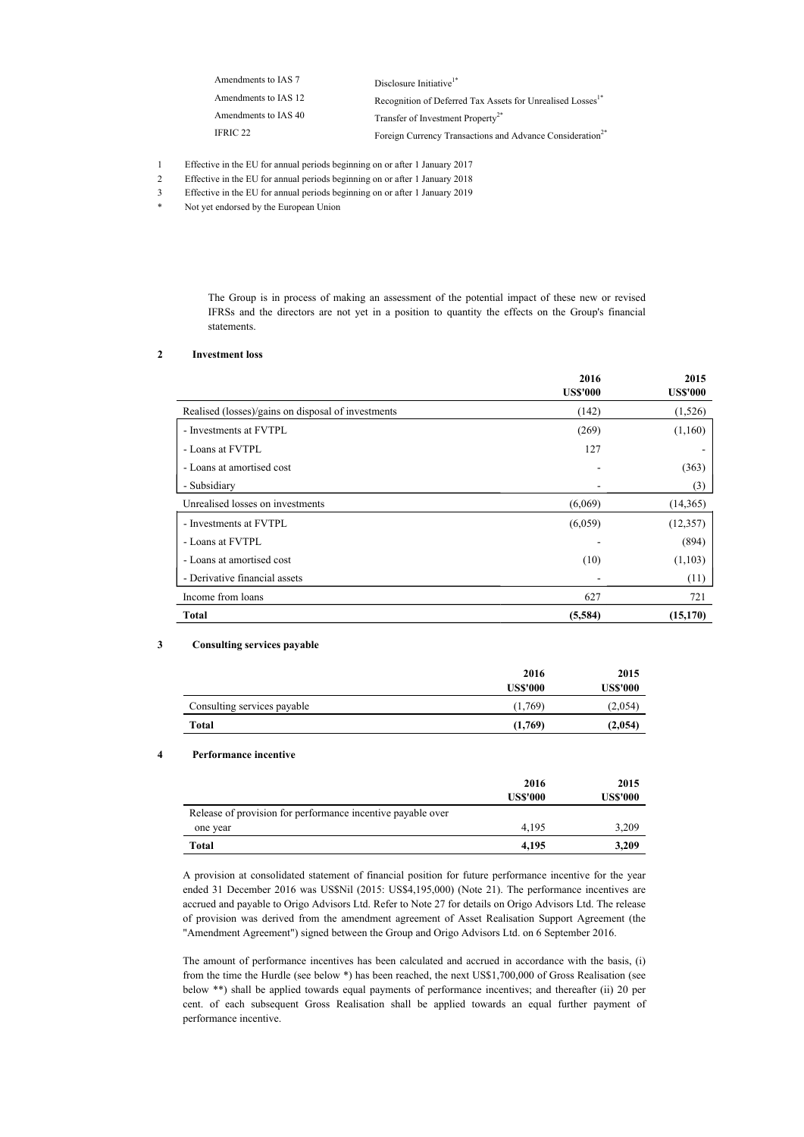| Amendments to IAS 7  | Disclosure Initiative <sup>1*</sup>                                    |
|----------------------|------------------------------------------------------------------------|
| Amendments to IAS 12 | Recognition of Deferred Tax Assets for Unrealised Losses <sup>1*</sup> |
| Amendments to IAS 40 | Transfer of Investment Property <sup>2*</sup>                          |
| IFRIC 22             | Foreign Currency Transactions and Advance Consideration <sup>2*</sup>  |

- 1 Effective in the EU for annual periods beginning on or after 1 January 2017
- 2 Effective in the EU for annual periods beginning on or after 1 January 2018
- 3 Effective in the EU for annual periods beginning on or after 1 January 2019
- \* Not yet endorsed by the European Union

The Group is in process of making an assessment of the potential impact of these new or revised IFRSs and the directors are not yet in a position to quantity the effects on the Group's financial statements.

#### 2 Investment loss

|                                                    | 2016<br><b>US\$'000</b> | 2015<br><b>US\$'000</b> |
|----------------------------------------------------|-------------------------|-------------------------|
| Realised (losses)/gains on disposal of investments | (142)                   | (1,526)                 |
| - Investments at FVTPL                             | (269)                   | (1,160)                 |
| - Loans at FVTPL                                   | 127                     |                         |
| - Loans at amortised cost                          |                         | (363)                   |
| - Subsidiary                                       |                         | (3)                     |
| Unrealised losses on investments                   | (6,069)                 | (14, 365)               |
| - Investments at FVTPL                             | (6,059)                 | (12, 357)               |
| - Loans at FVTPL                                   |                         | (894)                   |
| - Loans at amortised cost                          | (10)                    | (1,103)                 |
| - Derivative financial assets                      |                         | (11)                    |
| Income from loans                                  | 627                     | 721                     |
| Total                                              | (5,584)                 | (15, 170)               |

#### 3 Consulting services payable

|                             | 2016            | 2015            |
|-----------------------------|-----------------|-----------------|
|                             | <b>US\$'000</b> | <b>US\$'000</b> |
| Consulting services payable | (1,769)         | (2,054)         |
| Total                       | (1,769)         | (2,054)         |

### 4 Performance incentive

|                                                             | 2016<br><b>US\$'000</b> | 2015<br><b>US\$'000</b> |
|-------------------------------------------------------------|-------------------------|-------------------------|
| Release of provision for performance incentive payable over |                         |                         |
| one year                                                    | 4.195                   | 3,209                   |
| Total                                                       | 4.195                   | 3,209                   |

A provision at consolidated statement of financial position for future performance incentive for the year ended 31 December 2016 was US\$Nil (2015: US\$4,195,000) (Note 21). The performance incentives are accrued and payable to Origo Advisors Ltd. Refer to Note 27 for details on Origo Advisors Ltd. The release of provision was derived from the amendment agreement of Asset Realisation Support Agreement (the "Amendment Agreement") signed between the Group and Origo Advisors Ltd. on 6 September 2016.

The amount of performance incentives has been calculated and accrued in accordance with the basis, (i) from the time the Hurdle (see below \*) has been reached, the next US\$1,700,000 of Gross Realisation (see below \*\*) shall be applied towards equal payments of performance incentives; and thereafter (ii) 20 per cent. of each subsequent Gross Realisation shall be applied towards an equal further payment of performance incentive.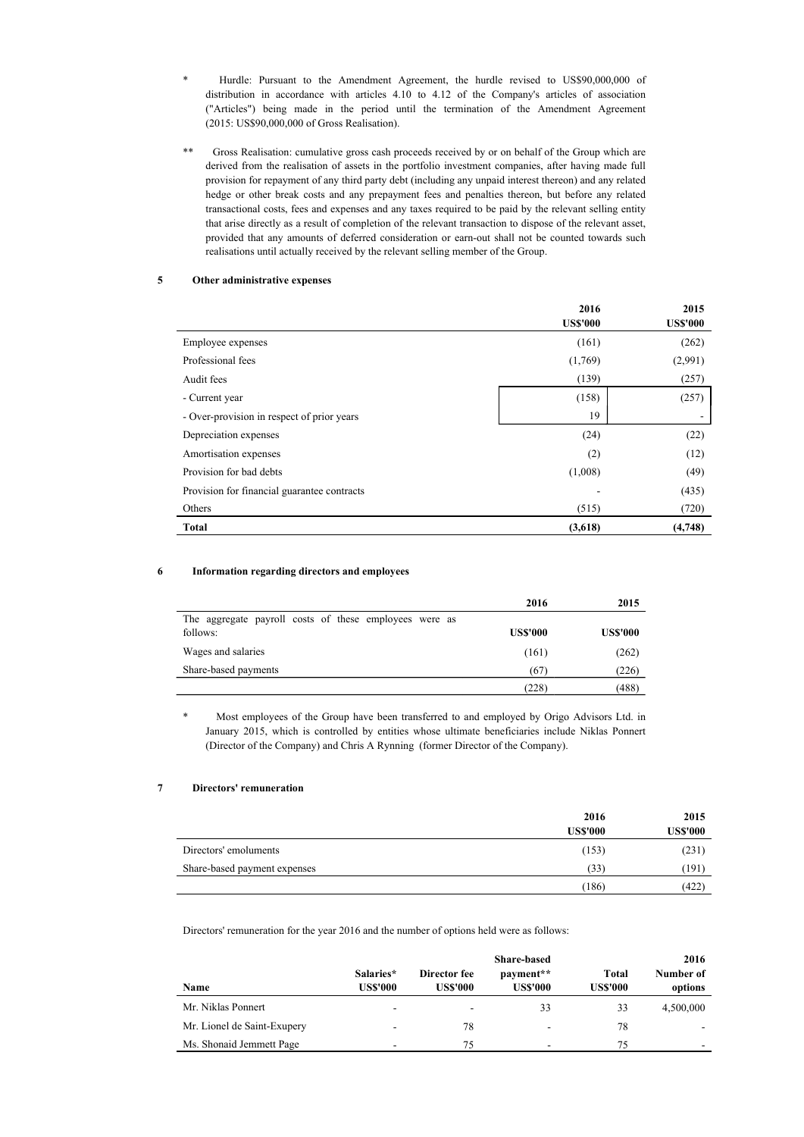- \* Hurdle: Pursuant to the Amendment Agreement, the hurdle revised to US\$90,000,000 of distribution in accordance with articles 4.10 to 4.12 of the Company's articles of association ("Articles") being made in the period until the termination of the Amendment Agreement (2015: US\$90,000,000 of Gross Realisation).
- \*\* Gross Realisation: cumulative gross cash proceeds received by or on behalf of the Group which are derived from the realisation of assets in the portfolio investment companies, after having made full provision for repayment of any third party debt (including any unpaid interest thereon) and any related hedge or other break costs and any prepayment fees and penalties thereon, but before any related transactional costs, fees and expenses and any taxes required to be paid by the relevant selling entity that arise directly as a result of completion of the relevant transaction to dispose of the relevant asset, provided that any amounts of deferred consideration or earn-out shall not be counted towards such realisations until actually received by the relevant selling member of the Group.

### 5 Other administrative expenses

|                                             | 2016<br><b>US\$'000</b> | 2015<br><b>US\$'000</b> |
|---------------------------------------------|-------------------------|-------------------------|
| Employee expenses                           | (161)                   | (262)                   |
| Professional fees                           | (1,769)                 | (2,991)                 |
| Audit fees                                  | (139)                   | (257)                   |
| - Current year                              | (158)                   | (257)                   |
| - Over-provision in respect of prior years  | 19                      |                         |
| Depreciation expenses                       | (24)                    | (22)                    |
| Amortisation expenses                       | (2)                     | (12)                    |
| Provision for bad debts                     | (1,008)                 | (49)                    |
| Provision for financial guarantee contracts |                         | (435)                   |
| Others                                      | (515)                   | (720)                   |
| <b>Total</b>                                | (3,618)                 | (4,748)                 |

### 6 Information regarding directors and employees

|                                                        | 2016            | 2015            |
|--------------------------------------------------------|-----------------|-----------------|
| The aggregate payroll costs of these employees were as |                 |                 |
| follows:                                               | <b>US\$'000</b> | <b>US\$'000</b> |
| Wages and salaries                                     | (161)           | (262)           |
| Share-based payments                                   | (67)            | (226)           |
|                                                        | (228)           | (488)           |

\* Most employees of the Group have been transferred to and employed by Origo Advisors Ltd. in January 2015, which is controlled by entities whose ultimate beneficiaries include Niklas Ponnert (Director of the Company) and Chris A Rynning (former Director of the Company).

#### 7 Directors' remuneration

|                              | 2016            | 2015            |
|------------------------------|-----------------|-----------------|
|                              | <b>US\$'000</b> | <b>US\$'000</b> |
| Directors' emoluments        | (153)           | (231)           |
| Share-based payment expenses | (33)            | (191)           |
|                              | (186)           | (422)           |

Directors' remuneration for the year 2016 and the number of options held were as follows:

|                             |                              |                                 | 2016                  |                          |                      |
|-----------------------------|------------------------------|---------------------------------|-----------------------|--------------------------|----------------------|
| Name                        | Salaries*<br><b>US\$'000</b> | Director fee<br><b>US\$'000</b> | payment**<br>US\$'000 | Total<br><b>US\$'000</b> | Number of<br>options |
| Mr. Niklas Ponnert          | $\overline{\phantom{a}}$     | ۰                               | 33                    | 33                       | 4,500,000            |
| Mr. Lionel de Saint-Exupery |                              | 78                              | -                     | 78                       |                      |
| Ms. Shonaid Jemmett Page    | -                            | 75                              |                       | 75                       |                      |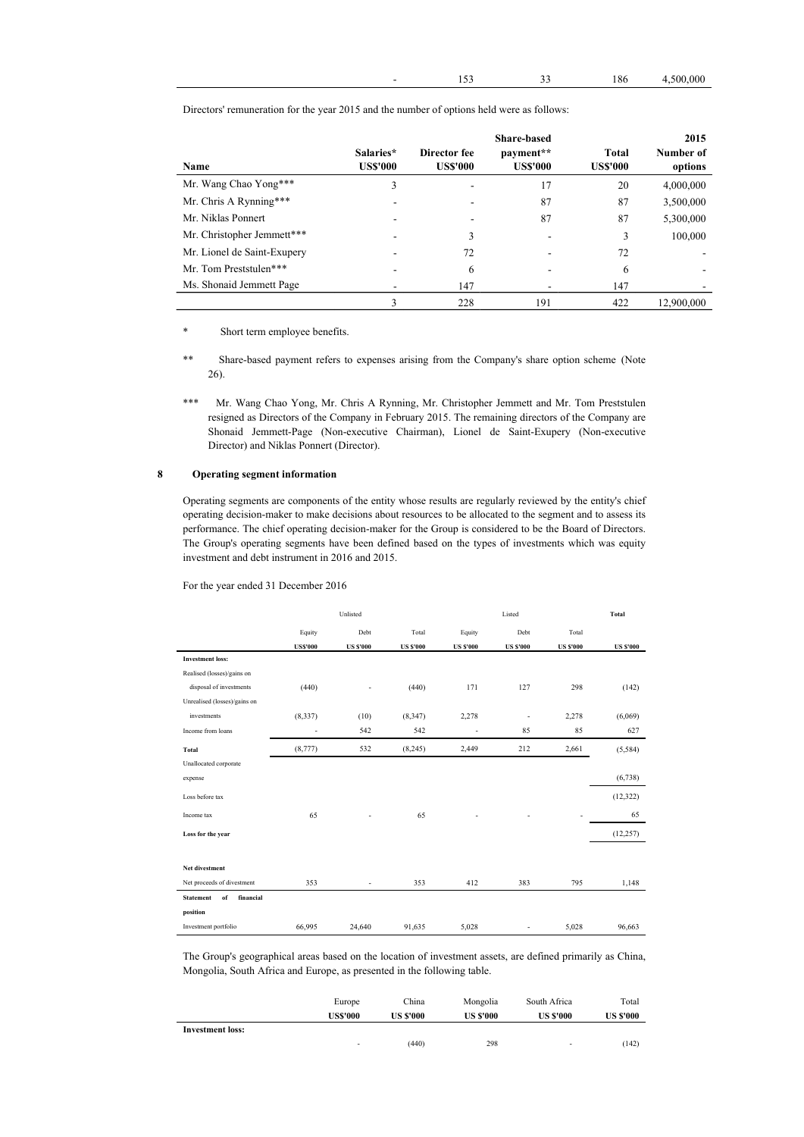|  |  |  | 186 | 4,500,000 |
|--|--|--|-----|-----------|
|--|--|--|-----|-----------|

| <b>Name</b>                 | Salaries*<br><b>US\$'000</b> | Director fee<br><b>US\$'000</b> | Share-based<br>payment**<br><b>US\$'000</b> | Total<br><b>US\$'000</b> | 2015<br>Number of<br>options |
|-----------------------------|------------------------------|---------------------------------|---------------------------------------------|--------------------------|------------------------------|
| Mr. Wang Chao Yong***       | 3                            |                                 | 17                                          | 20                       | 4,000,000                    |
| Mr. Chris A Rynning***      |                              |                                 | 87                                          | 87                       | 3,500,000                    |
| Mr. Niklas Ponnert          |                              |                                 | 87                                          | 87                       | 5,300,000                    |
| Mr. Christopher Jemmett***  |                              | 3                               |                                             | 3                        | 100,000                      |
| Mr. Lionel de Saint-Exupery |                              | 72                              |                                             | 72                       |                              |
| Mr. Tom Preststulen***      |                              | 6                               |                                             | 6                        |                              |
| Ms. Shonaid Jemmett Page    |                              | 147                             |                                             | 147                      |                              |
|                             | 3                            | 228                             | 191                                         | 422                      | 12,900,000                   |

Directors' remuneration for the year 2015 and the number of options held were as follows:

\* Short term employee benefits.

\*\* Share-based payment refers to expenses arising from the Company's share option scheme (Note 26).

\*\*\* Mr. Wang Chao Yong, Mr. Chris A Rynning, Mr. Christopher Jemmett and Mr. Tom Preststulen resigned as Directors of the Company in February 2015. The remaining directors of the Company are Shonaid Jemmett-Page (Non-executive Chairman), Lionel de Saint-Exupery (Non-executive Director) and Niklas Ponnert (Director).

### 8 Operating segment information

Operating segments are components of the entity whose results are regularly reviewed by the entity's chief operating decision-maker to make decisions about resources to be allocated to the segment and to assess its performance. The chief operating decision-maker for the Group is considered to be the Board of Directors. The Group's operating segments have been defined based on the types of investments which was equity investment and debt instrument in 2016 and 2015.

### For the year ended 31 December 2016

|                                     |                 | Unlisted                 | Listed           |                          |                  | Total            |                  |
|-------------------------------------|-----------------|--------------------------|------------------|--------------------------|------------------|------------------|------------------|
|                                     | Equity          | Debt                     | Total            | Equity                   | Debt             | Total            |                  |
|                                     | <b>US\$'000</b> | <b>US \$'000</b>         | <b>US \$'000</b> | <b>US \$'000</b>         | <b>US \$'000</b> | <b>US \$'000</b> | <b>US \$'000</b> |
| <b>Investment loss:</b>             |                 |                          |                  |                          |                  |                  |                  |
| Realised (losses)/gains on          |                 |                          |                  |                          |                  |                  |                  |
| disposal of investments             | (440)           |                          | (440)            | 171                      | 127              | 298              | (142)            |
| Unrealised (losses)/gains on        |                 |                          |                  |                          |                  |                  |                  |
| investments                         | (8, 337)        | (10)                     | (8,347)          | 2,278                    | $\overline{a}$   | 2,278            | (6,069)          |
| Income from loans                   | ÷,              | 542                      | 542              | $\overline{\phantom{a}}$ | 85               | 85               | 627              |
| Total                               | (8,777)         | 532                      | (8,245)          | 2,449                    | 212              | 2,661            | (5,584)          |
| Unallocated corporate               |                 |                          |                  |                          |                  |                  |                  |
| expense                             |                 |                          |                  |                          |                  |                  | (6,738)          |
| Loss before tax                     |                 |                          |                  |                          |                  |                  | (12, 322)        |
| Income tax                          | 65              |                          | 65               |                          |                  |                  | 65               |
| Loss for the year                   |                 |                          |                  |                          |                  |                  | (12, 257)        |
|                                     |                 |                          |                  |                          |                  |                  |                  |
| Net divestment                      |                 |                          |                  |                          |                  |                  |                  |
| Net proceeds of divestment          | 353             | $\overline{\phantom{a}}$ | 353              | 412                      | 383              | 795              | 1,148            |
| of<br>financial<br><b>Statement</b> |                 |                          |                  |                          |                  |                  |                  |
| position                            |                 |                          |                  |                          |                  |                  |                  |
| Investment portfolio                | 66,995          | 24,640                   | 91,635           | 5,028                    | ä,               | 5,028            | 96,663           |

The Group's geographical areas based on the location of investment assets, are defined primarily as China, Mongolia, South Africa and Europe, as presented in the following table.

|                         | Europe                   | China            | Mongolia         | South Africa             | Total            |
|-------------------------|--------------------------|------------------|------------------|--------------------------|------------------|
|                         | <b>US\$'000</b>          | <b>US \$'000</b> | <b>US \$'000</b> | <b>US \$'000</b>         | <b>US \$'000</b> |
| <b>Investment loss:</b> |                          |                  |                  |                          |                  |
|                         | $\overline{\phantom{a}}$ | (440)            | 298              | $\overline{\phantom{0}}$ | (142)            |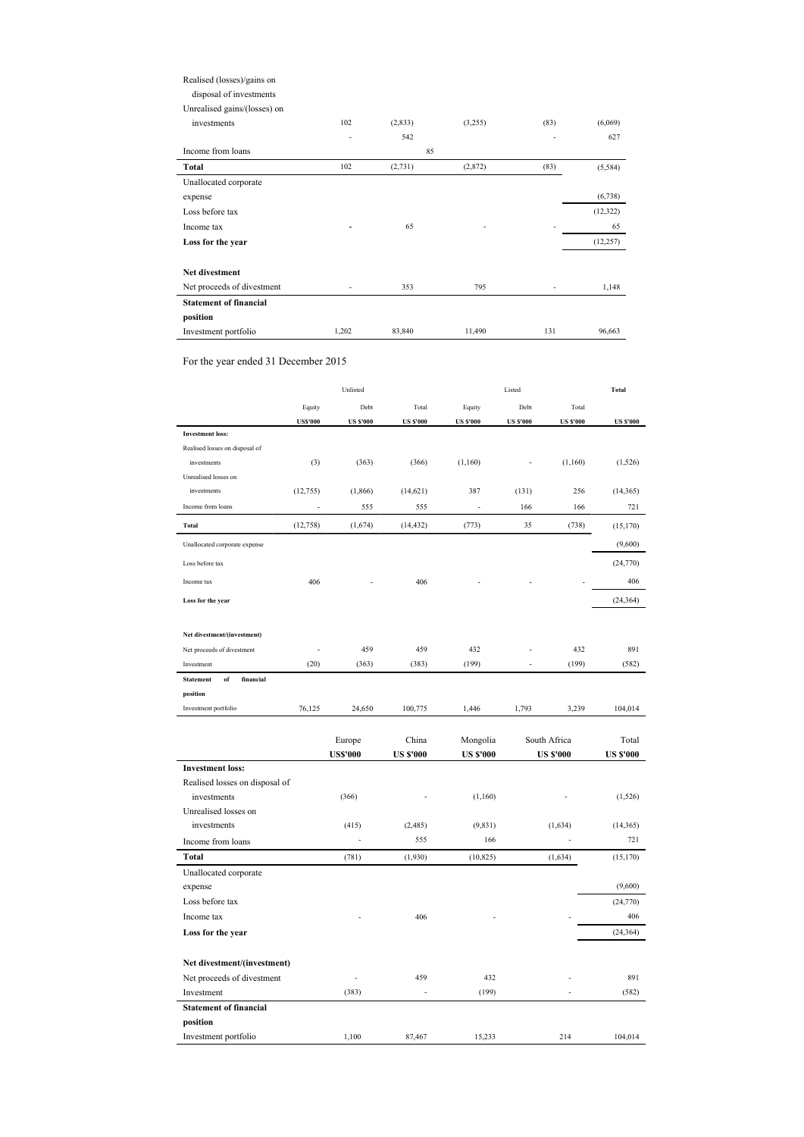## Realised (losses)/gains on

disposal of investments

Unrealised gains/(losses) on

| investments                   | 102   | (2, 833)  | (3,255) | (83) | (6,069)   |
|-------------------------------|-------|-----------|---------|------|-----------|
| Income from loans             |       | 542<br>85 |         | ٠    | 627       |
| Total                         | 102   | (2,731)   | (2,872) | (83) | (5,584)   |
| Unallocated corporate         |       |           |         |      |           |
| expense                       |       |           |         |      | (6,738)   |
| Loss before tax               |       |           |         |      | (12, 322) |
| Income tax                    |       | 65        |         |      | 65        |
| Loss for the year             |       |           |         |      | (12, 257) |
| Net divestment                |       |           |         |      |           |
| Net proceeds of divestment    |       | 353       | 795     |      | 1,148     |
| <b>Statement of financial</b> |       |           |         |      |           |
| position                      |       |           |         |      |           |
| Investment portfolio          | 1,202 | 83,840    | 11,490  | 131  | 96,663    |

For the year ended 31 December 2015

|                                     |                 | Unlisted         |                  |                  | Listed           |                  | <b>Total</b>     |
|-------------------------------------|-----------------|------------------|------------------|------------------|------------------|------------------|------------------|
|                                     | Equity          | Debt             | Total            | Equity           | Debt             | Total            |                  |
|                                     | <b>US\$'000</b> | <b>US \$'000</b> | <b>US \$'000</b> | <b>US \$'000</b> | <b>US \$'000</b> | <b>US \$'000</b> | <b>US \$'000</b> |
| <b>Investment</b> loss:             |                 |                  |                  |                  |                  |                  |                  |
| Realised losses on disposal of      |                 |                  |                  |                  |                  |                  |                  |
| investments                         | (3)             | (363)            | (366)            | (1,160)          |                  | (1,160)          | (1, 526)         |
| Unrealised losses on                |                 |                  |                  |                  |                  |                  |                  |
| investments                         | (12,755)        | (1, 866)         | (14, 621)        | 387              | (131)            | 256              | (14, 365)        |
| Income from loans                   |                 | 555              | 555              |                  | 166              | 166              | 721              |
| Total                               | (12, 758)       | (1,674)          | (14, 432)        | (773)            | 35               | (738)            | (15, 170)        |
| Unallocated corporate expense       |                 |                  |                  |                  |                  |                  | (9,600)          |
| Loss before tax                     |                 |                  |                  |                  |                  |                  | (24, 770)        |
| Income tax                          | 406             |                  | 406              |                  |                  |                  | 406              |
| Loss for the year                   |                 |                  |                  |                  |                  |                  | (24, 364)        |
| Net divestment/(investment)         |                 |                  |                  |                  |                  |                  |                  |
| Net proceeds of divestment          |                 | 459              | 459              | 432              |                  | 432              | 891              |
| Investment                          | (20)            | (363)            | (383)            | (199)            | ÷                | (199)            | (582)            |
| of<br>financial<br><b>Statement</b> |                 |                  |                  |                  |                  |                  |                  |
| position                            |                 |                  |                  |                  |                  |                  |                  |
| Investment portfolio                | 76,125          | 24,650           | 100,775          | 1,446            | 1,793            | 3,239            | 104,014          |
|                                     |                 |                  |                  |                  |                  |                  |                  |
|                                     |                 | Europe           | China            | Mongolia         |                  | South Africa     | Total            |
|                                     |                 | <b>US\$'000</b>  | <b>US \$'000</b> | <b>US \$'000</b> |                  | <b>US \$'000</b> | <b>US \$'000</b> |
| <b>Investment loss:</b>             |                 |                  |                  |                  |                  |                  |                  |
| Realised losses on disposal of      |                 |                  |                  |                  |                  |                  |                  |
| investments<br>Unrealised losses on |                 | (366)            |                  | (1,160)          |                  |                  | (1, 526)         |
| investments                         |                 | (415)            | (2,485)          | (9, 831)         |                  | (1,634)          | (14, 365)        |
| Income from loans                   |                 |                  | 555              | 166              |                  |                  | 721              |
|                                     |                 |                  |                  |                  |                  |                  |                  |
| Total<br>Unallocated corporate      |                 | (781)            | (1,930)          | (10, 825)        |                  | (1,634)          | (15, 170)        |
| expense                             |                 |                  |                  |                  |                  |                  | (9,600)          |
| Loss before tax                     |                 |                  |                  |                  |                  |                  | (24, 770)        |
| Income tax                          |                 |                  | 406              |                  |                  |                  | 406              |
| Loss for the year                   |                 |                  |                  |                  |                  |                  | (24, 364)        |
|                                     |                 |                  |                  |                  |                  |                  |                  |
| Net divestment/(investment)         |                 |                  |                  |                  |                  |                  |                  |
| Net proceeds of divestment          |                 | L,               | 459              | 432              |                  |                  | 891              |
| Investment                          |                 | (383)            | L.               | (199)            |                  | L,               | (582)            |
| <b>Statement of financial</b>       |                 |                  |                  |                  |                  |                  |                  |
| position                            |                 |                  |                  |                  |                  |                  |                  |
| Investment portfolio                |                 | 1,100            | 87,467           | 15,233           |                  | 214              | 104,014          |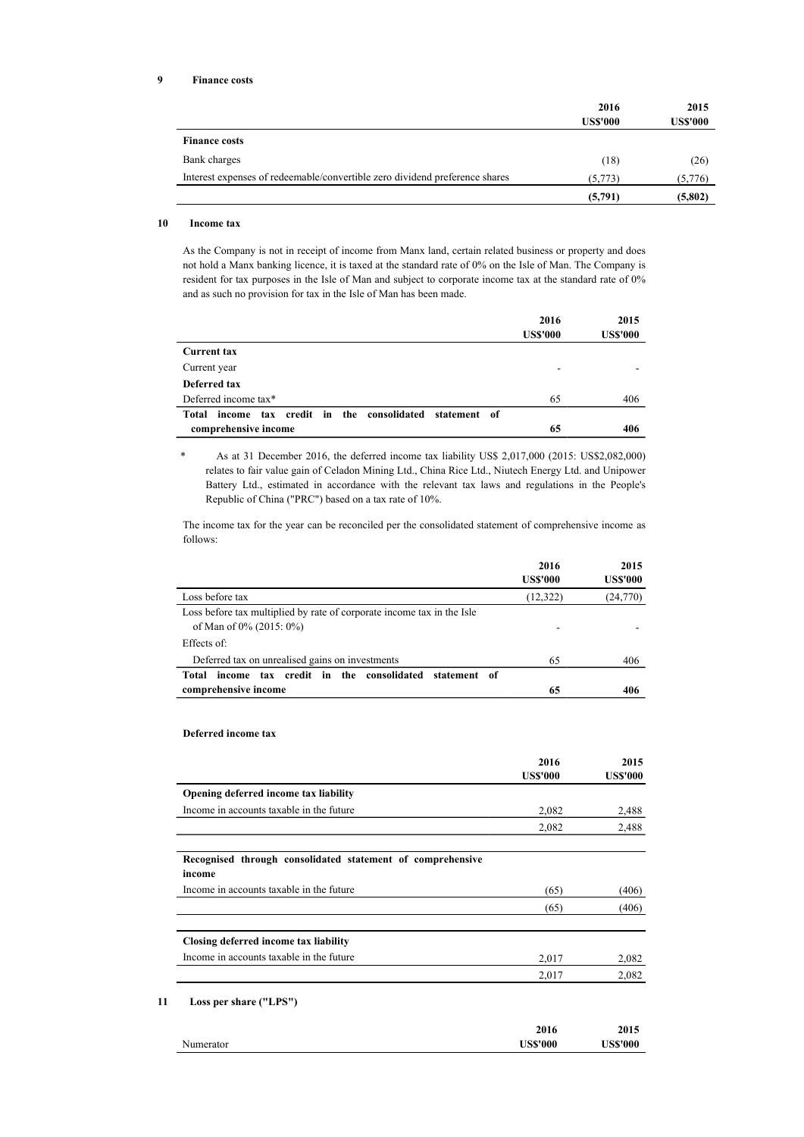|                                                                             | 2016<br><b>US\$'000</b> | 2015<br><b>US\$'000</b> |
|-----------------------------------------------------------------------------|-------------------------|-------------------------|
| <b>Finance costs</b>                                                        |                         |                         |
| Bank charges                                                                | (18)                    | (26)                    |
| Interest expenses of redeemable/convertible zero dividend preference shares | (5,773)                 | (5,776)                 |
|                                                                             | (5,791)                 | (5,802)                 |

### 10 Income tax

As the Company is not in receipt of income from Manx land, certain related business or property and does not hold a Manx banking licence, it is taxed at the standard rate of 0% on the Isle of Man. The Company is resident for tax purposes in the Isle of Man and subject to corporate income tax at the standard rate of 0% and as such no provision for tax in the Isle of Man has been made.

|                                                             | 2016            | 2015            |
|-------------------------------------------------------------|-----------------|-----------------|
|                                                             | <b>US\$'000</b> | <b>US\$'000</b> |
| <b>Current tax</b>                                          |                 |                 |
| Current year                                                | ٠               |                 |
| Deferred tax                                                |                 |                 |
| Deferred income tax*                                        | 65              | 406             |
| income tax credit in the consolidated statement of<br>Total |                 |                 |
| comprehensive income                                        | 65              | 406             |

\* As at 31 December 2016, the deferred income tax liability US\$ 2,017,000 (2015: US\$2,082,000) relates to fair value gain of Celadon Mining Ltd., China Rice Ltd., Niutech Energy Ltd. and Unipower Battery Ltd., estimated in accordance with the relevant tax laws and regulations in the People's Republic of China ("PRC") based on a tax rate of 10%.

The income tax for the year can be reconciled per the consolidated statement of comprehensive income as follows:

|                                                                                                   | 2016            | 2015            |
|---------------------------------------------------------------------------------------------------|-----------------|-----------------|
|                                                                                                   | <b>US\$'000</b> | <b>US\$'000</b> |
| Loss before tax                                                                                   | (12, 322)       | (24,770)        |
| Loss before tax multiplied by rate of corporate income tax in the Isle<br>of Man of 0% (2015: 0%) |                 |                 |
| Effects of:                                                                                       |                 |                 |
| Deferred tax on unrealised gains on investments                                                   | 65              | 406             |
| tax credit in the consolidated statement of<br>income<br>Total                                    |                 |                 |
| comprehensive income                                                                              | 65              | 406             |

### Deferred income tax

|                                                                      | 2016<br><b>US\$'000</b> | 2015<br><b>US\$'000</b> |
|----------------------------------------------------------------------|-------------------------|-------------------------|
| Opening deferred income tax liability                                |                         |                         |
| Income in accounts taxable in the future                             | 2,082                   | 2,488                   |
|                                                                      | 2,082                   | 2,488                   |
| Recognised through consolidated statement of comprehensive<br>income |                         |                         |
| Income in accounts taxable in the future                             | (65)                    | (406)                   |
|                                                                      | (65)                    | (406)                   |
| Closing deferred income tax liability                                |                         |                         |
| Income in accounts taxable in the future                             | 2,017                   | 2,082                   |
|                                                                      | 2,017                   | 2,082                   |

#### Numerator 2016 US\$'000 2015 US\$'000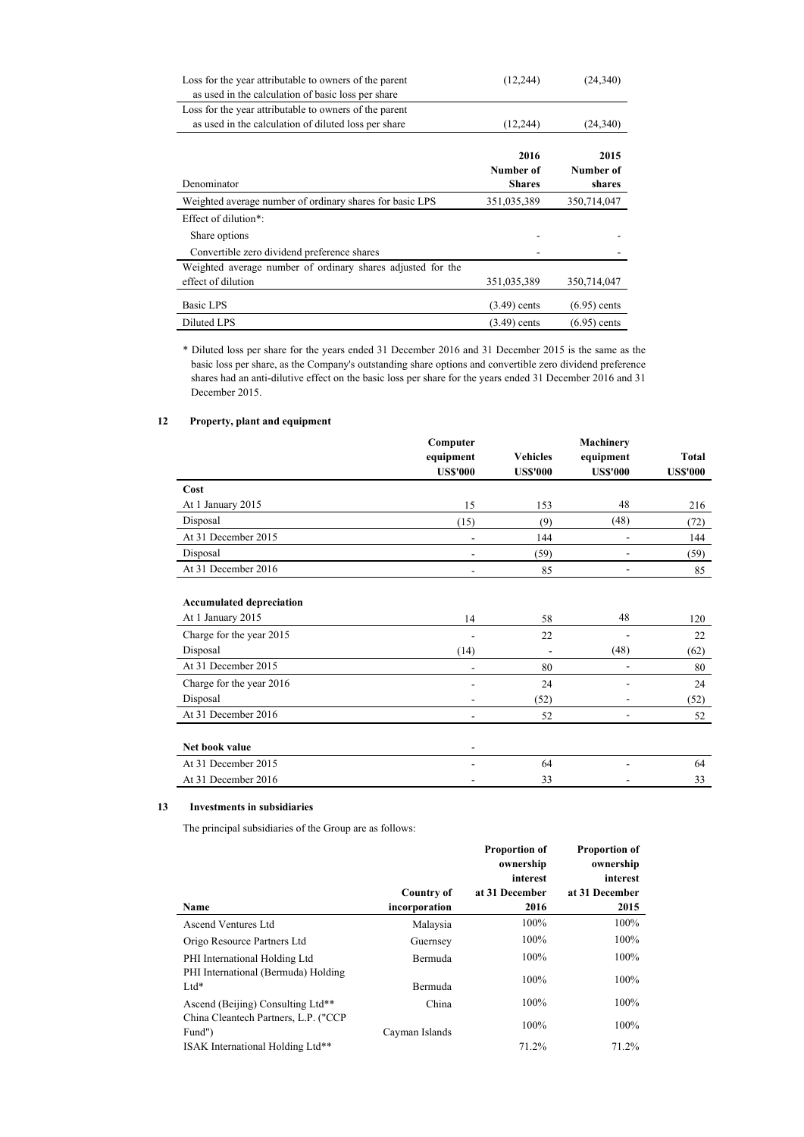| Loss for the year attributable to owners of the parent      | (12, 244)         | (24, 340)         |
|-------------------------------------------------------------|-------------------|-------------------|
| as used in the calculation of basic loss per share          |                   |                   |
| Loss for the year attributable to owners of the parent      |                   |                   |
| as used in the calculation of diluted loss per share        | (12, 244)         | (24, 340)         |
|                                                             | 2016<br>Number of | 2015<br>Number of |
| Denominator                                                 | <b>Shares</b>     | shares            |
| Weighted average number of ordinary shares for basic LPS    | 351,035,389       | 350,714,047       |
| Effect of dilution <sup>*</sup> :                           |                   |                   |
| Share options                                               |                   |                   |
| Convertible zero dividend preference shares                 |                   |                   |
| Weighted average number of ordinary shares adjusted for the |                   |                   |
| effect of dilution                                          | 351,035,389       | 350,714,047       |
| Basic LPS                                                   | $(3.49)$ cents    | $(6.95)$ cents    |
| Diluted LPS                                                 | $(3.49)$ cents    | $(6.95)$ cents    |

\* Diluted loss per share for the years ended 31 December 2016 and 31 December 2015 is the same as the basic loss per share, as the Company's outstanding share options and convertible zero dividend preference shares had an anti-dilutive effect on the basic loss per share for the years ended 31 December 2016 and 31 December 2015.

### 12 Property, plant and equipment

|                                 | Computer<br>equipment<br><b>US\$'000</b> | <b>Vehicles</b><br><b>US\$'000</b> | Machinery<br>equipment<br><b>US\$'000</b> | Total<br><b>US\$'000</b> |
|---------------------------------|------------------------------------------|------------------------------------|-------------------------------------------|--------------------------|
| Cost                            |                                          |                                    |                                           |                          |
| At 1 January 2015               | 15                                       | 153                                | 48                                        | 216                      |
| Disposal                        | (15)                                     | (9)                                | (48)                                      | (72)                     |
| At 31 December 2015             | ٠                                        | 144                                | $\overline{\phantom{a}}$                  | 144                      |
| Disposal                        |                                          | (59)                               |                                           | (59)                     |
| At 31 December 2016             |                                          | 85                                 |                                           | 85                       |
| <b>Accumulated depreciation</b> |                                          |                                    |                                           |                          |
| At 1 January 2015               | 14                                       | 58                                 | 48                                        | 120                      |
| Charge for the year 2015        |                                          | 22                                 |                                           | 22                       |
| Disposal                        | (14)                                     |                                    | (48)                                      | (62)                     |
| At 31 December 2015             | ۰                                        | 80                                 | ÷.                                        | 80                       |
| Charge for the year 2016        |                                          | 24                                 |                                           | 24                       |
| Disposal                        | ۰                                        | (52)                               | ۰                                         | (52)                     |
| At 31 December 2016             | ٠                                        | 52                                 | $\overline{\phantom{0}}$                  | 52                       |
|                                 |                                          |                                    |                                           |                          |
| Net book value                  | ۰                                        |                                    |                                           |                          |
| At 31 December 2015             |                                          | 64                                 |                                           | 64                       |
| At 31 December 2016             |                                          | 33                                 |                                           | 33                       |

### 13 Investments in subsidiaries

The principal subsidiaries of the Group are as follows:

|                                                |                   | <b>Proportion of</b><br>ownership<br>interest | <b>Proportion of</b><br>ownership<br>interest |
|------------------------------------------------|-------------------|-----------------------------------------------|-----------------------------------------------|
|                                                | <b>Country of</b> | at 31 December                                | at 31 December                                |
| Name                                           | incorporation     | 2016                                          | 2015                                          |
| <b>Ascend Ventures Ltd</b>                     | Malaysia          | 100%                                          | 100%                                          |
| Origo Resource Partners Ltd                    | Guernsey          | 100%                                          | 100%                                          |
| PHI International Holding Ltd                  | Bermuda           | 100%                                          | 100%                                          |
| PHI International (Bermuda) Holding<br>$Ltd*$  | Bermuda           | 100%                                          | 100%                                          |
| Ascend (Beijing) Consulting Ltd**              | China             | 100%                                          | 100%                                          |
| China Cleantech Partners, L.P. ("CCP<br>Fund") | Cayman Islands    | 100%                                          | 100%                                          |
| ISAK International Holding Ltd**               |                   | 71.2%                                         | 71.2%                                         |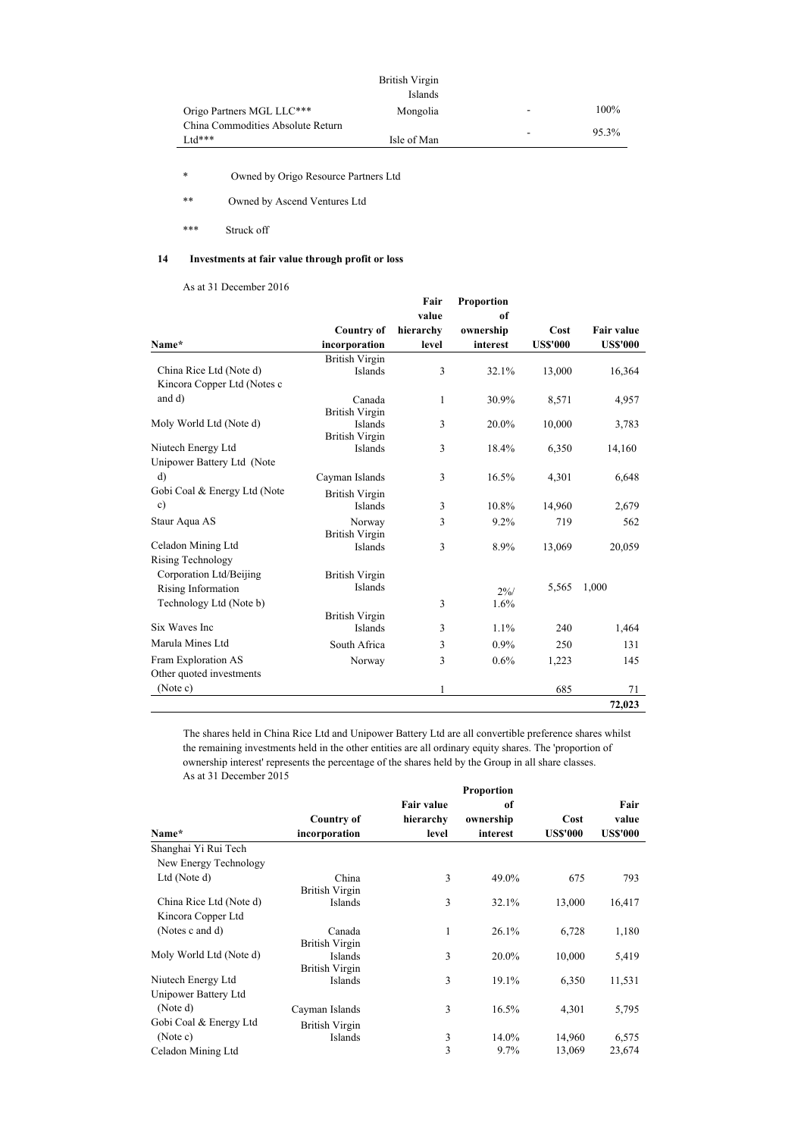|                                                 | British Virgin<br>Islands |                          |       |
|-------------------------------------------------|---------------------------|--------------------------|-------|
| Origo Partners MGL LLC***                       | Mongolia                  | $\overline{\phantom{a}}$ | 100%  |
| China Commodities Absolute Return<br>$***$ ht I | Isle of Man               |                          | 95.3% |

\* Owned by Origo Resource Partners Ltd

\*\* Owned by Ascend Ventures Ltd

\*\*\* Struck off

## 14 Investments at fair value through profit or loss

As at 31 December 2016

|                              |                       | Fair<br>value | Proportion<br>of |                 |                   |
|------------------------------|-----------------------|---------------|------------------|-----------------|-------------------|
|                              | <b>Country of</b>     | hierarchy     | ownership        | <b>Cost</b>     | <b>Fair value</b> |
| Name*                        | incorporation         | level         | interest         | <b>US\$'000</b> | <b>USS'000</b>    |
|                              | <b>British Virgin</b> |               |                  |                 |                   |
| China Rice Ltd (Note d)      | Islands               | 3             | 32.1%            | 13,000          | 16,364            |
| Kincora Copper Ltd (Notes c  |                       |               |                  |                 |                   |
| and d)                       | Canada                | 1             | 30.9%            | 8,571           | 4,957             |
|                              | <b>British Virgin</b> |               |                  |                 |                   |
| Moly World Ltd (Note d)      | Islands               | 3             | 20.0%            | 10,000          | 3,783             |
|                              | <b>British Virgin</b> |               |                  |                 |                   |
| Niutech Energy Ltd           | Islands               | 3             | 18.4%            | 6,350           | 14,160            |
| Unipower Battery Ltd (Note   |                       |               |                  |                 |                   |
| $\mathbf{d}$                 | Cayman Islands        | 3             | 16.5%            | 4,301           | 6,648             |
| Gobi Coal & Energy Ltd (Note | <b>British Virgin</b> |               |                  |                 |                   |
| $\mathbf{c})$                | <b>Islands</b>        | 3             | 10.8%            | 14,960          | 2,679             |
| Staur Aqua AS                | Norway                | 3             | 9.2%             | 719             | 562               |
|                              | <b>British Virgin</b> |               |                  |                 |                   |
| Celadon Mining Ltd           | Islands               | 3             | 8.9%             | 13,069          | 20,059            |
| <b>Rising Technology</b>     |                       |               |                  |                 |                   |
| Corporation Ltd/Beijing      | <b>British Virgin</b> |               |                  |                 |                   |
| Rising Information           | <b>Islands</b>        |               | $2\%/$           | 5,565           | 1,000             |
| Technology Ltd (Note b)      |                       | 3             | 1.6%             |                 |                   |
|                              | <b>British Virgin</b> |               |                  |                 |                   |
| Six Waves Inc                | Islands               | 3             | 1.1%             | 240             | 1,464             |
| Marula Mines Ltd             | South Africa          | 3             | $0.9\%$          | 250             | 131               |
| Fram Exploration AS          | Norway                | 3             | 0.6%             | 1,223           | 145               |
| Other quoted investments     |                       |               |                  |                 |                   |
| (Note c)                     |                       | 1             |                  | 685             | 71                |
|                              |                       |               |                  |                 | 72,023            |

The shares held in China Rice Ltd and Unipower Battery Ltd are all convertible preference shares whilst the remaining investments held in the other entities are all ordinary equity shares. The 'proportion of ownership interest' represents the percentage of the shares held by the Group in all share classes. As at 31 December 2015

|                         | <b>Proportion</b>                |                   |           |                 |                 |  |
|-------------------------|----------------------------------|-------------------|-----------|-----------------|-----------------|--|
|                         |                                  | <b>Fair value</b> | of        |                 | Fair            |  |
|                         | <b>Country of</b>                | hierarchy         | ownership | Cost            | value           |  |
| Name*                   | incorporation                    | level             | interest  | <b>US\$'000</b> | <b>US\$'000</b> |  |
| Shanghai Yi Rui Tech    |                                  |                   |           |                 |                 |  |
| New Energy Technology   |                                  |                   |           |                 |                 |  |
| Ltd (Note d)            | China<br><b>British Virgin</b>   | 3                 | 49.0%     | 675             | 793             |  |
| China Rice Ltd (Note d) | Islands                          | 3                 | 32.1%     | 13,000          | 16,417          |  |
| Kincora Copper Ltd      |                                  |                   |           |                 |                 |  |
| (Notes c and d)         | Canada                           | 1                 | 26.1%     | 6,728           | 1,180           |  |
|                         | <b>British Virgin</b>            |                   |           |                 |                 |  |
| Moly World Ltd (Note d) | Islands<br><b>British Virgin</b> | 3                 | 20.0%     | 10,000          | 5,419           |  |
| Niutech Energy Ltd      | Islands                          | 3                 | 19.1%     | 6,350           | 11,531          |  |
| Unipower Battery Ltd    |                                  |                   |           |                 |                 |  |
| (Note d)                | Cayman Islands                   | 3                 | 16.5%     | 4,301           | 5,795           |  |
| Gobi Coal & Energy Ltd  | <b>British Virgin</b>            |                   |           |                 |                 |  |
| (Note c)                | Islands                          | 3                 | 14.0%     | 14,960          | 6,575           |  |
| Celadon Mining Ltd      |                                  | 3                 | 9.7%      | 13,069          | 23,674          |  |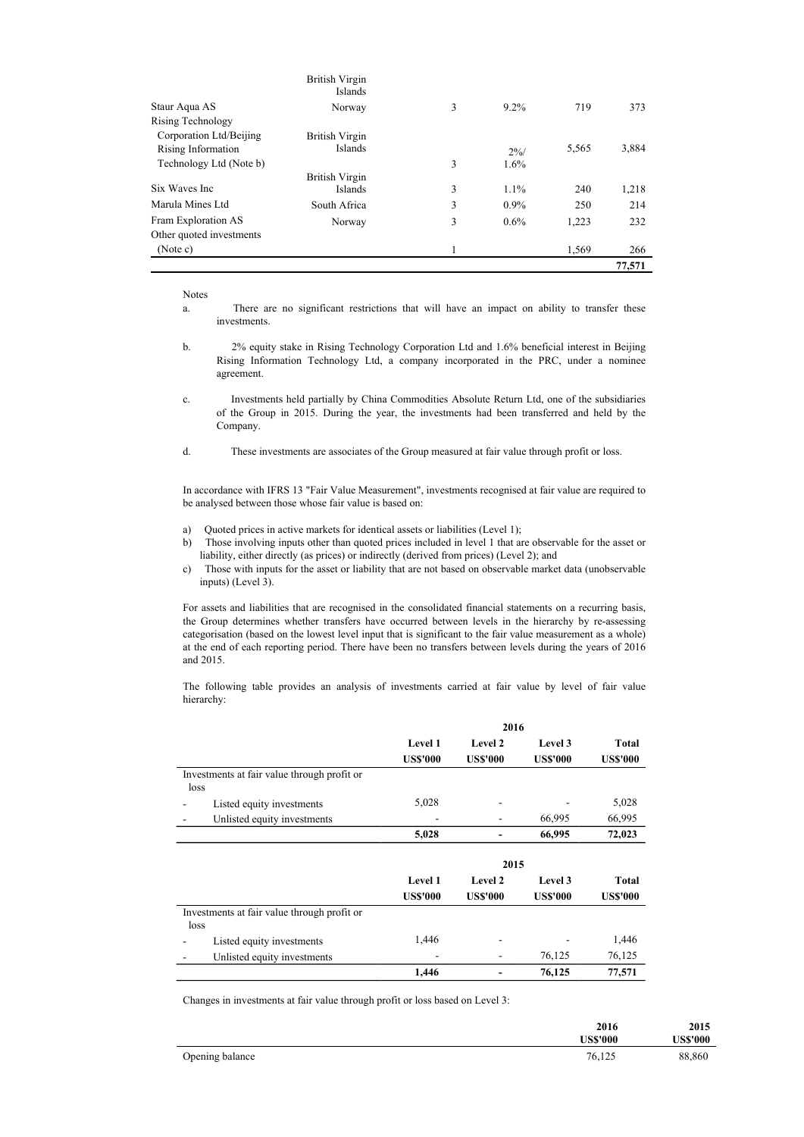|                          | British Virgin<br>Islands |   |         |       |        |
|--------------------------|---------------------------|---|---------|-------|--------|
| Staur Aqua AS            | Norway                    | 3 | 9.2%    | 719   | 373    |
| Rising Technology        |                           |   |         |       |        |
| Corporation Ltd/Beijing  | British Virgin            |   |         |       |        |
| Rising Information       | Islands                   |   | 2%/     | 5,565 | 3,884  |
| Technology Ltd (Note b)  |                           | 3 | 1.6%    |       |        |
|                          | British Virgin            |   |         |       |        |
| Six Waves Inc.           | <b>Islands</b>            | 3 | 1.1%    | 240   | 1,218  |
| Marula Mines Ltd         | South Africa              | 3 | $0.9\%$ | 250   | 214    |
| Fram Exploration AS      | Norway                    | 3 | $0.6\%$ | 1,223 | 232    |
| Other quoted investments |                           |   |         |       |        |
| (Note c)                 |                           |   |         | 1,569 | 266    |
|                          |                           |   |         |       | 77,571 |

Notes

- b. 2% equity stake in Rising Technology Corporation Ltd and 1.6% beneficial interest in Beijing Rising Information Technology Ltd, a company incorporated in the PRC, under a nominee agreement.
- c. Investments held partially by China Commodities Absolute Return Ltd, one of the subsidiaries of the Group in 2015. During the year, the investments had been transferred and held by the Company.
- d. These investments are associates of the Group measured at fair value through profit or loss.

In accordance with IFRS 13 "Fair Value Measurement", investments recognised at fair value are required to be analysed between those whose fair value is based on:

- a) Quoted prices in active markets for identical assets or liabilities (Level 1);
- b) Those involving inputs other than quoted prices included in level 1 that are observable for the asset or liability, either directly (as prices) or indirectly (derived from prices) (Level 2); and
- c) Those with inputs for the asset or liability that are not based on observable market data (unobservable inputs) (Level 3).

For assets and liabilities that are recognised in the consolidated financial statements on a recurring basis, the Group determines whether transfers have occurred between levels in the hierarchy by re-assessing categorisation (based on the lowest level input that is significant to the fair value measurement as a whole) at the end of each reporting period. There have been no transfers between levels during the years of 2016 and 2015.

The following table provides an analysis of investments carried at fair value by level of fair value hierarchy:

|                                             | 2016            |                 |                 |                 |  |
|---------------------------------------------|-----------------|-----------------|-----------------|-----------------|--|
|                                             | <b>Level 1</b>  | Level 2         | Level 3         | Total           |  |
|                                             | <b>US\$'000</b> | <b>US\$'000</b> | <b>US\$'000</b> | <b>US\$'000</b> |  |
| Investments at fair value through profit or |                 |                 |                 |                 |  |
| loss                                        |                 |                 |                 |                 |  |
| Listed equity investments                   | 5,028           |                 |                 | 5,028           |  |
| Unlisted equity investments                 |                 | ۰               | 66,995          | 66,995          |  |
|                                             | 5,028           |                 | 66,995          | 72,023          |  |
|                                             |                 |                 |                 |                 |  |
|                                             |                 |                 |                 |                 |  |
|                                             |                 | 2015            |                 |                 |  |
|                                             | <b>Level 1</b>  | Level 2         | Level 3         | Total           |  |
|                                             | <b>US\$'000</b> | <b>US\$'000</b> | <b>US\$'000</b> | <b>US\$'000</b> |  |
| Investments at fair value through profit or |                 |                 |                 |                 |  |
| loss                                        |                 |                 |                 |                 |  |
| Listed equity investments                   | 1,446           | ۰               |                 | 1,446           |  |
| Unlisted equity investments                 |                 |                 | 76,125          | 76,125          |  |

Changes in investments at fair value through profit or loss based on Level 3:

|                 | 2016<br><b>US\$'000</b> | 2015<br>US\$'000 |
|-----------------|-------------------------|------------------|
| Opening balance | 76,125                  | 88,860           |

a. There are no significant restrictions that will have an impact on ability to transfer these investments.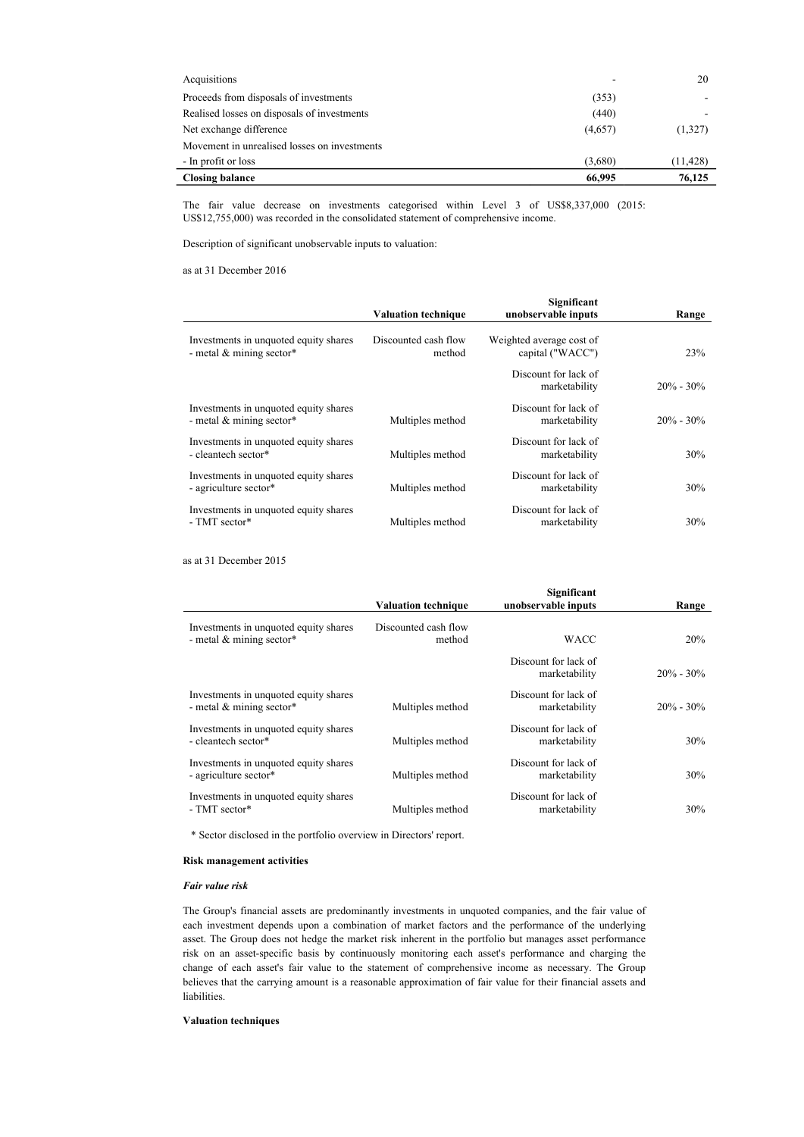| Acquisitions                                 |         | 20        |
|----------------------------------------------|---------|-----------|
| Proceeds from disposals of investments       | (353)   |           |
| Realised losses on disposals of investments  | (440)   |           |
| Net exchange difference                      | (4,657) | (1,327)   |
| Movement in unrealised losses on investments |         |           |
| - In profit or loss                          | (3,680) | (11, 428) |
| <b>Closing balance</b>                       | 66,995  | 76,125    |

The fair value decrease on investments categorised within Level 3 of US\$8,337,000 (2015: US\$12,755,000) was recorded in the consolidated statement of comprehensive income.

Description of significant unobservable inputs to valuation:

as at 31 December 2016

j.

|                                                                     | <b>Valuation technique</b>     | Significant<br>unobservable inputs           | Range         |
|---------------------------------------------------------------------|--------------------------------|----------------------------------------------|---------------|
| Investments in unquoted equity shares<br>- metal $&$ mining sector* | Discounted cash flow<br>method | Weighted average cost of<br>capital ("WACC") | 23%           |
|                                                                     |                                | Discount for lack of<br>marketability        | $20\% - 30\%$ |
| Investments in unquoted equity shares<br>- metal $&$ mining sector* | Multiples method               | Discount for lack of<br>marketability        | $20\% - 30\%$ |
| Investments in unquoted equity shares<br>- cleantech sector*        | Multiples method               | Discount for lack of<br>marketability        | 30%           |
| Investments in unquoted equity shares<br>- agriculture sector*      | Multiples method               | Discount for lack of<br>marketability        | 30%           |
| Investments in unquoted equity shares<br>- TMT sector*              | Multiples method               | Discount for lack of<br>marketability        | 30%           |

as at 31 December 2015

|                                                                     | <b>Valuation technique</b>     | Significant<br>unobservable inputs    | Range         |
|---------------------------------------------------------------------|--------------------------------|---------------------------------------|---------------|
| Investments in unquoted equity shares<br>- metal $&$ mining sector* | Discounted cash flow<br>method | <b>WACC</b>                           | 20%           |
|                                                                     |                                | Discount for lack of<br>marketability | $20\% - 30\%$ |
| Investments in unquoted equity shares<br>- metal $&$ mining sector* | Multiples method               | Discount for lack of<br>marketability | $20\% - 30\%$ |
| Investments in unquoted equity shares<br>- cleantech sector*        | Multiples method               | Discount for lack of<br>marketability | 30%           |
| Investments in unquoted equity shares<br>- agriculture sector*      | Multiples method               | Discount for lack of<br>marketability | <b>30%</b>    |
| Investments in unquoted equity shares<br>- TMT sector*              | Multiples method               | Discount for lack of<br>marketability | 30%           |
|                                                                     |                                |                                       |               |

\* Sector disclosed in the portfolio overview in Directors' report.

### Risk management activities

#### Fair value risk

The Group's financial assets are predominantly investments in unquoted companies, and the fair value of each investment depends upon a combination of market factors and the performance of the underlying asset. The Group does not hedge the market risk inherent in the portfolio but manages asset performance risk on an asset-specific basis by continuously monitoring each asset's performance and charging the change of each asset's fair value to the statement of comprehensive income as necessary. The Group believes that the carrying amount is a reasonable approximation of fair value for their financial assets and liabilities.

### Valuation techniques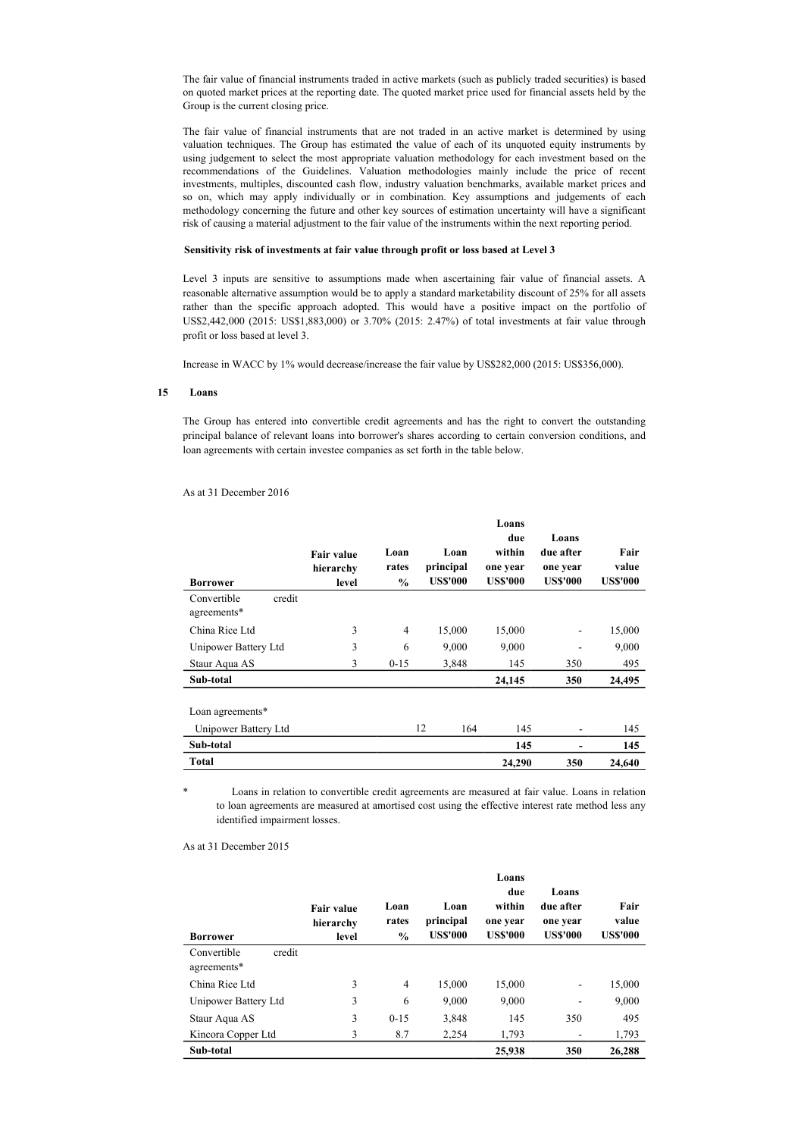The fair value of financial instruments traded in active markets (such as publicly traded securities) is based on quoted market prices at the reporting date. The quoted market price used for financial assets held by the Group is the current closing price.

The fair value of financial instruments that are not traded in an active market is determined by using valuation techniques. The Group has estimated the value of each of its unquoted equity instruments by using judgement to select the most appropriate valuation methodology for each investment based on the recommendations of the Guidelines. Valuation methodologies mainly include the price of recent investments, multiples, discounted cash flow, industry valuation benchmarks, available market prices and so on, which may apply individually or in combination. Key assumptions and judgements of each methodology concerning the future and other key sources of estimation uncertainty will have a significant risk of causing a material adjustment to the fair value of the instruments within the next reporting period.

#### Sensitivity risk of investments at fair value through profit or loss based at Level 3

Level 3 inputs are sensitive to assumptions made when ascertaining fair value of financial assets. A reasonable alternative assumption would be to apply a standard marketability discount of 25% for all assets rather than the specific approach adopted. This would have a positive impact on the portfolio of US\$2,442,000 (2015: US\$1,883,000) or 3.70% (2015: 2.47%) of total investments at fair value through profit or loss based at level 3.

Increase in WACC by 1% would decrease/increase the fair value by US\$282,000 (2015: US\$356,000).

### 15 Loans

The Group has entered into convertible credit agreements and has the right to convert the outstanding principal balance of relevant loans into borrower's shares according to certain conversion conditions, and loan agreements with certain investee companies as set forth in the table below.

### As at 31 December 2016

| <b>Borrower</b>                          | <b>Fair value</b><br>hierarchy<br>level | Loan<br>rates<br>$\%$ | Loan<br>principal<br><b>US\$'000</b> | Loans<br>due<br>within<br>one year<br><b>US\$'000</b> | Loans<br>due after<br>one year<br><b>US\$'000</b> | Fair<br>value<br><b>US\$'000</b> |
|------------------------------------------|-----------------------------------------|-----------------------|--------------------------------------|-------------------------------------------------------|---------------------------------------------------|----------------------------------|
| Convertible<br>credit<br>agreements*     |                                         |                       |                                      |                                                       |                                                   |                                  |
| China Rice Ltd                           | 3                                       | 4                     | 15,000                               | 15,000                                                |                                                   | 15,000                           |
| Unipower Battery Ltd                     | 3                                       | 6                     | 9,000                                | 9,000                                                 | ۰                                                 | 9,000                            |
| Staur Aqua AS                            | 3                                       | $0 - 15$              | 3,848                                | 145                                                   | 350                                               | 495                              |
| Sub-total                                |                                         |                       |                                      | 24,145                                                | 350                                               | 24,495                           |
| Loan agreements*<br>Unipower Battery Ltd |                                         |                       | 12<br>164                            | 145                                                   | ۰                                                 | 145                              |
| Sub-total                                |                                         |                       |                                      | 145                                                   |                                                   | 145                              |
| Total                                    |                                         |                       |                                      | 24,290                                                | 350                                               | 24,640                           |

Loans in relation to convertible credit agreements are measured at fair value. Loans in relation to loan agreements are measured at amortised cost using the effective interest rate method less any identified impairment losses.

#### As at 31 December 2015

| <b>Borrower</b>                      | <b>Fair value</b><br>hierarchy<br>level | Loan<br>rates<br>$\%$ | Loan<br>principal<br><b>US\$'000</b> | Loans<br>due<br>within<br>one year<br><b>US\$'000</b> | Loans<br>due after<br>one year<br><b>US\$'000</b> | Fair<br>value<br><b>US\$'000</b> |
|--------------------------------------|-----------------------------------------|-----------------------|--------------------------------------|-------------------------------------------------------|---------------------------------------------------|----------------------------------|
| Convertible<br>credit<br>agreements* |                                         |                       |                                      |                                                       |                                                   |                                  |
| China Rice Ltd                       | 3                                       | $\overline{4}$        | 15,000                               | 15,000                                                | $\qquad \qquad \blacksquare$                      | 15,000                           |
| Unipower Battery Ltd                 | 3                                       | 6                     | 9,000                                | 9.000                                                 | ۰                                                 | 9,000                            |
| Staur Aqua AS                        | 3                                       | $0 - 15$              | 3,848                                | 145                                                   | 350                                               | 495                              |
| Kincora Copper Ltd                   | 3                                       | 8.7                   | 2,254                                | 1,793                                                 | ۰                                                 | 1,793                            |
| Sub-total                            |                                         |                       |                                      | 25,938                                                | 350                                               | 26,288                           |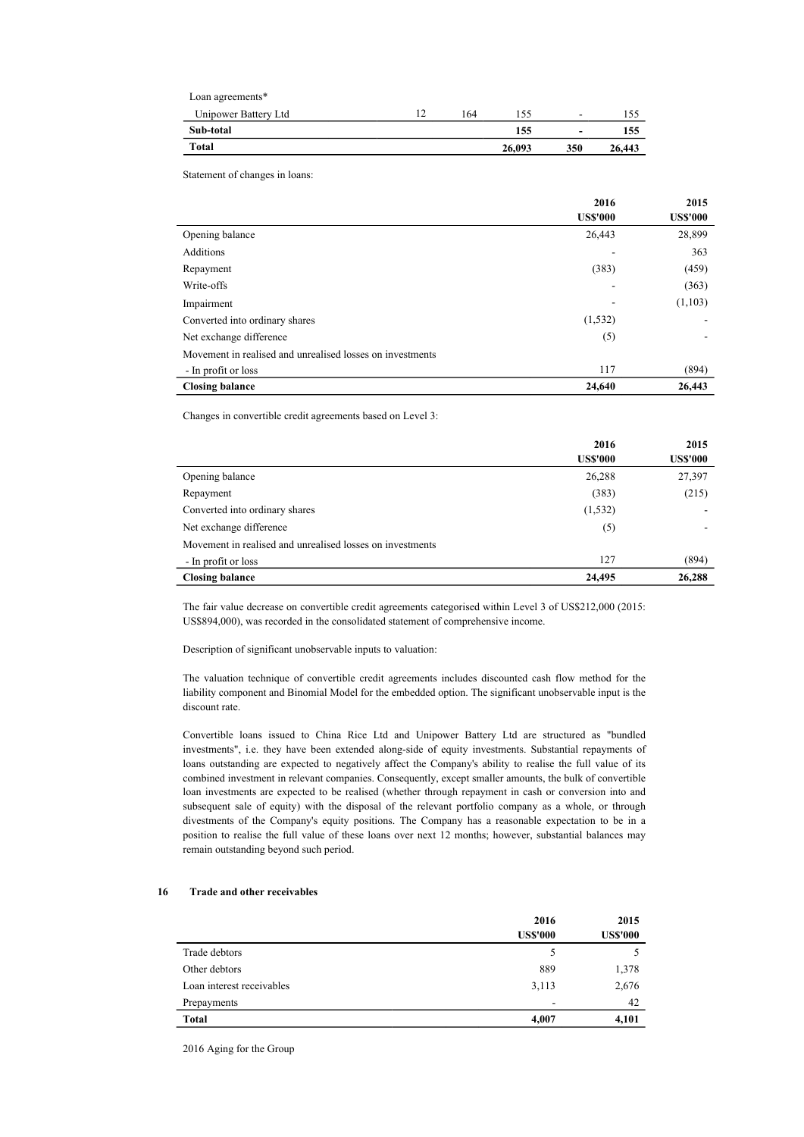| Total                |   |     | 26,093 | 350                      | 26,443 |
|----------------------|---|-----|--------|--------------------------|--------|
| Sub-total            |   |     | 155    | $\overline{\phantom{0}}$ | 155    |
| Unipower Battery Ltd | ∸ | 164 | . 55   | $\overline{\phantom{0}}$ |        |
| Loan agreements*     |   |     |        |                          |        |

Statement of changes in loans:

|                                                           | 2016<br><b>US\$'000</b> | 2015<br><b>US\$'000</b> |
|-----------------------------------------------------------|-------------------------|-------------------------|
| Opening balance                                           | 26,443                  | 28,899                  |
| Additions                                                 |                         |                         |
|                                                           |                         | 363                     |
| Repayment                                                 | (383)                   | (459)                   |
| Write-offs                                                |                         | (363)                   |
| Impairment                                                |                         | (1,103)                 |
| Converted into ordinary shares                            | (1, 532)                |                         |
| Net exchange difference                                   | (5)                     |                         |
| Movement in realised and unrealised losses on investments |                         |                         |
| - In profit or loss                                       | 117                     | (894)                   |
| <b>Closing balance</b>                                    | 24,640                  | 26,443                  |

Changes in convertible credit agreements based on Level 3:

|                                                           | 2016<br><b>US\$'000</b> | 2015<br><b>US\$'000</b> |
|-----------------------------------------------------------|-------------------------|-------------------------|
| Opening balance                                           | 26,288                  | 27,397                  |
| Repayment                                                 | (383)                   | (215)                   |
| Converted into ordinary shares                            | (1, 532)                |                         |
| Net exchange difference                                   | (5)                     |                         |
| Movement in realised and unrealised losses on investments |                         |                         |
| - In profit or loss                                       | 127                     | (894)                   |
| <b>Closing balance</b>                                    | 24,495                  | 26,288                  |

The fair value decrease on convertible credit agreements categorised within Level 3 of US\$212,000 (2015: US\$894,000), was recorded in the consolidated statement of comprehensive income.

Description of significant unobservable inputs to valuation:

The valuation technique of convertible credit agreements includes discounted cash flow method for the liability component and Binomial Model for the embedded option. The significant unobservable input is the discount rate.

Convertible loans issued to China Rice Ltd and Unipower Battery Ltd are structured as "bundled investments", i.e. they have been extended along-side of equity investments. Substantial repayments of loans outstanding are expected to negatively affect the Company's ability to realise the full value of its combined investment in relevant companies. Consequently, except smaller amounts, the bulk of convertible loan investments are expected to be realised (whether through repayment in cash or conversion into and subsequent sale of equity) with the disposal of the relevant portfolio company as a whole, or through divestments of the Company's equity positions. The Company has a reasonable expectation to be in a position to realise the full value of these loans over next 12 months; however, substantial balances may remain outstanding beyond such period.

#### 16 Trade and other receivables

|                           | 2016<br><b>US\$'000</b>  | 2015<br><b>US\$'000</b> |
|---------------------------|--------------------------|-------------------------|
| Trade debtors             | 5                        | 5                       |
| Other debtors             | 889                      | 1,378                   |
| Loan interest receivables | 3,113                    | 2,676                   |
| Prepayments               | $\overline{\phantom{a}}$ | 42                      |
| Total                     | 4,007                    | 4,101                   |

2016 Aging for the Group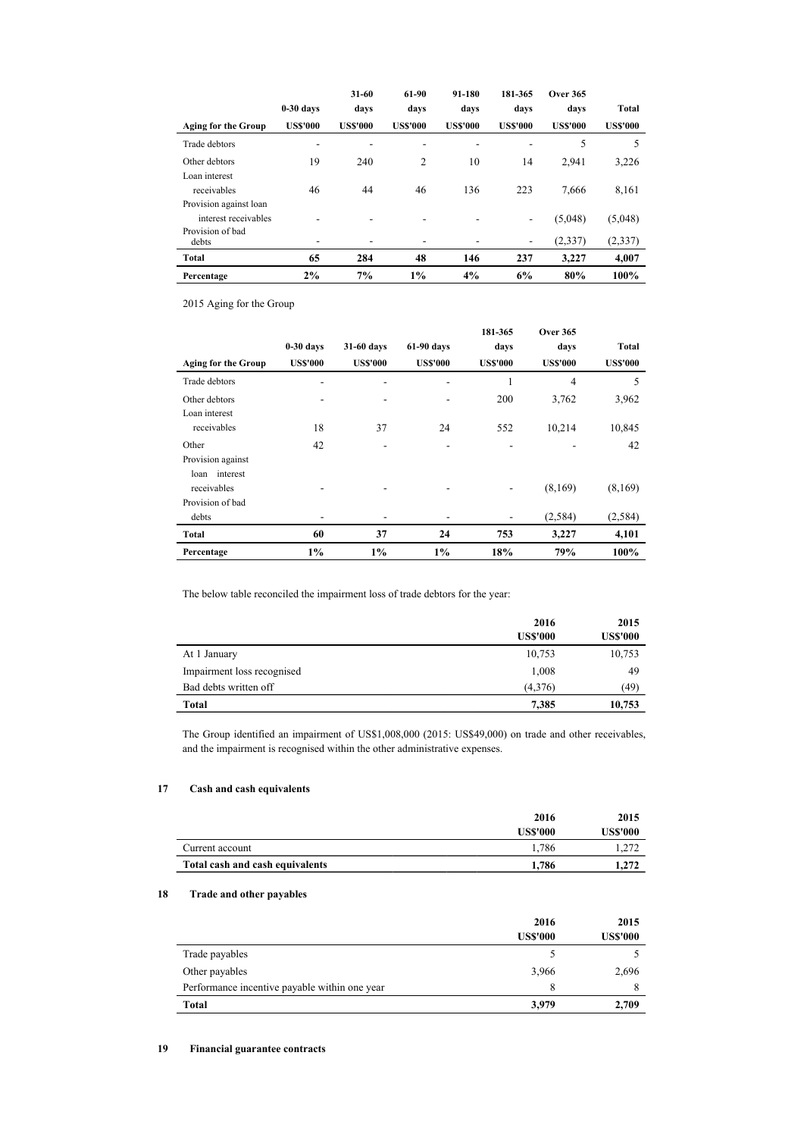|                            |                 | $31 - 60$       | 61-90           | 91-180          | 181-365                  | <b>Over 365</b> |                 |
|----------------------------|-----------------|-----------------|-----------------|-----------------|--------------------------|-----------------|-----------------|
|                            | $0-30$ days     | davs            | davs            | days            | davs                     | davs            | Total           |
| <b>Aging for the Group</b> | <b>US\$'000</b> | <b>US\$'000</b> | <b>US\$'000</b> | <b>US\$'000</b> | <b>US\$'000</b>          | <b>US\$'000</b> | <b>US\$'000</b> |
| Trade debtors              | ۰               |                 | ۰               |                 | ۰                        | 5               | 5               |
| Other debtors              | 19              | 240             | $\overline{c}$  | 10              | 14                       | 2.941           | 3,226           |
| Loan interest              |                 |                 |                 |                 |                          |                 |                 |
| receivables                | 46              | 44              | 46              | 136             | 223                      | 7.666           | 8,161           |
| Provision against loan     |                 |                 |                 |                 |                          |                 |                 |
| interest receivables       | ۰               | ۰.              | ۰               |                 | $\overline{\phantom{a}}$ | (5,048)         | (5,048)         |
| Provision of bad<br>debts  | ٠               | ٠               | ٠               |                 | $\overline{\phantom{a}}$ | (2,337)         | (2, 337)        |
| Total                      | 65              | 284             | 48              | 146             | 237                      | 3.227           | 4,007           |
| Percentage                 | 2%              | 7%              | 1%              | 4%              | 6%                       | 80%             | 100%            |

2015 Aging for the Group

|                            |                 |                 |                 | 181-365         | <b>Over 365</b> |                 |
|----------------------------|-----------------|-----------------|-----------------|-----------------|-----------------|-----------------|
|                            | $0-30$ days     | 31-60 days      | 61-90 days      | days            | days            | Total           |
| <b>Aging for the Group</b> | <b>US\$'000</b> | <b>US\$'000</b> | <b>US\$'000</b> | <b>US\$'000</b> | <b>US\$'000</b> | <b>US\$'000</b> |
| Trade debtors              | ٠               | ۰               | ۰               | 1               | $\overline{4}$  | 5               |
| Other debtors              |                 |                 | ۰               | 200             | 3,762           | 3,962           |
| Loan interest              |                 |                 |                 |                 |                 |                 |
| receivables                | 18              | 37              | 24              | 552             | 10,214          | 10,845          |
| Other                      | 42              |                 |                 |                 |                 | 42              |
| Provision against          |                 |                 |                 |                 |                 |                 |
| loan interest              |                 |                 |                 |                 |                 |                 |
| receivables                |                 |                 |                 |                 | (8,169)         | (8,169)         |
| Provision of bad           |                 |                 |                 |                 |                 |                 |
| debts                      |                 | ٠               | -               | ۰               | (2,584)         | (2,584)         |
| Total                      | 60              | 37              | 24              | 753             | 3,227           | 4,101           |
| Percentage                 | $1\%$           | 1%              | $1\%$           | 18%             | 79%             | 100%            |

The below table reconciled the impairment loss of trade debtors for the year:

|                            | 2016            | 2015            |
|----------------------------|-----------------|-----------------|
|                            | <b>US\$'000</b> | <b>US\$'000</b> |
| At 1 January               | 10,753          | 10,753          |
| Impairment loss recognised | 1,008           | 49              |
| Bad debts written off      | (4,376)         | (49)            |
| Total                      | 7,385           | 10,753          |

The Group identified an impairment of US\$1,008,000 (2015: US\$49,000) on trade and other receivables, and the impairment is recognised within the other administrative expenses.

### 17 Cash and cash equivalents

|                                 | 2016     | 2015            |
|---------------------------------|----------|-----------------|
|                                 | US\$'000 | <b>US\$'000</b> |
| Current account                 | 1.786    | 1,272           |
| Total cash and cash equivalents | 1.786    | 1.272           |

### 18 Trade and other payables

|                                               | 2016            | 2015            |
|-----------------------------------------------|-----------------|-----------------|
|                                               | <b>US\$'000</b> | <b>US\$'000</b> |
| Trade payables                                |                 |                 |
| Other payables                                | 3,966           | 2,696           |
| Performance incentive payable within one year | 8               | 8               |
| Total                                         | 3,979           | 2,709           |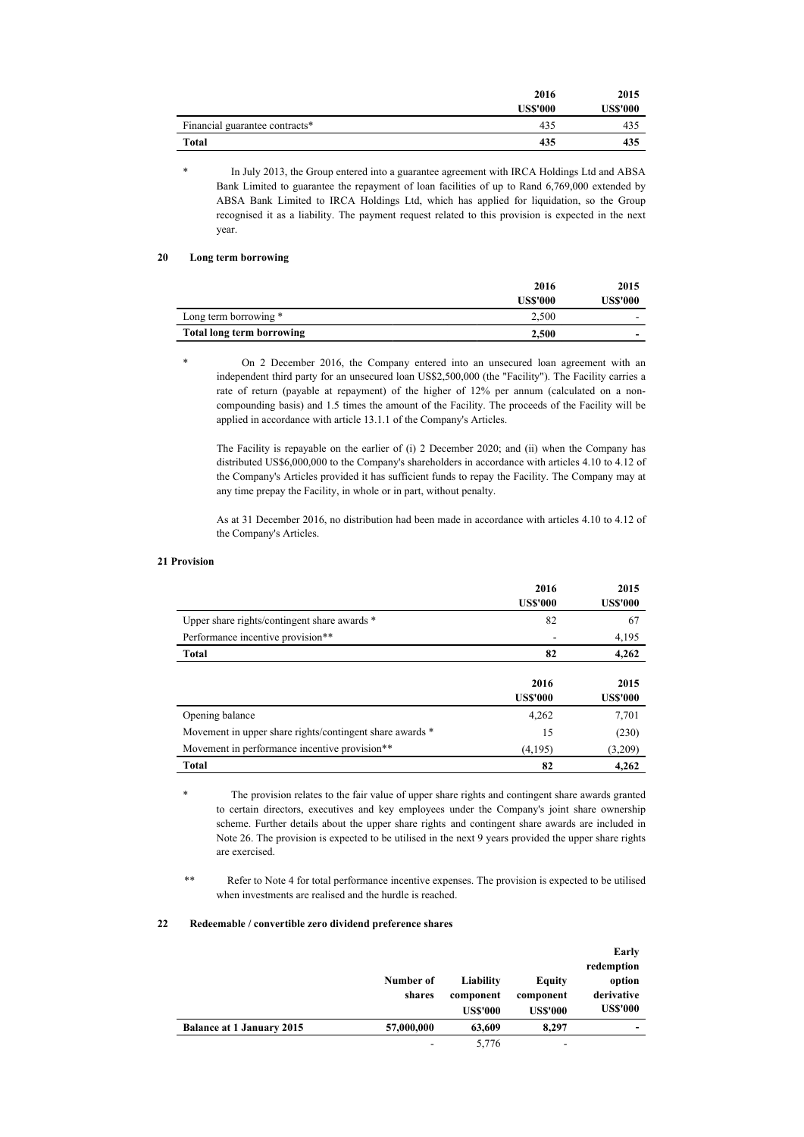|                                | 2016            | 2015            |
|--------------------------------|-----------------|-----------------|
|                                | <b>US\$'000</b> | <b>US\$'000</b> |
| Financial guarantee contracts* | 435             | 435             |
| Total                          | 435             | 435             |

In July 2013, the Group entered into a guarantee agreement with IRCA Holdings Ltd and ABSA Bank Limited to guarantee the repayment of loan facilities of up to Rand 6,769,000 extended by ABSA Bank Limited to IRCA Holdings Ltd, which has applied for liquidation, so the Group recognised it as a liability. The payment request related to this provision is expected in the next year.

### 20 Long term borrowing

|                                  | 2016     | 2015     |
|----------------------------------|----------|----------|
|                                  | US\$'000 | US\$'000 |
| Long term borrowing *            | 2.500    | -        |
| <b>Total long term borrowing</b> | 2,500    | -        |

On 2 December 2016, the Company entered into an unsecured loan agreement with an independent third party for an unsecured loan US\$2,500,000 (the "Facility"). The Facility carries a rate of return (payable at repayment) of the higher of 12% per annum (calculated on a noncompounding basis) and 1.5 times the amount of the Facility. The proceeds of the Facility will be applied in accordance with article 13.1.1 of the Company's Articles.

The Facility is repayable on the earlier of (i) 2 December 2020; and (ii) when the Company has distributed US\$6,000,000 to the Company's shareholders in accordance with articles 4.10 to 4.12 of the Company's Articles provided it has sufficient funds to repay the Facility. The Company may at any time prepay the Facility, in whole or in part, without penalty.

As at 31 December 2016, no distribution had been made in accordance with articles 4.10 to 4.12 of the Company's Articles.

### 21 Provision

|                                                          | 2016<br><b>USS'000</b>  | 2015<br><b>US\$'000</b> |
|----------------------------------------------------------|-------------------------|-------------------------|
| Upper share rights/contingent share awards *             | 82                      | 67                      |
| Performance incentive provision**                        |                         | 4,195                   |
| Total                                                    | 82                      | 4,262                   |
|                                                          | 2016<br><b>US\$'000</b> | 2015<br><b>US\$'000</b> |
| Opening balance                                          | 4,262                   | 7,701                   |
| Movement in upper share rights/contingent share awards * | 15                      | (230)                   |
| Movement in performance incentive provision**            | (4,195)                 | (3,209)                 |
| Total                                                    | 82                      | 4.262                   |

The provision relates to the fair value of upper share rights and contingent share awards granted to certain directors, executives and key employees under the Company's joint share ownership scheme. Further details about the upper share rights and contingent share awards are included in Note 26. The provision is expected to be utilised in the next 9 years provided the upper share rights are exercised.

\*\* Refer to Note 4 for total performance incentive expenses. The provision is expected to be utilised when investments are realised and the hurdle is reached.

#### 22 Redeemable / convertible zero dividend preference shares

|                                  | Number of<br>shares | Liability<br>component<br><b>US\$'000</b> | Equity<br>component<br><b>US\$'000</b> | Early<br>redemption<br>option<br>derivative<br><b>US\$'000</b> |
|----------------------------------|---------------------|-------------------------------------------|----------------------------------------|----------------------------------------------------------------|
| <b>Balance at 1 January 2015</b> | 57,000,000          | 63,609                                    | 8,297                                  |                                                                |
|                                  |                     | 5,776                                     | ۰                                      |                                                                |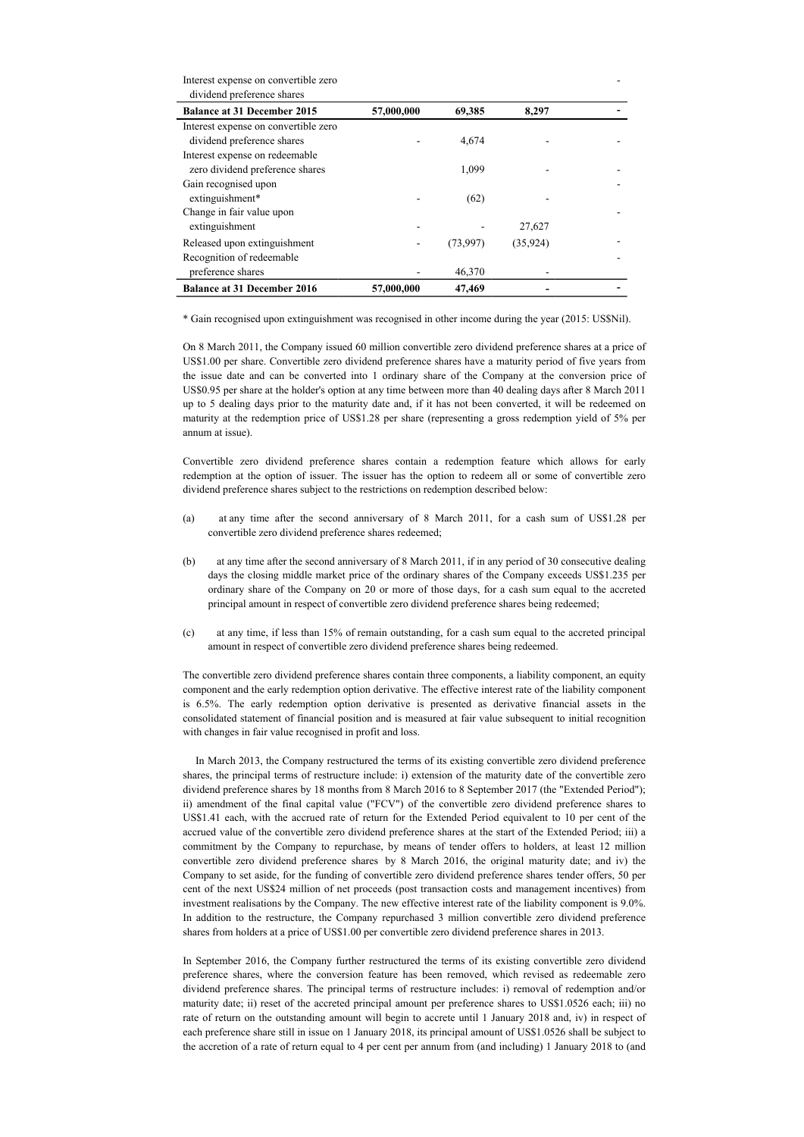Interest expense on convertible zero dividend preference shares

| 57,000,000 | 69,385   | 8,297    |  |
|------------|----------|----------|--|
|            |          |          |  |
|            | 4.674    |          |  |
|            |          |          |  |
|            | 1.099    |          |  |
|            |          |          |  |
|            | (62)     |          |  |
|            |          |          |  |
|            |          | 27,627   |  |
|            | (73,997) | (35,924) |  |
|            |          |          |  |
|            | 46,370   |          |  |
| 57,000,000 | 47,469   |          |  |
|            |          |          |  |

-

\* Gain recognised upon extinguishment was recognised in other income during the year (2015: US\$Nil).

On 8 March 2011, the Company issued 60 million convertible zero dividend preference shares at a price of US\$1.00 per share. Convertible zero dividend preference shares have a maturity period of five years from the issue date and can be converted into 1 ordinary share of the Company at the conversion price of US\$0.95 per share at the holder's option at any time between more than 40 dealing days after 8 March 2011 up to 5 dealing days prior to the maturity date and, if it has not been converted, it will be redeemed on maturity at the redemption price of US\$1.28 per share (representing a gross redemption yield of 5% per annum at issue).

Convertible zero dividend preference shares contain a redemption feature which allows for early redemption at the option of issuer. The issuer has the option to redeem all or some of convertible zero dividend preference shares subject to the restrictions on redemption described below:

- (a) at any time after the second anniversary of 8 March 2011, for a cash sum of US\$1.28 per convertible zero dividend preference shares redeemed;
- (b) at any time after the second anniversary of 8 March 2011, if in any period of 30 consecutive dealing days the closing middle market price of the ordinary shares of the Company exceeds US\$1.235 per ordinary share of the Company on 20 or more of those days, for a cash sum equal to the accreted principal amount in respect of convertible zero dividend preference shares being redeemed;
- (c) at any time, if less than 15% of remain outstanding, for a cash sum equal to the accreted principal amount in respect of convertible zero dividend preference shares being redeemed.

The convertible zero dividend preference shares contain three components, a liability component, an equity component and the early redemption option derivative. The effective interest rate of the liability component is 6.5%. The early redemption option derivative is presented as derivative financial assets in the consolidated statement of financial position and is measured at fair value subsequent to initial recognition with changes in fair value recognised in profit and loss.

 In March 2013, the Company restructured the terms of its existing convertible zero dividend preference shares, the principal terms of restructure include: i) extension of the maturity date of the convertible zero dividend preference shares by 18 months from 8 March 2016 to 8 September 2017 (the "Extended Period"); ii) amendment of the final capital value ("FCV") of the convertible zero dividend preference shares to US\$1.41 each, with the accrued rate of return for the Extended Period equivalent to 10 per cent of the accrued value of the convertible zero dividend preference shares at the start of the Extended Period; iii) a commitment by the Company to repurchase, by means of tender offers to holders, at least 12 million convertible zero dividend preference shares by 8 March 2016, the original maturity date; and iv) the Company to set aside, for the funding of convertible zero dividend preference shares tender offers, 50 per cent of the next US\$24 million of net proceeds (post transaction costs and management incentives) from investment realisations by the Company. The new effective interest rate of the liability component is 9.0%. In addition to the restructure, the Company repurchased 3 million convertible zero dividend preference shares from holders at a price of US\$1.00 per convertible zero dividend preference shares in 2013.

In September 2016, the Company further restructured the terms of its existing convertible zero dividend preference shares, where the conversion feature has been removed, which revised as redeemable zero dividend preference shares. The principal terms of restructure includes: i) removal of redemption and/or maturity date; ii) reset of the accreted principal amount per preference shares to US\$1.0526 each; iii) no rate of return on the outstanding amount will begin to accrete until 1 January 2018 and, iv) in respect of each preference share still in issue on 1 January 2018, its principal amount of US\$1.0526 shall be subject to the accretion of a rate of return equal to 4 per cent per annum from (and including) 1 January 2018 to (and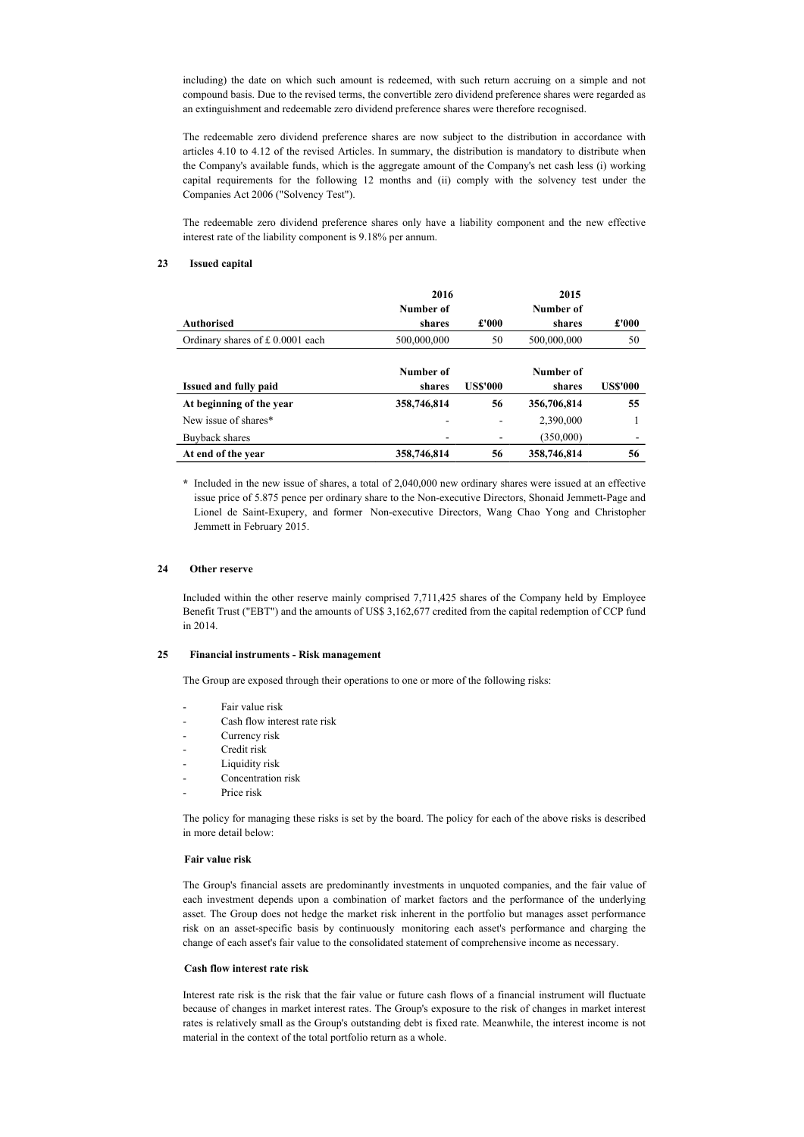including) the date on which such amount is redeemed, with such return accruing on a simple and not compound basis. Due to the revised terms, the convertible zero dividend preference shares were regarded as an extinguishment and redeemable zero dividend preference shares were therefore recognised.

The redeemable zero dividend preference shares are now subject to the distribution in accordance with articles 4.10 to 4.12 of the revised Articles. In summary, the distribution is mandatory to distribute when the Company's available funds, which is the aggregate amount of the Company's net cash less (i) working capital requirements for the following 12 months and (ii) comply with the solvency test under the Companies Act 2006 ("Solvency Test").

The redeemable zero dividend preference shares only have a liability component and the new effective interest rate of the liability component is 9.18% per annum.

#### 23 Issued capital

|                                    | 2016        |                 | 2015        |                 |  |
|------------------------------------|-------------|-----------------|-------------|-----------------|--|
|                                    | Number of   |                 | Number of   |                 |  |
| <b>Authorised</b>                  | shares      | £'000           | shares      | £'000           |  |
| Ordinary shares of $£ 0.0001$ each | 500,000,000 | 50              | 500,000,000 | 50              |  |
|                                    | Number of   |                 | Number of   |                 |  |
| Issued and fully paid              | shares      | <b>US\$'000</b> | shares      | <b>US\$'000</b> |  |
| At beginning of the year           | 358,746,814 | 56              | 356,706,814 | 55              |  |
| New issue of shares*               |             |                 | 2,390,000   |                 |  |
| Buyback shares                     |             |                 | (350,000)   | ۰               |  |
| At end of the year                 | 358,746,814 | 56              | 358,746,814 | 56              |  |

\* Included in the new issue of shares, a total of 2,040,000 new ordinary shares were issued at an effective issue price of 5.875 pence per ordinary share to the Non-executive Directors, Shonaid Jemmett-Page and Lionel de Saint-Exupery, and former Non-executive Directors, Wang Chao Yong and Christopher Jemmett in February 2015.

### 24 Other reserve

Included within the other reserve mainly comprised 7,711,425 shares of the Company held by Employee Benefit Trust ("EBT") and the amounts of US\$ 3,162,677 credited from the capital redemption of CCP fund in 2014.

#### 25 Financial instruments - Risk management

The Group are exposed through their operations to one or more of the following risks:

- Fair value risk
- Cash flow interest rate risk
- Currency risk
- Credit risk
- Liquidity risk
- Concentration risk
- Price risk

The policy for managing these risks is set by the board. The policy for each of the above risks is described in more detail below:

#### Fair value risk

The Group's financial assets are predominantly investments in unquoted companies, and the fair value of each investment depends upon a combination of market factors and the performance of the underlying asset. The Group does not hedge the market risk inherent in the portfolio but manages asset performance risk on an asset-specific basis by continuously monitoring each asset's performance and charging the change of each asset's fair value to the consolidated statement of comprehensive income as necessary.

### Cash flow interest rate risk

Interest rate risk is the risk that the fair value or future cash flows of a financial instrument will fluctuate because of changes in market interest rates. The Group's exposure to the risk of changes in market interest rates is relatively small as the Group's outstanding debt is fixed rate. Meanwhile, the interest income is not material in the context of the total portfolio return as a whole.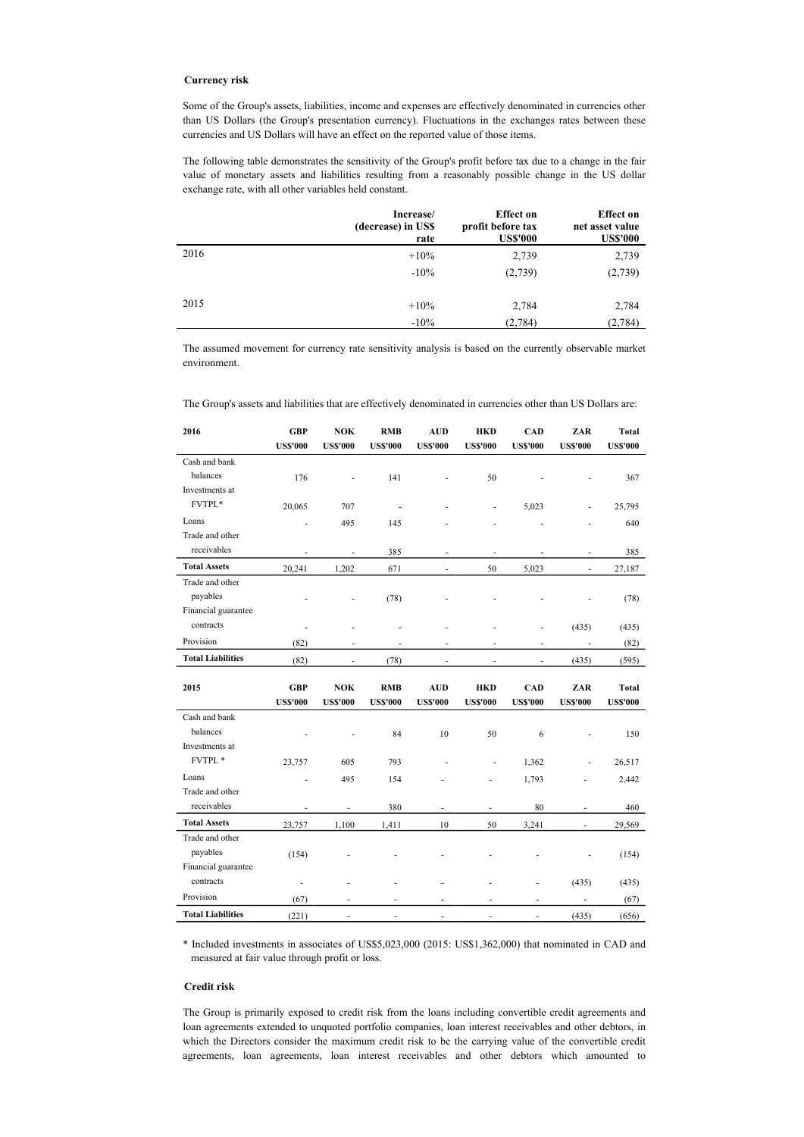### Currency risk

Some of the Group's assets, liabilities, income and expenses are effectively denominated in currencies other than US Dollars (the Group's presentation currency). Fluctuations in the exchanges rates between these currencies and US Dollars will have an effect on the reported value of those items.

The following table demonstrates the sensitivity of the Group's profit before tax due to a change in the fair value of monetary assets and liabilities resulting from a reasonably possible change in the US dollar exchange rate, with all other variables held constant.

|      | Increase/<br>(decrease) in US\$<br>rate | <b>Effect</b> on<br>profit before tax<br><b>US\$'000</b> | <b>Effect</b> on<br>net asset value<br><b>US\$'000</b> |
|------|-----------------------------------------|----------------------------------------------------------|--------------------------------------------------------|
| 2016 | $+10\%$                                 | 2,739                                                    | 2,739                                                  |
|      | $-10%$                                  | (2,739)                                                  | (2,739)                                                |
| 2015 | $+10\%$                                 | 2,784                                                    | 2,784                                                  |
|      | $-10\%$                                 | (2,784)                                                  | (2,784)                                                |

The assumed movement for currency rate sensitivity analysis is based on the currently observable market environment.

| 2016                       | <b>GBP</b><br><b>US\$'000</b> | <b>NOK</b><br><b>US\$'000</b> | <b>RMB</b><br><b>US\$'000</b> | <b>AUD</b><br><b>US\$'000</b> | <b>HKD</b><br><b>US\$'000</b> | <b>CAD</b><br><b>US\$'000</b> | ZAR<br><b>US\$'000</b>   | Total<br><b>US\$'000</b> |
|----------------------------|-------------------------------|-------------------------------|-------------------------------|-------------------------------|-------------------------------|-------------------------------|--------------------------|--------------------------|
| Cash and bank              |                               |                               |                               |                               |                               |                               |                          |                          |
| balances                   |                               |                               |                               |                               |                               |                               |                          |                          |
| Investments at             | 176                           |                               | 141                           |                               | 50                            |                               |                          | 367                      |
| FVTPL*                     |                               |                               |                               |                               |                               |                               |                          |                          |
|                            | 20,065                        | 707                           | ÷.                            |                               | ÷.                            | 5,023                         |                          | 25,795                   |
| Loans<br>Trade and other   |                               | 495                           | 145                           |                               |                               |                               |                          | 640                      |
| receivables                |                               |                               |                               |                               |                               |                               |                          |                          |
|                            | ٠                             | $\overline{\phantom{a}}$      | 385                           |                               | $\overline{\phantom{m}}$      |                               | $\overline{\phantom{a}}$ | 385                      |
| <b>Total Assets</b>        | 20,241                        | 1,202                         | 671                           | $\overline{\phantom{a}}$      | 50                            | 5,023                         | $\overline{\phantom{a}}$ | 27,187                   |
| Trade and other            |                               |                               |                               |                               |                               |                               |                          |                          |
| payables                   |                               |                               | (78)                          |                               |                               |                               |                          | (78)                     |
| Financial guarantee        |                               |                               |                               |                               |                               |                               |                          |                          |
| contracts                  |                               |                               |                               |                               |                               |                               | (435)                    | (435)                    |
| Provision                  | (82)                          |                               |                               |                               |                               | $\overline{\phantom{m}}$      |                          | (82)                     |
| <b>Total Liabilities</b>   | (82)                          | $\overline{\phantom{a}}$      | (78)                          | $\blacksquare$                | $\blacksquare$                | $\overline{\phantom{a}}$      | (435)                    | (595)                    |
|                            |                               |                               |                               |                               |                               |                               |                          |                          |
| 2015                       |                               |                               | <b>RMB</b>                    |                               | <b>HKD</b>                    | <b>CAD</b>                    | ZAR                      | Total                    |
|                            | <b>GBP</b><br><b>US\$'000</b> | NOK<br><b>US\$'000</b>        | <b>US\$'000</b>               | <b>AUD</b><br><b>US\$'000</b> | <b>US\$'000</b>               | <b>US\$'000</b>               | <b>US\$'000</b>          | <b>US\$'000</b>          |
| Cash and bank              |                               |                               |                               |                               |                               |                               |                          |                          |
|                            |                               |                               |                               |                               |                               |                               |                          |                          |
| balances<br>Investments at |                               |                               | 84                            | $10\,$                        | 50                            | 6                             |                          | 150                      |
| FVTPL *                    |                               |                               |                               |                               |                               |                               | ÷,                       |                          |
| Loans                      | 23,757                        | 605                           | 793                           |                               |                               | 1,362                         |                          | 26,517                   |
| Trade and other            |                               | 495                           | 154                           |                               | -                             | 1,793                         |                          | 2,442                    |
| receivables                | ä,                            | ÷,                            |                               | ÷                             | ÷,                            |                               | $\overline{\phantom{a}}$ |                          |
| <b>Total Assets</b>        | 23,757                        | 1,100                         | 380<br>1,411                  | 10                            | 50                            | 80<br>3,241                   | $\frac{1}{2}$            | 460<br>29,569            |
| Trade and other            |                               |                               |                               |                               |                               |                               |                          |                          |
| payables                   | (154)                         |                               |                               |                               |                               |                               |                          | (154)                    |
| Financial guarantee        |                               |                               |                               |                               |                               |                               |                          |                          |
| contracts                  | ٠                             |                               |                               |                               |                               | ä,                            | (435)                    | (435)                    |
| Provision                  | (67)                          |                               | ä,                            |                               |                               | ÷,                            | $\overline{\phantom{a}}$ | (67)                     |

The Group's assets and liabilities that are effectively denominated in currencies other than US Dollars are:

\* Included investments in associates of US\$5,023,000 (2015: US\$1,362,000) that nominated in CAD and measured at fair value through profit or loss.

### Credit risk

The Group is primarily exposed to credit risk from the loans including convertible credit agreements and loan agreements extended to unquoted portfolio companies, loan interest receivables and other debtors, in which the Directors consider the maximum credit risk to be the carrying value of the convertible credit agreements, loan agreements, loan interest receivables and other debtors which amounted to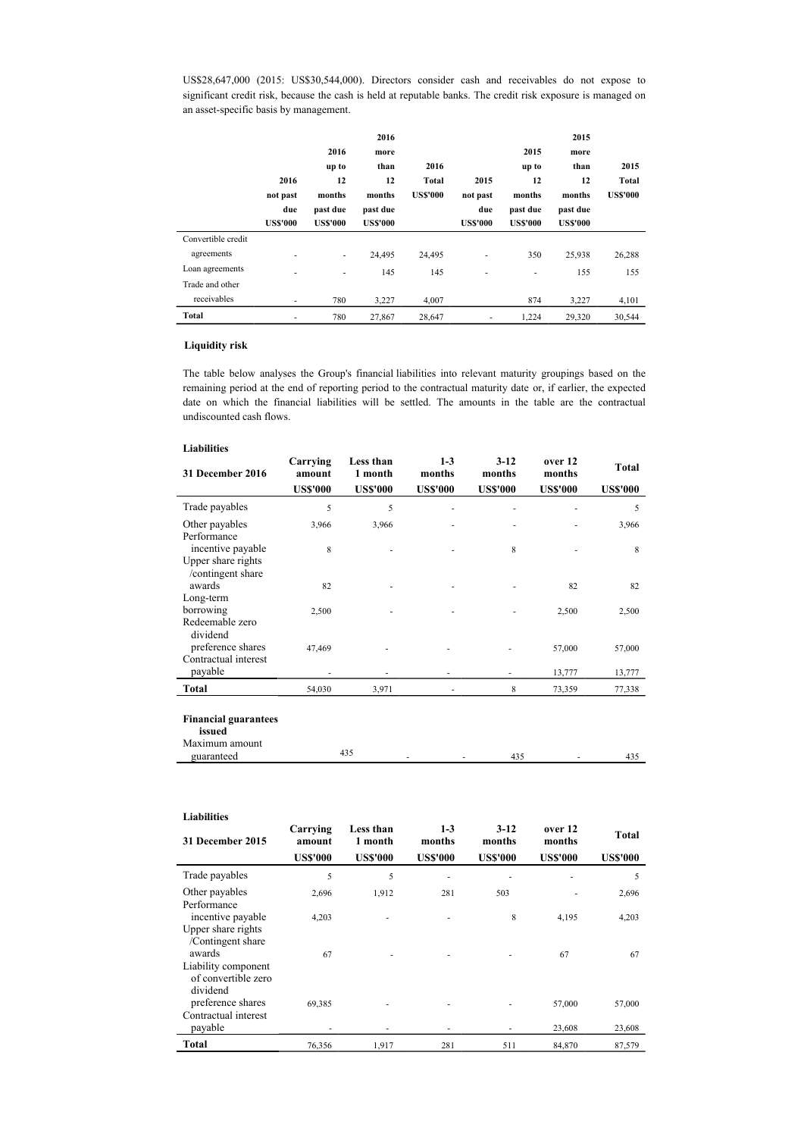US\$28,647,000 (2015: US\$30,544,000). Directors consider cash and receivables do not expose to significant credit risk, because the cash is held at reputable banks. The credit risk exposure is managed on an asset-specific basis by management.

|                    |                 |                 | 2016            |                 |                          |                 | 2015            |                 |
|--------------------|-----------------|-----------------|-----------------|-----------------|--------------------------|-----------------|-----------------|-----------------|
|                    |                 | 2016            | more            |                 |                          | 2015            | more            |                 |
|                    |                 | up to           | than            | 2016            |                          | up to           | than            | 2015            |
|                    | 2016            | 12              | 12              | Total           | 2015                     | 12              | 12              | Total           |
|                    | not past        | months          | months          | <b>US\$'000</b> | not past                 | months          | months          | <b>US\$'000</b> |
|                    | due             | past due        | past due        |                 | due                      | past due        | past due        |                 |
|                    | <b>US\$'000</b> | <b>US\$'000</b> | <b>US\$'000</b> |                 | <b>US\$'000</b>          | <b>US\$'000</b> | <b>US\$'000</b> |                 |
| Convertible credit |                 |                 |                 |                 |                          |                 |                 |                 |
| agreements         | ٠               | ٠               | 24,495          | 24,495          | ٠                        | 350             | 25,938          | 26,288          |
| Loan agreements    | ٠               | ۰               | 145             | 145             | ٠                        | ٠               | 155             | 155             |
| Trade and other    |                 |                 |                 |                 |                          |                 |                 |                 |
| receivables        | ۰               | 780             | 3,227           | 4,007           |                          | 874             | 3,227           | 4,101           |
| Total              | ٠               | 780             | 27,867          | 28,647          | $\overline{\phantom{a}}$ | 1.224           | 29,320          | 30,544          |

## Liquidity risk

The table below analyses the Group's financial liabilities into relevant maturity groupings based on the remaining period at the end of reporting period to the contractual maturity date or, if earlier, the expected date on which the financial liabilities will be settled. The amounts in the table are the contractual undiscounted cash flows.

### Liabilities

| 31 December 2016                                       | Carrying<br>amount | Less than<br>1 month | $1-3$<br>months | $3 - 12$<br>months | over 12<br>months | Total           |
|--------------------------------------------------------|--------------------|----------------------|-----------------|--------------------|-------------------|-----------------|
|                                                        | <b>US\$'000</b>    | <b>US\$'000</b>      | <b>US\$'000</b> | <b>US\$'000</b>    | <b>US\$'000</b>   | <b>US\$'000</b> |
| Trade payables                                         | 5                  | 5                    |                 |                    |                   | 5               |
| Other payables                                         | 3,966              | 3,966                |                 |                    |                   | 3,966           |
| Performance<br>incentive payable<br>Upper share rights | 8                  |                      |                 | 8                  |                   | 8               |
| /contingent share<br>awards<br>Long-term               | 82                 |                      |                 |                    | 82                | 82              |
| borrowing                                              | 2,500              |                      |                 |                    | 2,500             | 2,500           |
| Redeemable zero<br>dividend<br>preference shares       | 47,469             |                      |                 |                    | 57,000            | 57,000          |
| Contractual interest<br>payable                        |                    |                      | ٠               | ٠                  | 13,777            | 13,777          |
| Total                                                  | 54,030             | 3,971                | ٠               | 8                  | 73,359            | 77,338          |
| <b>Financial guarantees</b><br>issued                  |                    |                      |                 |                    |                   |                 |

| M<br>пошп |             |   |     |                          |  |
|-----------|-------------|---|-----|--------------------------|--|
| œ٦        | г. <i>.</i> | ۰ | . . | $\overline{\phantom{a}}$ |  |
|           |             |   |     |                          |  |

| <b>Liabilities</b>                                               |                                       |                                         |                                      |                                     |                                      |                          |
|------------------------------------------------------------------|---------------------------------------|-----------------------------------------|--------------------------------------|-------------------------------------|--------------------------------------|--------------------------|
| <b>31 December 2015</b>                                          | Carrying<br>amount<br><b>US\$'000</b> | Less than<br>1 month<br><b>US\$'000</b> | $1 - 3$<br>months<br><b>US\$'000</b> | $3-12$<br>months<br><b>US\$'000</b> | over 12<br>months<br><b>US\$'000</b> | Total<br><b>US\$'000</b> |
| Trade payables                                                   | 5                                     | 5                                       | ٠                                    | ÷                                   | ٠                                    | 5                        |
| Other payables<br>Performance                                    | 2,696                                 | 1,912                                   | 281                                  | 503                                 |                                      | 2,696                    |
| incentive payable<br>Upper share rights<br>/Contingent share     | 4,203                                 |                                         |                                      | 8                                   | 4,195                                | 4,203                    |
| awards<br>Liability component<br>of convertible zero             | 67                                    |                                         |                                      |                                     | 67                                   | 67                       |
| dividend<br>preference shares<br>Contractual interest<br>payable | 69,385                                |                                         |                                      | ٠                                   | 57,000<br>23,608                     | 57,000<br>23,608         |
| Total                                                            | 76,356                                | 1,917                                   | 281                                  | 511                                 | 84,870                               | 87,579                   |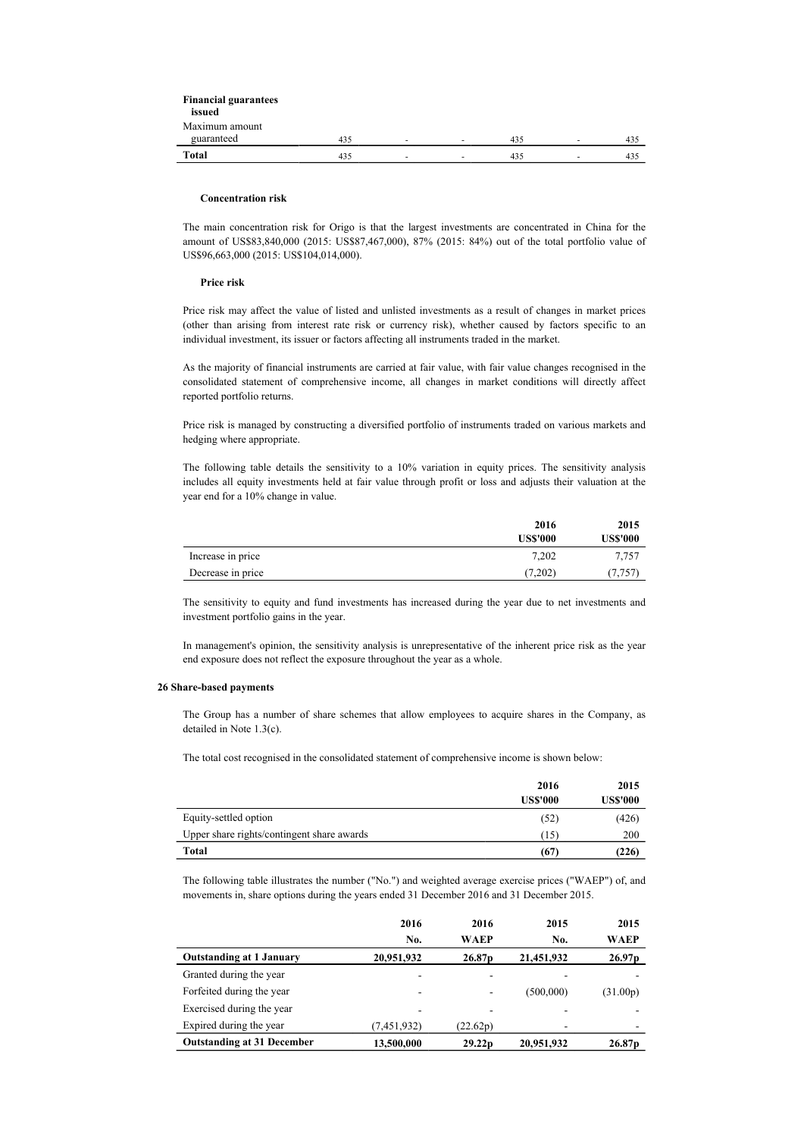| <b>Financial guarantees</b> |     |                          |                          |     |                          |     |
|-----------------------------|-----|--------------------------|--------------------------|-----|--------------------------|-----|
| issued                      |     |                          |                          |     |                          |     |
| Maximum amount              |     |                          |                          |     |                          |     |
| guaranteed                  | 435 | $\sim$                   | $\overline{\phantom{a}}$ | 435 | $\overline{\phantom{a}}$ | 435 |
| Total                       | 435 | $\overline{\phantom{a}}$ | $\overline{\phantom{a}}$ | 435 | $\overline{a}$           | 435 |

#### Concentration risk

The main concentration risk for Origo is that the largest investments are concentrated in China for the amount of US\$83,840,000 (2015: US\$87,467,000), 87% (2015: 84%) out of the total portfolio value of US\$96,663,000 (2015: US\$104,014,000).

#### Price risk

Price risk may affect the value of listed and unlisted investments as a result of changes in market prices (other than arising from interest rate risk or currency risk), whether caused by factors specific to an individual investment, its issuer or factors affecting all instruments traded in the market.

As the majority of financial instruments are carried at fair value, with fair value changes recognised in the consolidated statement of comprehensive income, all changes in market conditions will directly affect reported portfolio returns.

Price risk is managed by constructing a diversified portfolio of instruments traded on various markets and hedging where appropriate.

The following table details the sensitivity to a 10% variation in equity prices. The sensitivity analysis includes all equity investments held at fair value through profit or loss and adjusts their valuation at the year end for a 10% change in value.

|                   | 2016            | 2015            |
|-------------------|-----------------|-----------------|
|                   | <b>US\$'000</b> | <b>US\$'000</b> |
| Increase in price | 7,202           | 7,757           |
| Decrease in price | (7,202)         | 7.757           |

The sensitivity to equity and fund investments has increased during the year due to net investments and investment portfolio gains in the year.

In management's opinion, the sensitivity analysis is unrepresentative of the inherent price risk as the year end exposure does not reflect the exposure throughout the year as a whole.

#### 26 Share-based payments

The Group has a number of share schemes that allow employees to acquire shares in the Company, as detailed in Note 1.3(c).

The total cost recognised in the consolidated statement of comprehensive income is shown below:

|                                            | 2016<br><b>US\$'000</b> | 2015<br><b>US\$'000</b> |
|--------------------------------------------|-------------------------|-------------------------|
| Equity-settled option                      | (52)                    | (426)                   |
| Upper share rights/contingent share awards | (15)                    | 200                     |
| Total                                      | (67)                    | (226)                   |

The following table illustrates the number ("No.") and weighted average exercise prices ("WAEP") of, and movements in, share options during the years ended 31 December 2016 and 31 December 2015.

|                                   | 2016          | 2016               | 2015       | 2015               |
|-----------------------------------|---------------|--------------------|------------|--------------------|
|                                   | No.           | WAEP               | No.        | WAEP               |
| <b>Outstanding at 1 January</b>   | 20,951,932    | 26.87 <sub>p</sub> | 21,451,932 | 26.97 <sub>p</sub> |
| Granted during the year           | -             |                    |            |                    |
| Forfeited during the year         | ٠             | ٠                  | (500,000)  | (31.00p)           |
| Exercised during the year         | -             |                    |            |                    |
| Expired during the year           | (7, 451, 932) | (22.62p)           | -          | -                  |
| <b>Outstanding at 31 December</b> | 13,500,000    | 29.22 <sub>p</sub> | 20,951,932 | 26.87p             |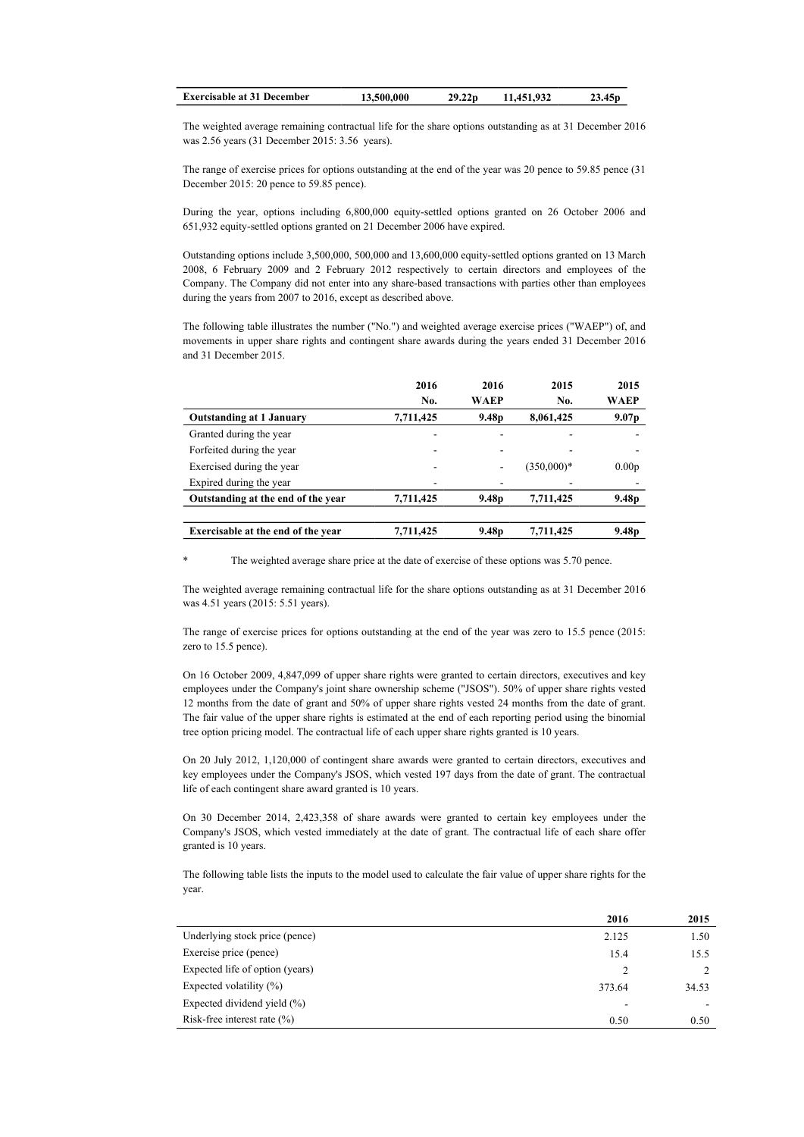| <b>Exercisable at 31 December</b> | 13,500,000 | 29.22 <sub>D</sub> | 11.451.932 | 23.45p |
|-----------------------------------|------------|--------------------|------------|--------|
|                                   |            |                    |            |        |

The weighted average remaining contractual life for the share options outstanding as at 31 December 2016 was 2.56 years (31 December 2015: 3.56 years).

The range of exercise prices for options outstanding at the end of the year was 20 pence to 59.85 pence (31 December 2015: 20 pence to 59.85 pence).

During the year, options including 6,800,000 equity-settled options granted on 26 October 2006 and 651,932 equity-settled options granted on 21 December 2006 have expired.

Outstanding options include 3,500,000, 500,000 and 13,600,000 equity-settled options granted on 13 March 2008, 6 February 2009 and 2 February 2012 respectively to certain directors and employees of the Company. The Company did not enter into any share-based transactions with parties other than employees during the years from 2007 to 2016, except as described above.

The following table illustrates the number ("No.") and weighted average exercise prices ("WAEP") of, and movements in upper share rights and contingent share awards during the years ended 31 December 2016 and 31 December 2015.

|                                    | 2016      | 2016                     | 2015         | 2015              |
|------------------------------------|-----------|--------------------------|--------------|-------------------|
|                                    | No.       | <b>WAEP</b>              | No.          | WAEP              |
| <b>Outstanding at 1 January</b>    | 7,711,425 | 9.48 <sub>p</sub>        | 8,061,425    | 9.07 <sub>p</sub> |
| Granted during the year            |           |                          |              |                   |
| Forfeited during the year          |           | $\overline{\phantom{a}}$ |              |                   |
| Exercised during the year          | ۰         | $\overline{\phantom{a}}$ | $(350,000)*$ | 0.00 <sub>p</sub> |
| Expired during the year            |           | -                        |              |                   |
| Outstanding at the end of the year | 7,711,425 | 9.48 <sub>p</sub>        | 7,711,425    | 9.48 <sub>p</sub> |
|                                    |           |                          |              |                   |
| Exercisable at the end of the year | 7,711,425 | 9.48 <sub>p</sub>        | 7,711,425    | 9.48 <sub>p</sub> |

The weighted average share price at the date of exercise of these options was 5.70 pence.

The weighted average remaining contractual life for the share options outstanding as at 31 December 2016 was 4.51 years (2015: 5.51 years).

The range of exercise prices for options outstanding at the end of the year was zero to 15.5 pence (2015: zero to 15.5 pence).

On 16 October 2009, 4,847,099 of upper share rights were granted to certain directors, executives and key employees under the Company's joint share ownership scheme ("JSOS"). 50% of upper share rights vested 12 months from the date of grant and 50% of upper share rights vested 24 months from the date of grant. The fair value of the upper share rights is estimated at the end of each reporting period using the binomial tree option pricing model. The contractual life of each upper share rights granted is 10 years.

On 20 July 2012, 1,120,000 of contingent share awards were granted to certain directors, executives and key employees under the Company's JSOS, which vested 197 days from the date of grant. The contractual life of each contingent share award granted is 10 years.

On 30 December 2014, 2,423,358 of share awards were granted to certain key employees under the Company's JSOS, which vested immediately at the date of grant. The contractual life of each share offer granted is 10 years.

The following table lists the inputs to the model used to calculate the fair value of upper share rights for the year.

|                                 | 2016   | 2015  |
|---------------------------------|--------|-------|
| Underlying stock price (pence)  | 2.125  | 1.50  |
| Exercise price (pence)          | 15.4   | 15.5  |
| Expected life of option (years) |        |       |
| Expected volatility $(\%)$      | 373.64 | 34.53 |
| Expected dividend yield (%)     | -      |       |
| Risk-free interest rate $(\%)$  | 0.50   | 0.50  |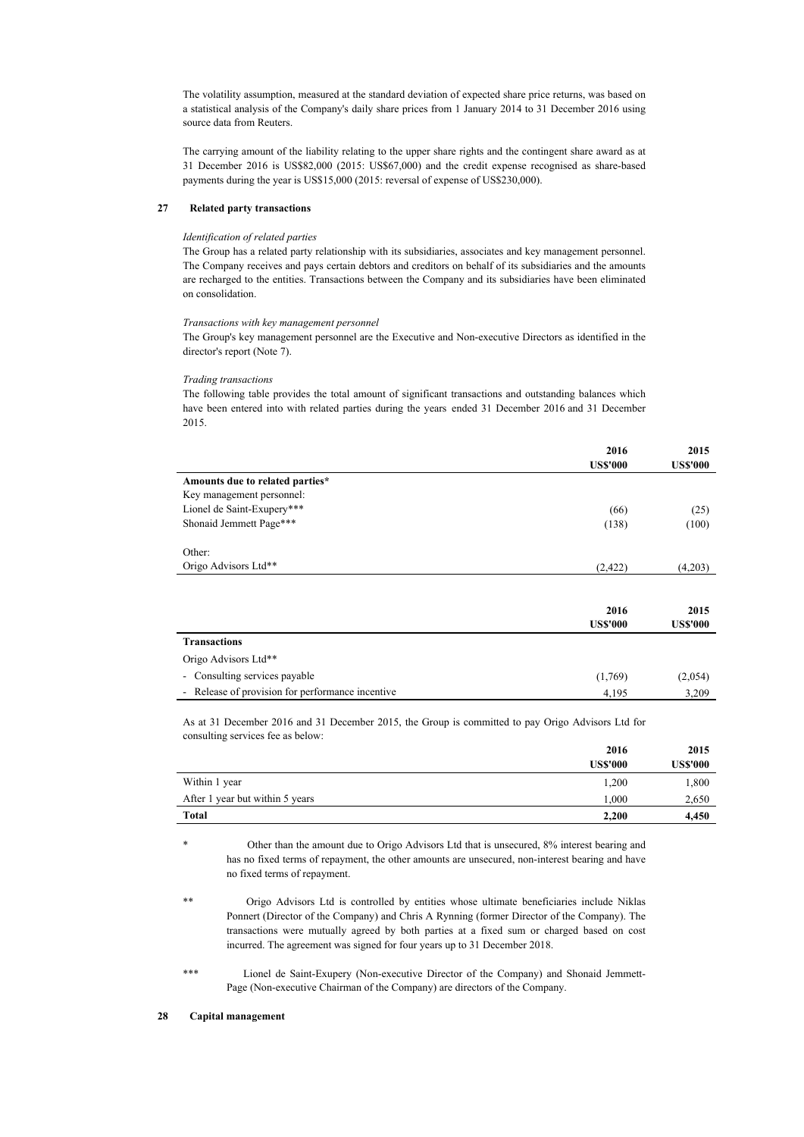The volatility assumption, measured at the standard deviation of expected share price returns, was based on a statistical analysis of the Company's daily share prices from 1 January 2014 to 31 December 2016 using source data from Reuters.

The carrying amount of the liability relating to the upper share rights and the contingent share award as at 31 December 2016 is US\$82,000 (2015: US\$67,000) and the credit expense recognised as share-based payments during the year is US\$15,000 (2015: reversal of expense of US\$230,000).

### 27 Related party transactions

#### Identification of related parties

The Group has a related party relationship with its subsidiaries, associates and key management personnel. The Company receives and pays certain debtors and creditors on behalf of its subsidiaries and the amounts are recharged to the entities. Transactions between the Company and its subsidiaries have been eliminated on consolidation.

#### Transactions with key management personnel

The Group's key management personnel are the Executive and Non-executive Directors as identified in the director's report (Note 7).

### Trading transactions

The following table provides the total amount of significant transactions and outstanding balances which have been entered into with related parties during the years ended 31 December 2016 and 31 December 2015.

|                                                  | 2016<br><b>US\$'000</b> | 2015<br><b>US\$'000</b> |
|--------------------------------------------------|-------------------------|-------------------------|
|                                                  |                         |                         |
| Amounts due to related parties*                  |                         |                         |
| Key management personnel:                        |                         |                         |
| Lionel de Saint-Exupery***                       | (66)                    | (25)                    |
| Shonaid Jemmett Page***                          | (138)                   | (100)                   |
| Other:                                           |                         |                         |
| Origo Advisors Ltd**                             | (2,422)                 | (4,203)                 |
|                                                  |                         |                         |
|                                                  | 2016                    | 2015                    |
|                                                  | <b>US\$'000</b>         | <b>US\$'000</b>         |
| <b>Transactions</b>                              |                         |                         |
| Origo Advisors Ltd**                             |                         |                         |
| Consulting services payable<br>$\sim$            | (1,769)                 | (2,054)                 |
| - Release of provision for performance incentive | 4,195                   | 3,209                   |

As at 31 December 2016 and 31 December 2015, the Group is committed to pay Origo Advisors Ltd for consulting services fee as below:

|                                 | 2016            | 2015            |
|---------------------------------|-----------------|-----------------|
|                                 | <b>US\$'000</b> | <b>US\$'000</b> |
| Within 1 year                   | 1,200           | 1,800           |
| After 1 year but within 5 years | 1.000           | 2,650           |
| <b>Total</b>                    | 2.200           | 4,450           |

Other than the amount due to Origo Advisors Ltd that is unsecured, 8% interest bearing and has no fixed terms of repayment, the other amounts are unsecured, non-interest bearing and have no fixed terms of repayment.

\*\* Origo Advisors Ltd is controlled by entities whose ultimate beneficiaries include Niklas Ponnert (Director of the Company) and Chris A Rynning (former Director of the Company). The transactions were mutually agreed by both parties at a fixed sum or charged based on cost incurred. The agreement was signed for four years up to 31 December 2018.

\*\*\* Lionel de Saint-Exupery (Non-executive Director of the Company) and Shonaid Jemmett-Page (Non-executive Chairman of the Company) are directors of the Company.

### 28 Capital management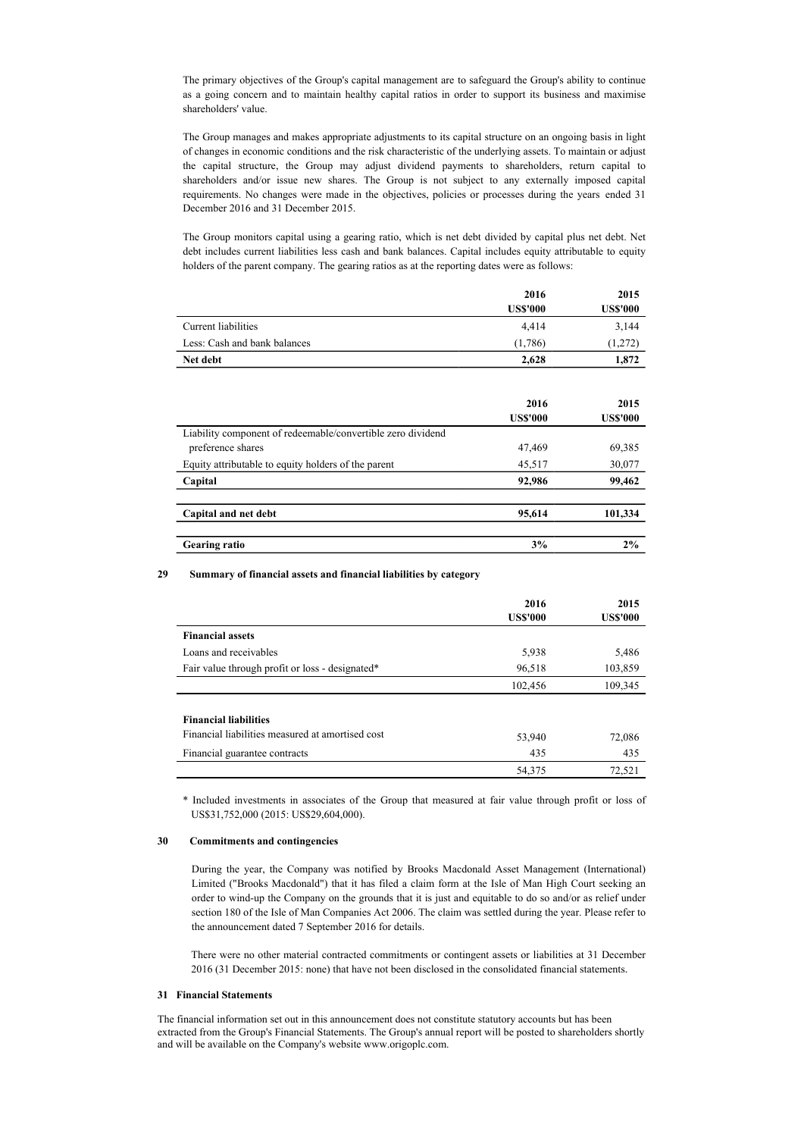The primary objectives of the Group's capital management are to safeguard the Group's ability to continue as a going concern and to maintain healthy capital ratios in order to support its business and maximise shareholders' value.

The Group manages and makes appropriate adjustments to its capital structure on an ongoing basis in light of changes in economic conditions and the risk characteristic of the underlying assets. To maintain or adjust the capital structure, the Group may adjust dividend payments to shareholders, return capital to shareholders and/or issue new shares. The Group is not subject to any externally imposed capital requirements. No changes were made in the objectives, policies or processes during the years ended 31 December 2016 and 31 December 2015.

The Group monitors capital using a gearing ratio, which is net debt divided by capital plus net debt. Net debt includes current liabilities less cash and bank balances. Capital includes equity attributable to equity holders of the parent company. The gearing ratios as at the reporting dates were as follows:

|                                                             | 2016<br><b>US\$'000</b> | 2015<br><b>US\$'000</b> |
|-------------------------------------------------------------|-------------------------|-------------------------|
| <b>Current liabilities</b>                                  | 4,414                   | 3,144                   |
| Less: Cash and bank balances                                | (1,786)                 | (1,272)                 |
| Net debt                                                    | 2,628                   | 1,872                   |
|                                                             |                         |                         |
|                                                             | 2016                    | 2015                    |
|                                                             | <b>US\$'000</b>         | <b>US\$'000</b>         |
| Liability component of redeemable/convertible zero dividend |                         |                         |
| preference shares                                           | 47,469                  | 69,385                  |
| Equity attributable to equity holders of the parent         | 45,517                  | 30,077                  |
| Capital                                                     | 92,986                  | 99,462                  |
|                                                             |                         |                         |
| Capital and net debt                                        | 95,614                  | 101,334                 |
| <b>Gearing ratio</b>                                        | 3%                      | 2%                      |

### 29 Summary of financial assets and financial liabilities by category

|                                                  | 2016            | 2015            |
|--------------------------------------------------|-----------------|-----------------|
|                                                  | <b>US\$'000</b> | <b>US\$'000</b> |
| <b>Financial assets</b>                          |                 |                 |
| Loans and receivables                            | 5,938           | 5,486           |
| Fair value through profit or loss - designated*  | 96,518          | 103,859         |
|                                                  | 102,456         | 109,345         |
|                                                  |                 |                 |
| <b>Financial liabilities</b>                     |                 |                 |
| Financial liabilities measured at amortised cost | 53,940          | 72,086          |
| Financial guarantee contracts                    | 435             | 435             |
|                                                  | 54,375          | 72.521          |

\* Included investments in associates of the Group that measured at fair value through profit or loss of US\$31,752,000 (2015: US\$29,604,000).

#### 30 Commitments and contingencies

During the year, the Company was notified by Brooks Macdonald Asset Management (International) Limited ("Brooks Macdonald") that it has filed a claim form at the Isle of Man High Court seeking an order to wind-up the Company on the grounds that it is just and equitable to do so and/or as relief under section 180 of the Isle of Man Companies Act 2006. The claim was settled during the year. Please refer to the announcement dated 7 September 2016 for details.

There were no other material contracted commitments or contingent assets or liabilities at 31 December 2016 (31 December 2015: none) that have not been disclosed in the consolidated financial statements.

#### 31 Financial Statements

The financial information set out in this announcement does not constitute statutory accounts but has been extracted from the Group's Financial Statements. The Group's annual report will be posted to shareholders shortly and will be available on the Company's website www.origoplc.com.